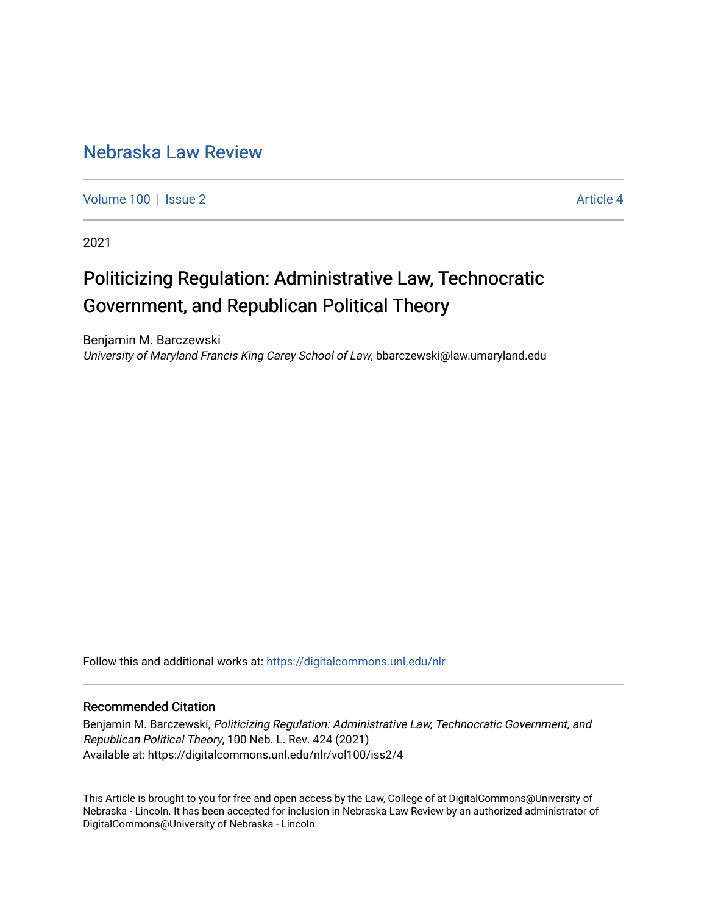### [Nebraska Law Review](https://digitalcommons.unl.edu/nlr)

[Volume 100](https://digitalcommons.unl.edu/nlr/vol100) | [Issue 2](https://digitalcommons.unl.edu/nlr/vol100/iss2) Article 4

2021

# Politicizing Regulation: Administrative Law, Technocratic Government, and Republican Political Theory

Benjamin M. Barczewski University of Maryland Francis King Carey School of Law, bbarczewski@law.umaryland.edu

Follow this and additional works at: [https://digitalcommons.unl.edu/nlr](https://digitalcommons.unl.edu/nlr?utm_source=digitalcommons.unl.edu%2Fnlr%2Fvol100%2Fiss2%2F4&utm_medium=PDF&utm_campaign=PDFCoverPages) 

### Recommended Citation

Benjamin M. Barczewski, Politicizing Regulation: Administrative Law, Technocratic Government, and Republican Political Theory, 100 Neb. L. Rev. 424 (2021) Available at: https://digitalcommons.unl.edu/nlr/vol100/iss2/4

This Article is brought to you for free and open access by the Law, College of at DigitalCommons@University of Nebraska - Lincoln. It has been accepted for inclusion in Nebraska Law Review by an authorized administrator of DigitalCommons@University of Nebraska - Lincoln.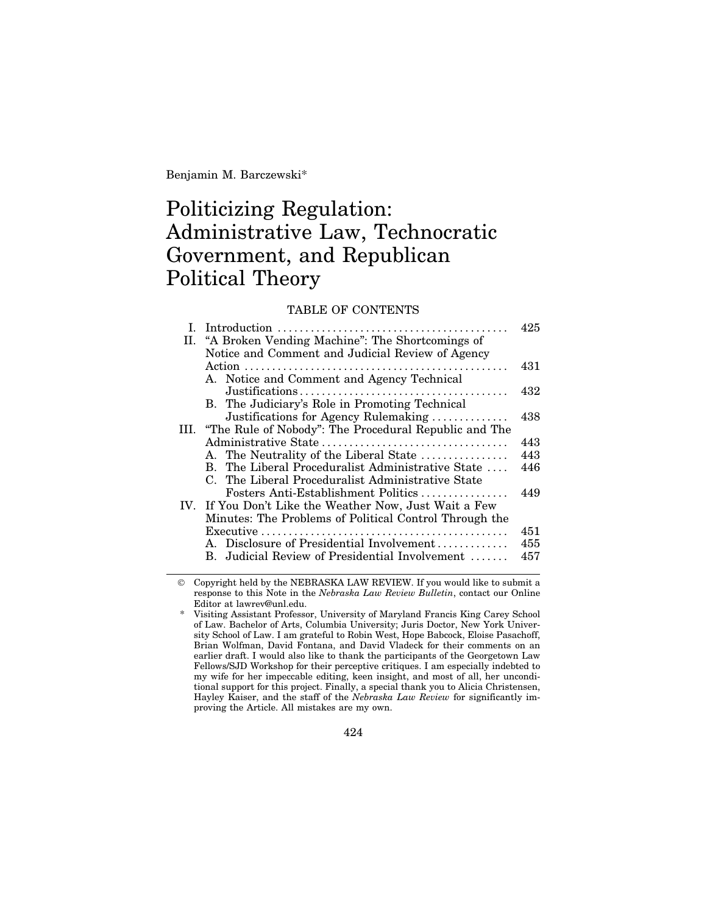Benjamin M. Barczewski\*

## Politicizing Regulation: Administrative Law, Technocratic Government, and Republican Political Theory

#### TABLE OF CONTENTS

|    |                                                            | 425 |
|----|------------------------------------------------------------|-----|
| П. | "A Broken Vending Machine": The Shortcomings of            |     |
|    | Notice and Comment and Judicial Review of Agency           |     |
|    |                                                            | 431 |
|    | A. Notice and Comment and Agency Technical                 |     |
|    |                                                            | 432 |
|    | B. The Judiciary's Role in Promoting Technical             |     |
|    | Justifications for Agency Rulemaking                       | 438 |
|    | III. "The Rule of Nobody": The Procedural Republic and The |     |
|    |                                                            | 443 |
|    | A. The Neutrality of the Liberal State                     | 443 |
|    | B. The Liberal Proceduralist Administrative State          | 446 |
|    | C. The Liberal Proceduralist Administrative State          |     |
|    | Fosters Anti-Establishment Politics                        | 449 |
|    | IV. If You Don't Like the Weather Now, Just Wait a Few     |     |
|    | Minutes: The Problems of Political Control Through the     |     |
|    |                                                            | 451 |
|    | A. Disclosure of Presidential Involvement                  | 455 |
|    | B. Judicial Review of Presidential Involvement             | 457 |
|    |                                                            |     |

© Copyright held by the NEBRASKA LAW REVIEW. If you would like to submit a response to this Note in the *Nebraska Law Review Bulletin*, contact our Online Editor at lawrev@unl.edu.

424

Visiting Assistant Professor, University of Maryland Francis King Carey School of Law. Bachelor of Arts, Columbia University; Juris Doctor, New York University School of Law. I am grateful to Robin West, Hope Babcock, Eloise Pasachoff, Brian Wolfman, David Fontana, and David Vladeck for their comments on an earlier draft. I would also like to thank the participants of the Georgetown Law Fellows/SJD Workshop for their perceptive critiques. I am especially indebted to my wife for her impeccable editing, keen insight, and most of all, her unconditional support for this project. Finally, a special thank you to Alicia Christensen, Hayley Kaiser, and the staff of the *Nebraska Law Review* for significantly improving the Article. All mistakes are my own.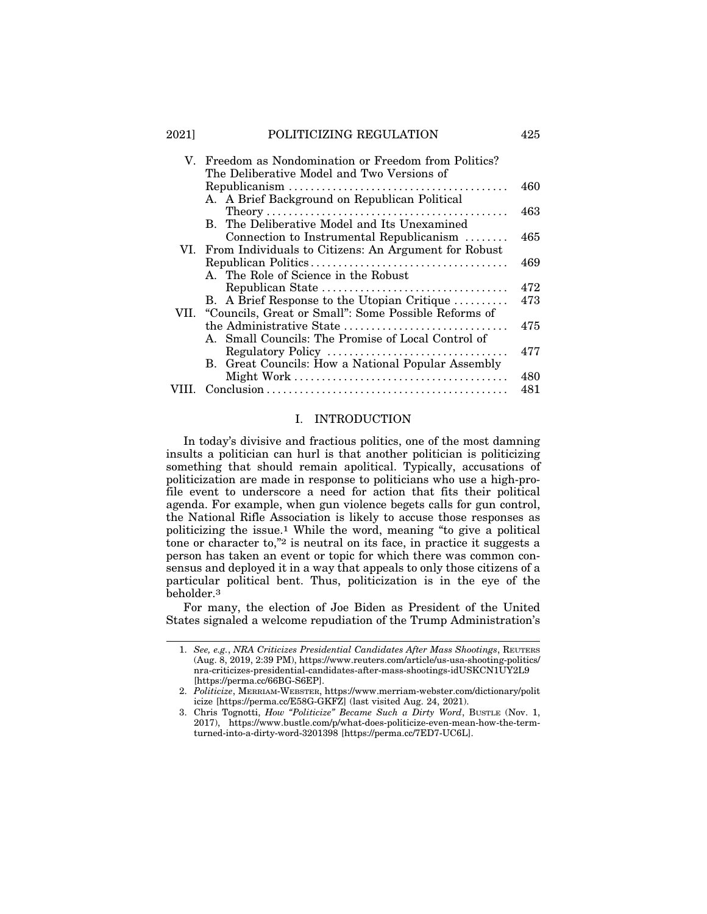#### 2021] POLITICIZING REGULATION 425

| V | Freedom as Nondomination or Freedom from Politics?<br>The Deliberative Model and Two Versions of     |     |
|---|------------------------------------------------------------------------------------------------------|-----|
|   |                                                                                                      | 460 |
|   | A. A Brief Background on Republican Political                                                        |     |
|   |                                                                                                      | 463 |
|   | B. The Deliberative Model and Its Unexamined                                                         | 465 |
|   | Connection to Instrumental Republicanism<br>VI. From Individuals to Citizens: An Argument for Robust |     |
|   |                                                                                                      | 469 |
|   | A. The Role of Science in the Robust                                                                 |     |
|   |                                                                                                      | 472 |
|   | B. A Brief Response to the Utopian Critique                                                          | 473 |
|   | VII. "Councils, Great or Small": Some Possible Reforms of                                            |     |
|   | the Administrative State                                                                             | 475 |
|   | A. Small Councils: The Promise of Local Control of                                                   |     |
|   | Regulatory Policy                                                                                    | 477 |
|   | B. Great Councils: How a National Popular Assembly                                                   | 480 |
|   |                                                                                                      | 481 |
|   |                                                                                                      |     |

#### I. INTRODUCTION

In today's divisive and fractious politics, one of the most damning insults a politician can hurl is that another politician is politicizing something that should remain apolitical. Typically, accusations of politicization are made in response to politicians who use a high-profile event to underscore a need for action that fits their political agenda. For example, when gun violence begets calls for gun control, the National Rifle Association is likely to accuse those responses as politicizing the issue.1 While the word, meaning "to give a political tone or character to,"2 is neutral on its face, in practice it suggests a person has taken an event or topic for which there was common consensus and deployed it in a way that appeals to only those citizens of a particular political bent. Thus, politicization is in the eye of the beholder.3

For many, the election of Joe Biden as President of the United States signaled a welcome repudiation of the Trump Administration's

<sup>1.</sup> *See, e.g.*, *NRA Criticizes Presidential Candidates After Mass Shootings*, REUTERS (Aug. 8, 2019, 2:39 PM), https://www.reuters.com/article/us-usa-shooting-politics/ nra-criticizes-presidential-candidates-after-mass-shootings-idUSKCN1UY2L9 [https://perma.cc/66BG-S6EP].

<sup>2.</sup> *Politicize*, MERRIAM-WEBSTER, https://www.merriam-webster.com/dictionary/polit icize [https://perma.cc/E58G-GKFZ] (last visited Aug. 24, 2021).

<sup>3.</sup> Chris Tognotti, *How "Politicize" Became Such a Dirty Word*, BUSTLE (Nov. 1, 2017), https://www.bustle.com/p/what-does-politicize-even-mean-how-the-termturned-into-a-dirty-word-3201398 [https://perma.cc/7ED7-UC6L].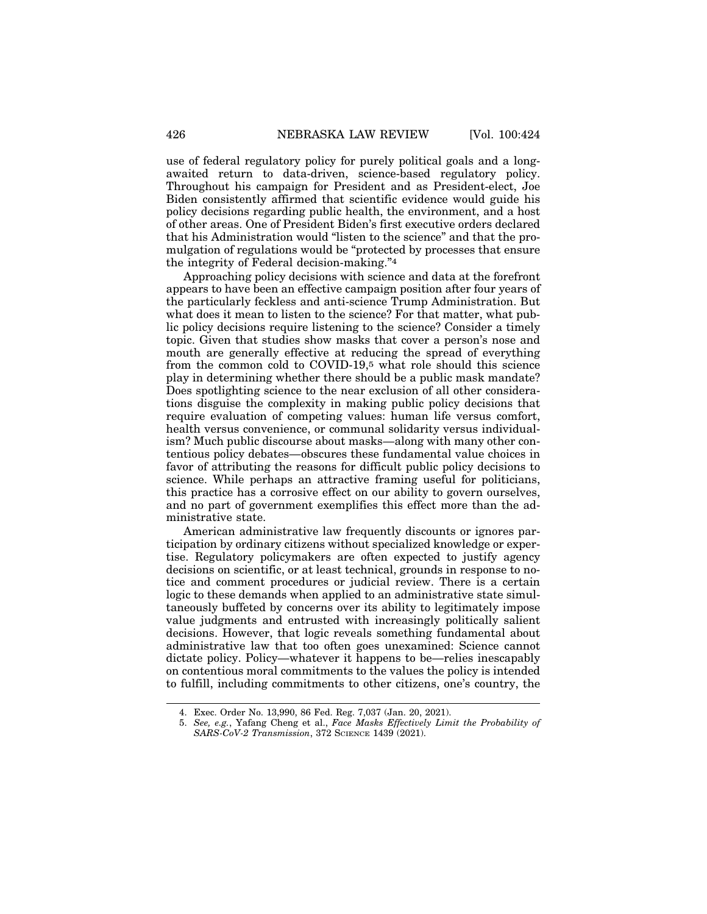use of federal regulatory policy for purely political goals and a longawaited return to data-driven, science-based regulatory policy. Throughout his campaign for President and as President-elect, Joe Biden consistently affirmed that scientific evidence would guide his policy decisions regarding public health, the environment, and a host of other areas. One of President Biden's first executive orders declared that his Administration would "listen to the science" and that the promulgation of regulations would be "protected by processes that ensure the integrity of Federal decision-making."4

Approaching policy decisions with science and data at the forefront appears to have been an effective campaign position after four years of the particularly feckless and anti-science Trump Administration. But what does it mean to listen to the science? For that matter, what public policy decisions require listening to the science? Consider a timely topic. Given that studies show masks that cover a person's nose and mouth are generally effective at reducing the spread of everything from the common cold to COVID-19,5 what role should this science play in determining whether there should be a public mask mandate? Does spotlighting science to the near exclusion of all other considerations disguise the complexity in making public policy decisions that require evaluation of competing values: human life versus comfort, health versus convenience, or communal solidarity versus individualism? Much public discourse about masks—along with many other contentious policy debates—obscures these fundamental value choices in favor of attributing the reasons for difficult public policy decisions to science. While perhaps an attractive framing useful for politicians, this practice has a corrosive effect on our ability to govern ourselves, and no part of government exemplifies this effect more than the administrative state.

American administrative law frequently discounts or ignores participation by ordinary citizens without specialized knowledge or expertise. Regulatory policymakers are often expected to justify agency decisions on scientific, or at least technical, grounds in response to notice and comment procedures or judicial review. There is a certain logic to these demands when applied to an administrative state simultaneously buffeted by concerns over its ability to legitimately impose value judgments and entrusted with increasingly politically salient decisions. However, that logic reveals something fundamental about administrative law that too often goes unexamined: Science cannot dictate policy. Policy—whatever it happens to be—relies inescapably on contentious moral commitments to the values the policy is intended to fulfill, including commitments to other citizens, one's country, the

<sup>4.</sup> Exec. Order No. 13,990, 86 Fed. Reg. 7,037 (Jan. 20, 2021).

<sup>5.</sup> *See, e.g.*, Yafang Cheng et al., *Face Masks Effectively Limit the Probability of SARS-CoV-2 Transmission*, 372 SCIENCE 1439 (2021).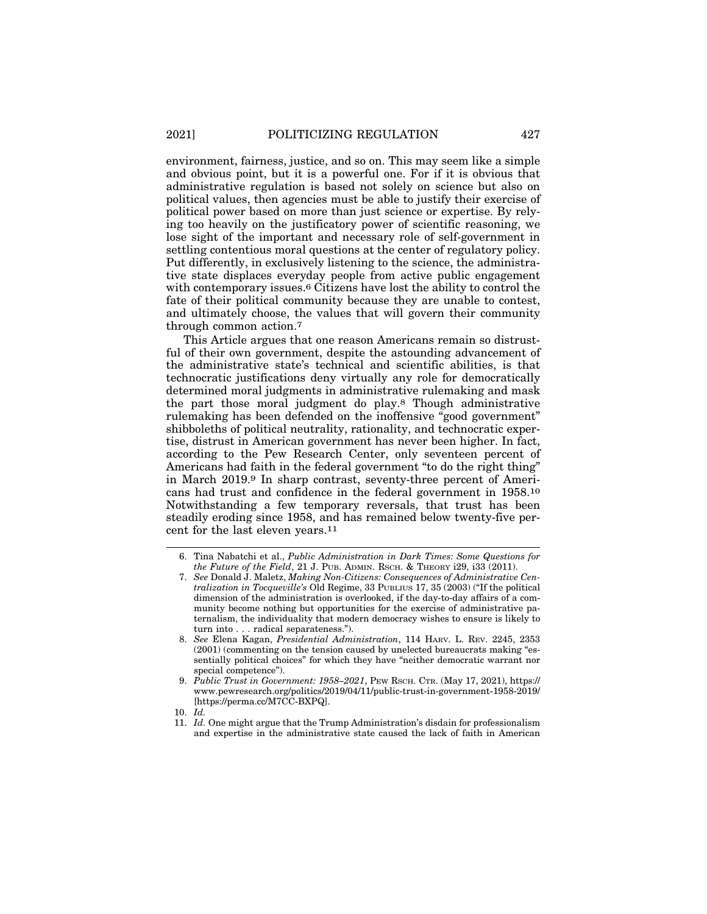environment, fairness, justice, and so on. This may seem like a simple and obvious point, but it is a powerful one. For if it is obvious that administrative regulation is based not solely on science but also on political values, then agencies must be able to justify their exercise of political power based on more than just science or expertise. By relying too heavily on the justificatory power of scientific reasoning, we lose sight of the important and necessary role of self-government in settling contentious moral questions at the center of regulatory policy. Put differently, in exclusively listening to the science, the administrative state displaces everyday people from active public engagement with contemporary issues.6 Citizens have lost the ability to control the fate of their political community because they are unable to contest, and ultimately choose, the values that will govern their community through common action.7

This Article argues that one reason Americans remain so distrustful of their own government, despite the astounding advancement of the administrative state's technical and scientific abilities, is that technocratic justifications deny virtually any role for democratically determined moral judgments in administrative rulemaking and mask the part those moral judgment do play.8 Though administrative rulemaking has been defended on the inoffensive "good government" shibboleths of political neutrality, rationality, and technocratic expertise, distrust in American government has never been higher. In fact, according to the Pew Research Center, only seventeen percent of Americans had faith in the federal government "to do the right thing" in March 2019.9 In sharp contrast, seventy-three percent of Americans had trust and confidence in the federal government in 1958.10 Notwithstanding a few temporary reversals, that trust has been steadily eroding since 1958, and has remained below twenty-five percent for the last eleven years.11

<sup>6.</sup> Tina Nabatchi et al., *Public Administration in Dark Times: Some Questions for the Future of the Field*, 21 J. PUB. ADMIN. RSCH. & THEORY i29, i33 (2011).

<sup>7.</sup> *See* Donald J. Maletz, *Making Non-Citizens: Consequences of Administrative Centralization in Tocqueville's* Old Regime, 33 PUBLIUS 17, 35 (2003) ("If the political dimension of the administration is overlooked, if the day-to-day affairs of a community become nothing but opportunities for the exercise of administrative paternalism, the individuality that modern democracy wishes to ensure is likely to turn into . . . radical separateness.").

<sup>8.</sup> *See* Elena Kagan, *Presidential Administration*, 114 HARV. L. REV. 2245, 2353 (2001) (commenting on the tension caused by unelected bureaucrats making "essentially political choices" for which they have "neither democratic warrant nor special competence").

<sup>9.</sup> *Public Trust in Government: 1958–2021*, PEW RSCH. CTR. (May 17, 2021), https:// www.pewresearch.org/politics/2019/04/11/public-trust-in-government-1958-2019/ [https://perma.cc/M7CC-BXPQ].

<sup>10.</sup> *Id.*

<sup>11.</sup> *Id.* One might argue that the Trump Administration's disdain for professionalism and expertise in the administrative state caused the lack of faith in American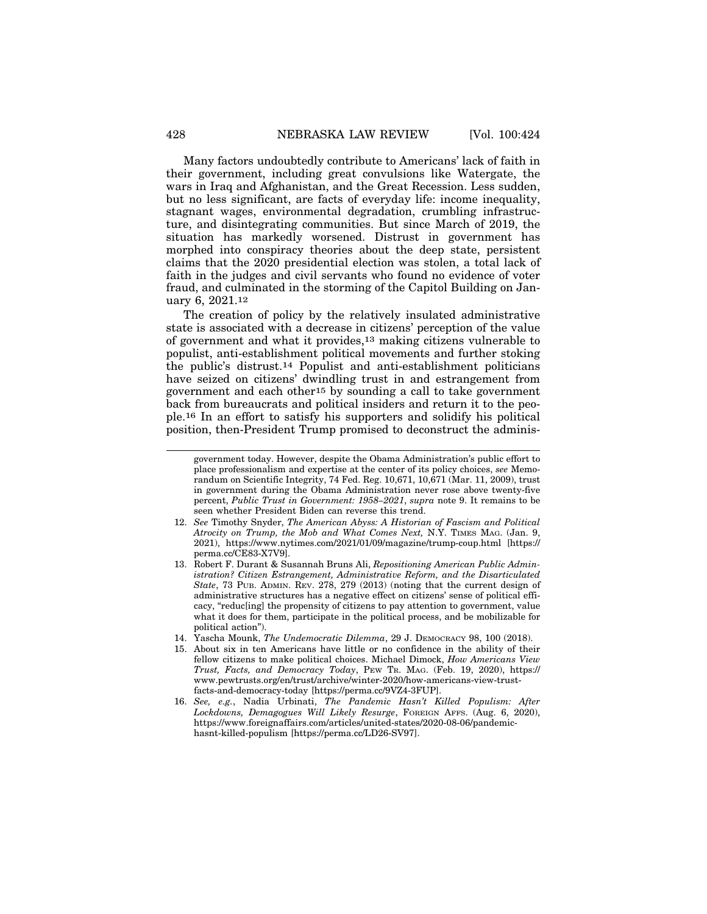Many factors undoubtedly contribute to Americans' lack of faith in their government, including great convulsions like Watergate, the wars in Iraq and Afghanistan, and the Great Recession. Less sudden, but no less significant, are facts of everyday life: income inequality, stagnant wages, environmental degradation, crumbling infrastructure, and disintegrating communities. But since March of 2019, the situation has markedly worsened. Distrust in government has morphed into conspiracy theories about the deep state, persistent claims that the 2020 presidential election was stolen, a total lack of faith in the judges and civil servants who found no evidence of voter fraud, and culminated in the storming of the Capitol Building on January 6, 2021.12

The creation of policy by the relatively insulated administrative state is associated with a decrease in citizens' perception of the value of government and what it provides,13 making citizens vulnerable to populist, anti-establishment political movements and further stoking the public's distrust.14 Populist and anti-establishment politicians have seized on citizens' dwindling trust in and estrangement from government and each other15 by sounding a call to take government back from bureaucrats and political insiders and return it to the people.16 In an effort to satisfy his supporters and solidify his political position, then-President Trump promised to deconstruct the adminis-

government today. However, despite the Obama Administration's public effort to place professionalism and expertise at the center of its policy choices, *see* Memorandum on Scientific Integrity, 74 Fed. Reg. 10,671, 10,671 (Mar. 11, 2009), trust in government during the Obama Administration never rose above twenty-five percent, *Public Trust in Government: 1958–2021*, *supra* note 9. It remains to be seen whether President Biden can reverse this trend.

<sup>12.</sup> *See* Timothy Snyder, *The American Abyss: A Historian of Fascism and Political Atrocity on Trump, the Mob and What Comes Next,* N.Y. TIMES MAG. (Jan. 9, 2021), https://www.nytimes.com/2021/01/09/magazine/trump-coup.html [https:// perma.cc/CE83-X7V9].

<sup>13.</sup> Robert F. Durant & Susannah Bruns Ali, *Repositioning American Public Administration? Citizen Estrangement, Administrative Reform, and the Disarticulated State*, 73 PUB. ADMIN. REV. 278, 279 (2013) (noting that the current design of administrative structures has a negative effect on citizens' sense of political efficacy, "reduc[ing] the propensity of citizens to pay attention to government, value what it does for them, participate in the political process, and be mobilizable for political action").

<sup>14.</sup> Yascha Mounk, *The Undemocratic Dilemma*, 29 J. DEMOCRACY 98, 100 (2018).

<sup>15.</sup> About six in ten Americans have little or no confidence in the ability of their fellow citizens to make political choices. Michael Dimock, *How Americans View Trust, Facts, and Democracy Today*, PEW TR. MAG. (Feb. 19, 2020), https:// www.pewtrusts.org/en/trust/archive/winter-2020/how-americans-view-trustfacts-and-democracy-today [https://perma.cc/9VZ4-3FUP].

<sup>16.</sup> *See, e.g.*, Nadia Urbinati, *The Pandemic Hasn't Killed Populism: After Lockdowns, Demagogues Will Likely Resurge*, FOREIGN AFFS. (Aug. 6, 2020), https://www.foreignaffairs.com/articles/united-states/2020-08-06/pandemichasnt-killed-populism [https://perma.cc/LD26-SV97].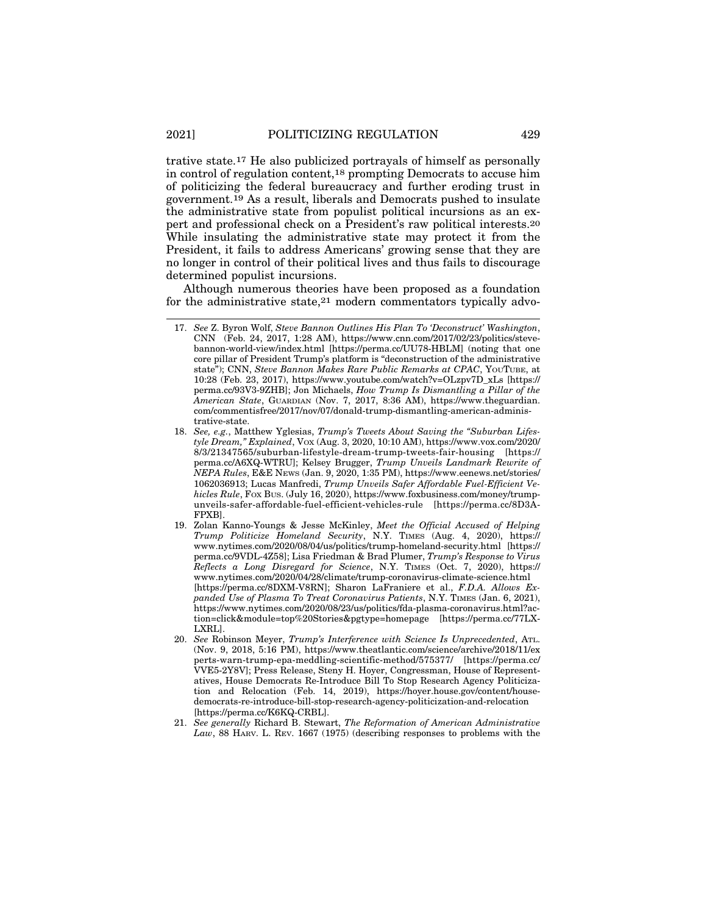trative state.17 He also publicized portrayals of himself as personally in control of regulation content,18 prompting Democrats to accuse him of politicizing the federal bureaucracy and further eroding trust in government.19 As a result, liberals and Democrats pushed to insulate the administrative state from populist political incursions as an expert and professional check on a President's raw political interests.20 While insulating the administrative state may protect it from the President, it fails to address Americans' growing sense that they are no longer in control of their political lives and thus fails to discourage determined populist incursions.

Although numerous theories have been proposed as a foundation for the administrative state,21 modern commentators typically advo-

- 20. *See* Robinson Meyer, *Trump's Interference with Science Is Unprecedented*, ATL. (Nov. 9, 2018, 5:16 PM), https://www.theatlantic.com/science/archive/2018/11/ex perts-warn-trump-epa-meddling-scientific-method/575377/ [https://perma.cc/ VVE5-2Y8V]; Press Release, Steny H. Hoyer, Congressman, House of Representatives, House Democrats Re-Introduce Bill To Stop Research Agency Politicization and Relocation (Feb. 14, 2019), https://hoyer.house.gov/content/housedemocrats-re-introduce-bill-stop-research-agency-politicization-and-relocation [https://perma.cc/K6KQ-CRBL].
- 21. *See generally* Richard B. Stewart, *The Reformation of American Administrative Law*, 88 HARV. L. REV. 1667 (1975) (describing responses to problems with the

<sup>17.</sup> *See* Z. Byron Wolf, *Steve Bannon Outlines His Plan To 'Deconstruct' Washington*, CNN (Feb. 24, 2017, 1:28 AM), https://www.cnn.com/2017/02/23/politics/stevebannon-world-view/index.html [https://perma.cc/UU78-HBLM] (noting that one core pillar of President Trump's platform is "deconstruction of the administrative state"); CNN, *Steve Bannon Makes Rare Public Remarks at CPAC*, YOUTUBE, at 10:28 (Feb. 23, 2017), https://www.youtube.com/watch?v=OLzpv7D\_xLs [https:// perma.cc/93V3-9ZHB]; Jon Michaels, *How Trump Is Dismantling a Pillar of the American State*, GUARDIAN (Nov. 7, 2017, 8:36 AM), https://www.theguardian. com/commentisfree/2017/nov/07/donald-trump-dismantling-american-administrative-state.

<sup>18.</sup> *See, e.g.*, Matthew Yglesias, *Trump's Tweets About Saving the "Suburban Lifestyle Dream," Explained*, VOX (Aug. 3, 2020, 10:10 AM), https://www.vox.com/2020/ 8/3/21347565/suburban-lifestyle-dream-trump-tweets-fair-housing [https:// perma.cc/A6XQ-WTRU]; Kelsey Brugger, *Trump Unveils Landmark Rewrite of NEPA Rules*, E&E NEWS (Jan. 9, 2020, 1:35 PM), https://www.eenews.net/stories/ 1062036913; Lucas Manfredi, *Trump Unveils Safer Affordable Fuel-Efficient Vehicles Rule*, FOX BUS. (July 16, 2020), https://www.foxbusiness.com/money/trumpunveils-safer-affordable-fuel-efficient-vehicles-rule [https://perma.cc/8D3A-FPXB].

<sup>19.</sup> Zolan Kanno-Youngs & Jesse McKinley, *Meet the Official Accused of Helping Trump Politicize Homeland Security*, N.Y. TIMES (Aug. 4, 2020), https:// www.nytimes.com/2020/08/04/us/politics/trump-homeland-security.html [https:// perma.cc/9VDL-4Z58]; Lisa Friedman & Brad Plumer, *Trump's Response to Virus Reflects a Long Disregard for Science*, N.Y. TIMES (Oct. 7, 2020), https:// www.nytimes.com/2020/04/28/climate/trump-coronavirus-climate-science.html [https://perma.cc/8DXM-V8RN]; Sharon LaFraniere et al., *F.D.A. Allows Expanded Use of Plasma To Treat Coronavirus Patients*, N.Y. TIMES (Jan. 6, 2021), https://www.nytimes.com/2020/08/23/us/politics/fda-plasma-coronavirus.html?action=click&module=top%20Stories&pgtype=homepage [https://perma.cc/77LX-LXRL].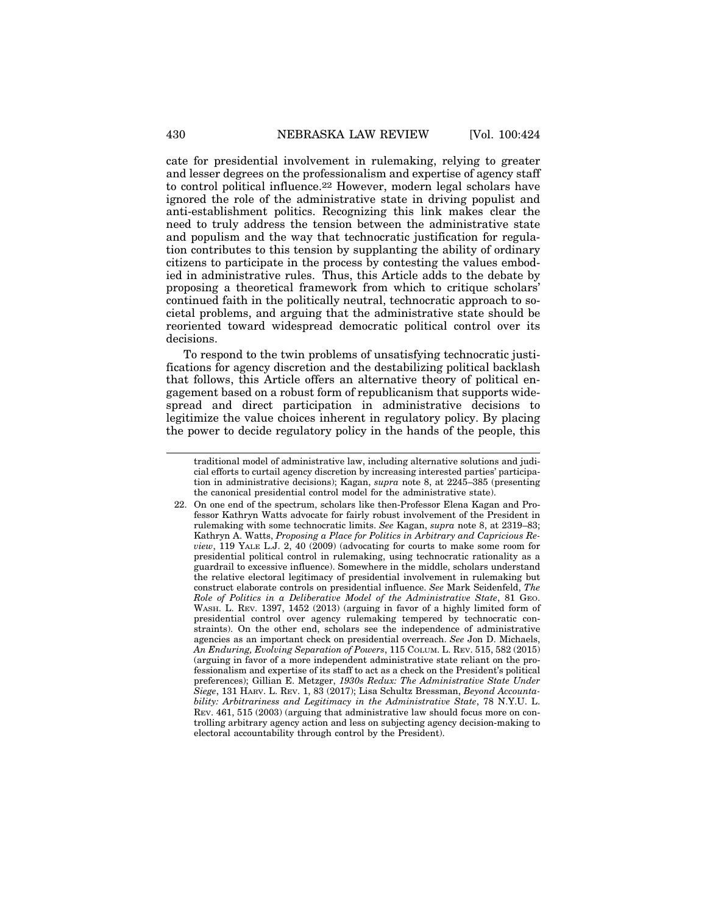cate for presidential involvement in rulemaking, relying to greater and lesser degrees on the professionalism and expertise of agency staff to control political influence.22 However, modern legal scholars have ignored the role of the administrative state in driving populist and anti-establishment politics. Recognizing this link makes clear the need to truly address the tension between the administrative state and populism and the way that technocratic justification for regulation contributes to this tension by supplanting the ability of ordinary citizens to participate in the process by contesting the values embodied in administrative rules. Thus, this Article adds to the debate by proposing a theoretical framework from which to critique scholars' continued faith in the politically neutral, technocratic approach to societal problems, and arguing that the administrative state should be reoriented toward widespread democratic political control over its decisions.

To respond to the twin problems of unsatisfying technocratic justifications for agency discretion and the destabilizing political backlash that follows, this Article offers an alternative theory of political engagement based on a robust form of republicanism that supports widespread and direct participation in administrative decisions to legitimize the value choices inherent in regulatory policy. By placing the power to decide regulatory policy in the hands of the people, this

traditional model of administrative law, including alternative solutions and judicial efforts to curtail agency discretion by increasing interested parties' participation in administrative decisions); Kagan, *supra* note 8, at 2245–385 (presenting the canonical presidential control model for the administrative state).

<sup>22.</sup> On one end of the spectrum, scholars like then-Professor Elena Kagan and Professor Kathryn Watts advocate for fairly robust involvement of the President in rulemaking with some technocratic limits. *See* Kagan, *supra* note 8, at 2319–83; Kathryn A. Watts, *Proposing a Place for Politics in Arbitrary and Capricious Review*, 119 YALE L.J. 2, 40 (2009) (advocating for courts to make some room for presidential political control in rulemaking, using technocratic rationality as a guardrail to excessive influence). Somewhere in the middle, scholars understand the relative electoral legitimacy of presidential involvement in rulemaking but construct elaborate controls on presidential influence. *See* Mark Seidenfeld, *The Role of Politics in a Deliberative Model of the Administrative State*, 81 GEO. WASH. L. REV. 1397, 1452 (2013) (arguing in favor of a highly limited form of presidential control over agency rulemaking tempered by technocratic constraints). On the other end, scholars see the independence of administrative agencies as an important check on presidential overreach. *See* Jon D. Michaels, *An Enduring, Evolving Separation of Powers*, 115 COLUM. L. REV. 515, 582 (2015) (arguing in favor of a more independent administrative state reliant on the professionalism and expertise of its staff to act as a check on the President's political preferences); Gillian E. Metzger, *1930s Redux: The Administrative State Under Siege*, 131 HARV. L. REV. 1, 83 (2017); Lisa Schultz Bressman, *Beyond Accountability: Arbitrariness and Legitimacy in the Administrative State*, 78 N.Y.U. L. REV. 461, 515 (2003) (arguing that administrative law should focus more on controlling arbitrary agency action and less on subjecting agency decision-making to electoral accountability through control by the President).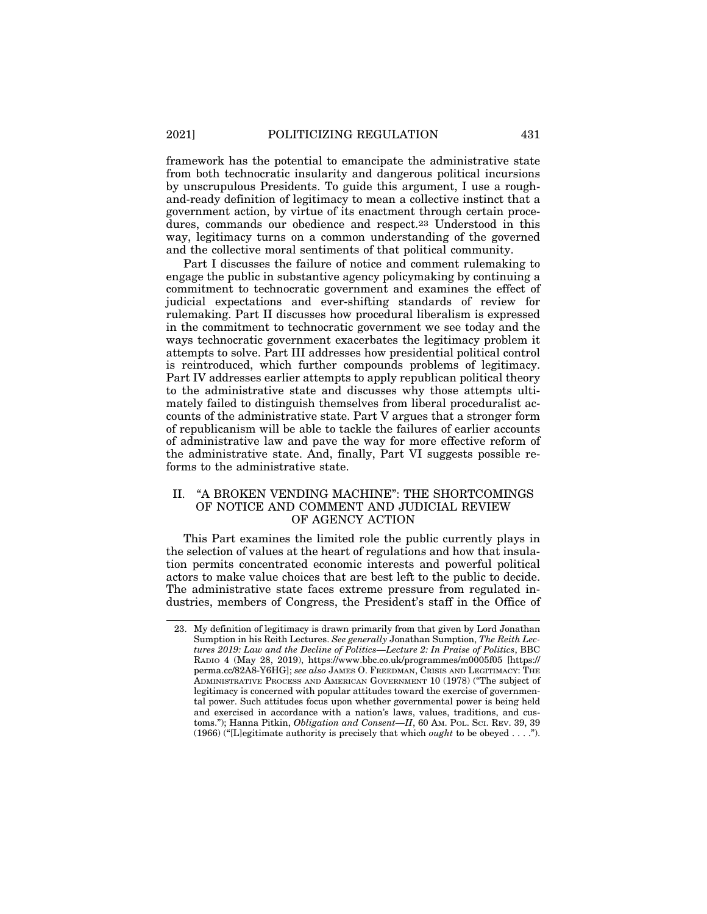framework has the potential to emancipate the administrative state from both technocratic insularity and dangerous political incursions by unscrupulous Presidents. To guide this argument, I use a roughand-ready definition of legitimacy to mean a collective instinct that a government action, by virtue of its enactment through certain procedures, commands our obedience and respect.23 Understood in this way, legitimacy turns on a common understanding of the governed and the collective moral sentiments of that political community.

Part I discusses the failure of notice and comment rulemaking to engage the public in substantive agency policymaking by continuing a commitment to technocratic government and examines the effect of judicial expectations and ever-shifting standards of review for rulemaking. Part II discusses how procedural liberalism is expressed in the commitment to technocratic government we see today and the ways technocratic government exacerbates the legitimacy problem it attempts to solve. Part III addresses how presidential political control is reintroduced, which further compounds problems of legitimacy. Part IV addresses earlier attempts to apply republican political theory to the administrative state and discusses why those attempts ultimately failed to distinguish themselves from liberal proceduralist accounts of the administrative state. Part V argues that a stronger form of republicanism will be able to tackle the failures of earlier accounts of administrative law and pave the way for more effective reform of the administrative state. And, finally, Part VI suggests possible reforms to the administrative state.

#### II. "A BROKEN VENDING MACHINE": THE SHORTCOMINGS OF NOTICE AND COMMENT AND JUDICIAL REVIEW OF AGENCY ACTION

This Part examines the limited role the public currently plays in the selection of values at the heart of regulations and how that insulation permits concentrated economic interests and powerful political actors to make value choices that are best left to the public to decide. The administrative state faces extreme pressure from regulated industries, members of Congress, the President's staff in the Office of

<sup>23.</sup> My definition of legitimacy is drawn primarily from that given by Lord Jonathan Sumption in his Reith Lectures. *See generally* Jonathan Sumption, *The Reith Lectures 2019: Law and the Decline of Politics—Lecture 2: In Praise of Politics*, BBC RADIO 4 (May 28, 2019), https://www.bbc.co.uk/programmes/m0005f05 [https:// perma.cc/82A8-Y6HG]; *see also* JAMES O. FREEDMAN, CRISIS AND LEGITIMACY: THE ADMINISTRATIVE PROCESS AND AMERICAN GOVERNMENT 10 (1978) ("The subject of legitimacy is concerned with popular attitudes toward the exercise of governmental power. Such attitudes focus upon whether governmental power is being held and exercised in accordance with a nation's laws, values, traditions, and customs."); Hanna Pitkin, *Obligation and Consent—II*, 60 AM. POL. SCI. REV. 39, 39 (1966) ("[L]egitimate authority is precisely that which *ought* to be obeyed . . . .").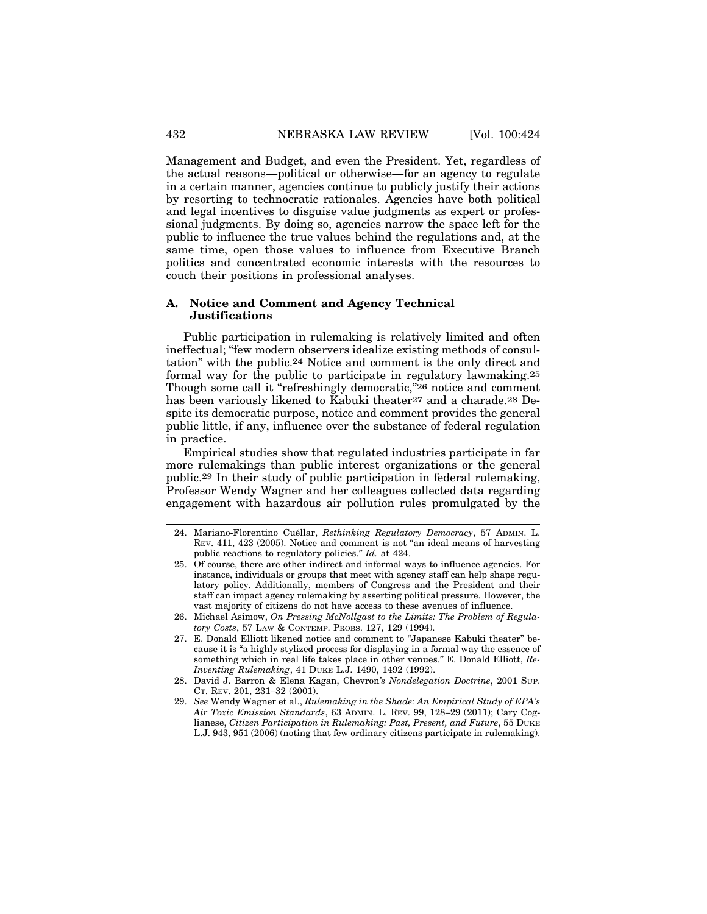Management and Budget, and even the President. Yet, regardless of the actual reasons—political or otherwise—for an agency to regulate in a certain manner, agencies continue to publicly justify their actions by resorting to technocratic rationales. Agencies have both political and legal incentives to disguise value judgments as expert or professional judgments. By doing so, agencies narrow the space left for the public to influence the true values behind the regulations and, at the same time, open those values to influence from Executive Branch politics and concentrated economic interests with the resources to couch their positions in professional analyses.

#### **A. Notice and Comment and Agency Technical Justifications**

Public participation in rulemaking is relatively limited and often ineffectual; "few modern observers idealize existing methods of consultation" with the public.24 Notice and comment is the only direct and formal way for the public to participate in regulatory lawmaking.25 Though some call it "refreshingly democratic,"26 notice and comment has been variously likened to Kabuki theater<sup>27</sup> and a charade.<sup>28</sup> Despite its democratic purpose, notice and comment provides the general public little, if any, influence over the substance of federal regulation in practice.

Empirical studies show that regulated industries participate in far more rulemakings than public interest organizations or the general public.29 In their study of public participation in federal rulemaking, Professor Wendy Wagner and her colleagues collected data regarding engagement with hazardous air pollution rules promulgated by the

- 25. Of course, there are other indirect and informal ways to influence agencies. For instance, individuals or groups that meet with agency staff can help shape regulatory policy. Additionally, members of Congress and the President and their staff can impact agency rulemaking by asserting political pressure. However, the vast majority of citizens do not have access to these avenues of influence.
- 26. Michael Asimow, *On Pressing McNollgast to the Limits: The Problem of Regulatory Costs*, 57 LAW & CONTEMP. PROBS. 127, 129 (1994).
- 27. E. Donald Elliott likened notice and comment to "Japanese Kabuki theater" because it is "a highly stylized process for displaying in a formal way the essence of something which in real life takes place in other venues." E. Donald Elliott, *Re-Inventing Rulemaking*, 41 DUKE L.J. 1490, 1492 (1992).
- 28. David J. Barron & Elena Kagan, Chevron*'s Nondelegation Doctrine*, 2001 SUP. CT. REV. 201, 231–32 (2001).
- 29. *See* Wendy Wagner et al., *Rulemaking in the Shade: An Empirical Study of EPA's Air Toxic Emission Standards*, 63 ADMIN. L. REV. 99, 128–29 (2011); Cary Coglianese, *Citizen Participation in Rulemaking: Past, Present, and Future*, 55 DUKE L.J. 943, 951 (2006) (noting that few ordinary citizens participate in rulemaking).

<sup>24.</sup> Mariano-Florentino Cuéllar, *Rethinking Regulatory Democracy*, 57 ADMIN. L. REV. 411, 423 (2005). Notice and comment is not "an ideal means of harvesting public reactions to regulatory policies." *Id.* at 424.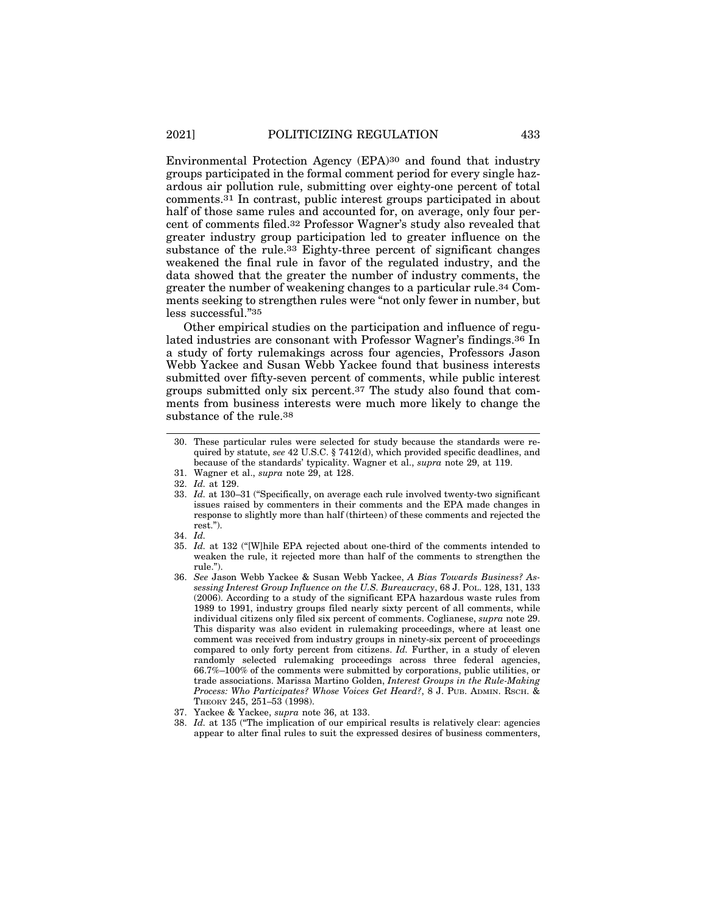Environmental Protection Agency (EPA)30 and found that industry groups participated in the formal comment period for every single hazardous air pollution rule, submitting over eighty-one percent of total comments.31 In contrast, public interest groups participated in about half of those same rules and accounted for, on average, only four percent of comments filed.32 Professor Wagner's study also revealed that greater industry group participation led to greater influence on the substance of the rule.33 Eighty-three percent of significant changes weakened the final rule in favor of the regulated industry, and the data showed that the greater the number of industry comments, the greater the number of weakening changes to a particular rule.34 Comments seeking to strengthen rules were "not only fewer in number, but less successful."35

Other empirical studies on the participation and influence of regulated industries are consonant with Professor Wagner's findings.36 In a study of forty rulemakings across four agencies, Professors Jason Webb Yackee and Susan Webb Yackee found that business interests submitted over fifty-seven percent of comments, while public interest groups submitted only six percent.37 The study also found that comments from business interests were much more likely to change the substance of the rule.38

- 33. *Id.* at 130–31 ("Specifically, on average each rule involved twenty-two significant issues raised by commenters in their comments and the EPA made changes in response to slightly more than half (thirteen) of these comments and rejected the rest.").
- 34. *Id.*
- 35. *Id.* at 132 ("[W]hile EPA rejected about one-third of the comments intended to weaken the rule, it rejected more than half of the comments to strengthen the rule.").
- 36. *See* Jason Webb Yackee & Susan Webb Yackee, *A Bias Towards Business? Assessing Interest Group Influence on the U.S. Bureaucracy*, 68 J. POL. 128, 131, 133 (2006). According to a study of the significant EPA hazardous waste rules from 1989 to 1991, industry groups filed nearly sixty percent of all comments, while individual citizens only filed six percent of comments. Coglianese, *supra* note 29. This disparity was also evident in rulemaking proceedings, where at least one comment was received from industry groups in ninety-six percent of proceedings compared to only forty percent from citizens. *Id.* Further, in a study of eleven randomly selected rulemaking proceedings across three federal agencies, 66.7%–100% of the comments were submitted by corporations, public utilities, or trade associations. Marissa Martino Golden, *Interest Groups in the Rule-Making Process: Who Participates? Whose Voices Get Heard?*, 8 J. PUB. ADMIN. RSCH. & THEORY 245, 251–53 (1998).
- 37. Yackee & Yackee, *supra* note 36, at 133.
- 38. *Id.* at 135 ("The implication of our empirical results is relatively clear: agencies appear to alter final rules to suit the expressed desires of business commenters,

<sup>30.</sup> These particular rules were selected for study because the standards were required by statute, *see* 42 U.S.C. § 7412(d), which provided specific deadlines, and because of the standards' typicality. Wagner et al., *supra* note 29, at 119.

<sup>31.</sup> Wagner et al., *supra* note 29, at 128.

<sup>32.</sup> *Id.* at 129.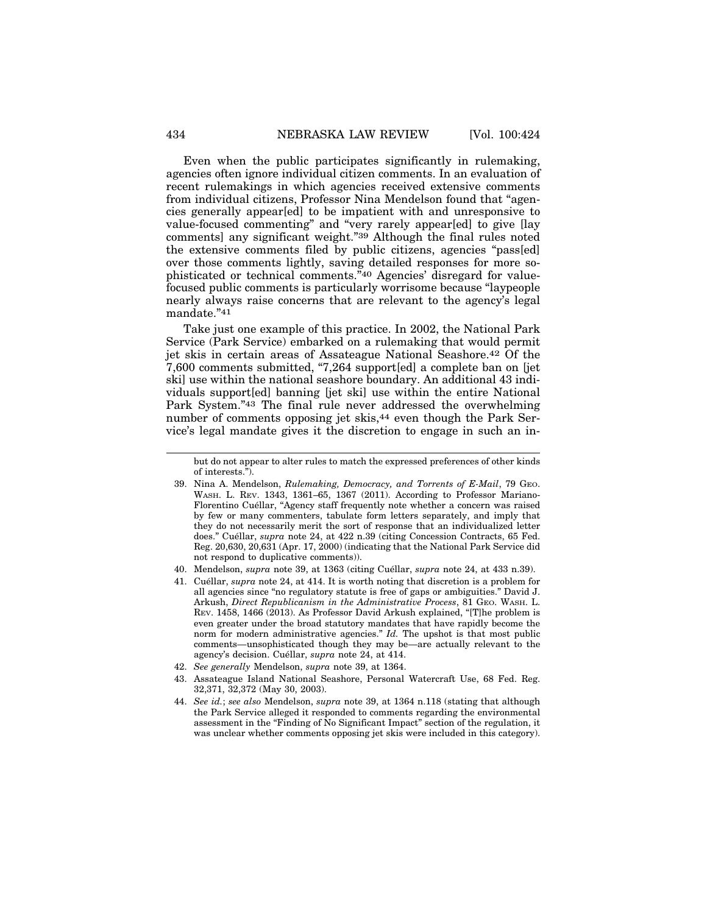Even when the public participates significantly in rulemaking, agencies often ignore individual citizen comments. In an evaluation of recent rulemakings in which agencies received extensive comments from individual citizens, Professor Nina Mendelson found that "agencies generally appear[ed] to be impatient with and unresponsive to value-focused commenting" and "very rarely appear[ed] to give [lay comments] any significant weight."39 Although the final rules noted the extensive comments filed by public citizens, agencies "pass[ed] over those comments lightly, saving detailed responses for more sophisticated or technical comments."40 Agencies' disregard for valuefocused public comments is particularly worrisome because "laypeople nearly always raise concerns that are relevant to the agency's legal mandate."41

Take just one example of this practice. In 2002, the National Park Service (Park Service) embarked on a rulemaking that would permit jet skis in certain areas of Assateague National Seashore.42 Of the 7,600 comments submitted, "7,264 support[ed] a complete ban on [jet ski] use within the national seashore boundary. An additional 43 individuals support[ed] banning [jet ski] use within the entire National Park System."43 The final rule never addressed the overwhelming number of comments opposing jet skis,44 even though the Park Service's legal mandate gives it the discretion to engage in such an in-

- 40. Mendelson, *supra* note 39, at 1363 (citing Cuéllar, *supra* note 24, at 433 n.39).
- 41. Cu´ellar, *supra* note 24, at 414. It is worth noting that discretion is a problem for all agencies since "no regulatory statute is free of gaps or ambiguities." David J. Arkush, *Direct Republicanism in the Administrative Process*, 81 GEO. WASH. L. REV. 1458, 1466 (2013). As Professor David Arkush explained, "[T]he problem is even greater under the broad statutory mandates that have rapidly become the norm for modern administrative agencies." *Id.* The upshot is that most public comments—unsophisticated though they may be—are actually relevant to the agency's decision. Cuéllar, *supra* note 24, at 414.
- 42. *See generally* Mendelson, *supra* note 39, at 1364.
- 43. Assateague Island National Seashore, Personal Watercraft Use, 68 Fed. Reg. 32,371, 32,372 (May 30, 2003).
- 44. *See id.*; *see also* Mendelson, *supra* note 39, at 1364 n.118 (stating that although the Park Service alleged it responded to comments regarding the environmental assessment in the "Finding of No Significant Impact" section of the regulation, it was unclear whether comments opposing jet skis were included in this category).

but do not appear to alter rules to match the expressed preferences of other kinds of interests.").

<sup>39.</sup> Nina A. Mendelson, *Rulemaking, Democracy, and Torrents of E-Mail*, 79 GEO. WASH. L. REV. 1343, 1361–65, 1367 (2011). According to Professor Mariano-Florentino Cuéllar, "Agency staff frequently note whether a concern was raised by few or many commenters, tabulate form letters separately, and imply that they do not necessarily merit the sort of response that an individualized letter does." Cuéllar, *supra* note 24, at 422 n.39 (citing Concession Contracts, 65 Fed. Reg. 20,630, 20,631 (Apr. 17, 2000) (indicating that the National Park Service did not respond to duplicative comments)).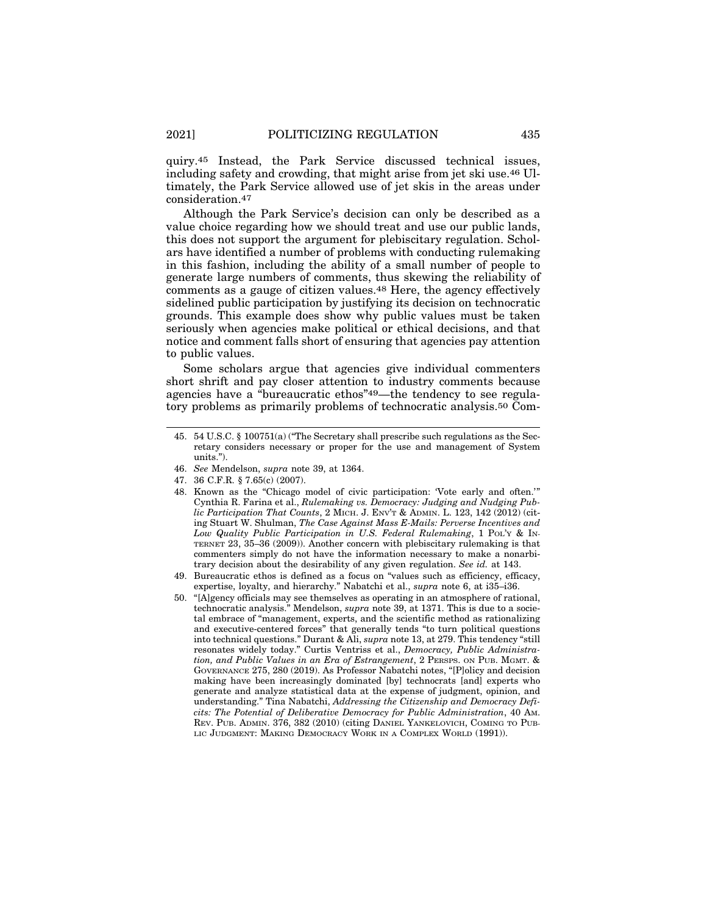quiry.45 Instead, the Park Service discussed technical issues, including safety and crowding, that might arise from jet ski use.46 Ultimately, the Park Service allowed use of jet skis in the areas under consideration.47

Although the Park Service's decision can only be described as a value choice regarding how we should treat and use our public lands, this does not support the argument for plebiscitary regulation. Scholars have identified a number of problems with conducting rulemaking in this fashion, including the ability of a small number of people to generate large numbers of comments, thus skewing the reliability of comments as a gauge of citizen values.48 Here, the agency effectively sidelined public participation by justifying its decision on technocratic grounds. This example does show why public values must be taken seriously when agencies make political or ethical decisions, and that notice and comment falls short of ensuring that agencies pay attention to public values.

Some scholars argue that agencies give individual commenters short shrift and pay closer attention to industry comments because agencies have a "bureaucratic ethos"49—the tendency to see regulatory problems as primarily problems of technocratic analysis.50 Com-

- 46. *See* Mendelson, *supra* note 39, at 1364.
- 47. 36 C.F.R. § 7.65(c) (2007).
- 48. Known as the "Chicago model of civic participation: 'Vote early and often.'" Cynthia R. Farina et al., *Rulemaking vs. Democracy: Judging and Nudging Public Participation That Counts*, 2 MICH. J. ENV'T & ADMIN. L. 123, 142 (2012) (citing Stuart W. Shulman, *The Case Against Mass E-Mails: Perverse Incentives and Low Quality Public Participation in U.S. Federal Rulemaking*, 1 POL'Y & IN-TERNET 23, 35–36 (2009)). Another concern with plebiscitary rulemaking is that commenters simply do not have the information necessary to make a nonarbitrary decision about the desirability of any given regulation. *See id.* at 143.
- 49. Bureaucratic ethos is defined as a focus on "values such as efficiency, efficacy, expertise, loyalty, and hierarchy." Nabatchi et al., *supra* note 6, at i35–i36.
- 50. "[A]gency officials may see themselves as operating in an atmosphere of rational, technocratic analysis." Mendelson, *supra* note 39, at 1371. This is due to a societal embrace of "management, experts, and the scientific method as rationalizing and executive-centered forces" that generally tends "to turn political questions into technical questions." Durant & Ali, *supra* note 13, at 279. This tendency "still resonates widely today." Curtis Ventriss et al., *Democracy, Public Administration, and Public Values in an Era of Estrangement*, 2 PERSPS. ON PUB. MGMT. & GOVERNANCE 275, 280 (2019). As Professor Nabatchi notes, "[P]olicy and decision making have been increasingly dominated [by] technocrats [and] experts who generate and analyze statistical data at the expense of judgment, opinion, and understanding." Tina Nabatchi, *Addressing the Citizenship and Democracy Deficits: The Potential of Deliberative Democracy for Public Administration*, 40 AM. REV. PUB. ADMIN. 376, 382 (2010) (citing DANIEL YANKELOVICH, COMING TO PUB-LIC JUDGMENT: MAKING DEMOCRACY WORK IN A COMPLEX WORLD (1991)).

<sup>45. 54</sup> U.S.C. § 100751(a) ("The Secretary shall prescribe such regulations as the Secretary considers necessary or proper for the use and management of System units.").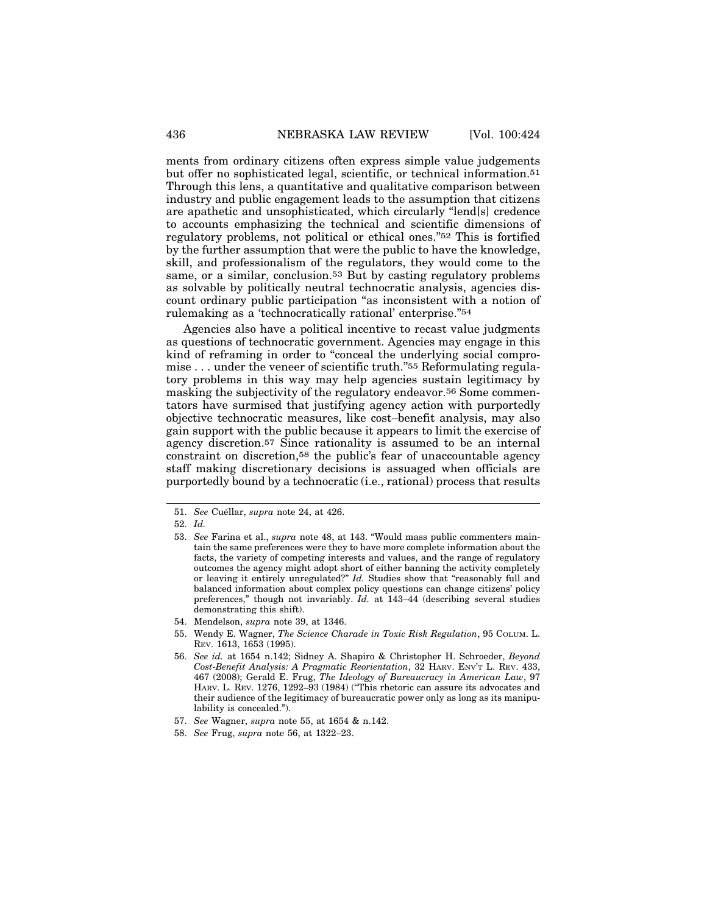ments from ordinary citizens often express simple value judgements but offer no sophisticated legal, scientific, or technical information.51 Through this lens, a quantitative and qualitative comparison between industry and public engagement leads to the assumption that citizens are apathetic and unsophisticated, which circularly "lend[s] credence to accounts emphasizing the technical and scientific dimensions of regulatory problems, not political or ethical ones."52 This is fortified by the further assumption that were the public to have the knowledge, skill, and professionalism of the regulators, they would come to the same, or a similar, conclusion.53 But by casting regulatory problems as solvable by politically neutral technocratic analysis, agencies discount ordinary public participation "as inconsistent with a notion of rulemaking as a 'technocratically rational' enterprise."54

Agencies also have a political incentive to recast value judgments as questions of technocratic government. Agencies may engage in this kind of reframing in order to "conceal the underlying social compromise . . . under the veneer of scientific truth."55 Reformulating regulatory problems in this way may help agencies sustain legitimacy by masking the subjectivity of the regulatory endeavor.56 Some commentators have surmised that justifying agency action with purportedly objective technocratic measures, like cost–benefit analysis, may also gain support with the public because it appears to limit the exercise of agency discretion.57 Since rationality is assumed to be an internal constraint on discretion,58 the public's fear of unaccountable agency staff making discretionary decisions is assuaged when officials are purportedly bound by a technocratic (i.e., rational) process that results

- 54. Mendelson, *supra* note 39, at 1346.
- 55. Wendy E. Wagner, *The Science Charade in Toxic Risk Regulation*, 95 COLUM. L. REV. 1613, 1653 (1995).
- 56. *See id.* at 1654 n.142; Sidney A. Shapiro & Christopher H. Schroeder, *Beyond Cost-Benefit Analysis: A Pragmatic Reorientation*, 32 HARV. ENV'T L. REV. 433, 467 (2008); Gerald E. Frug, *The Ideology of Bureaucracy in American Law*, 97 HARV. L. REV. 1276, 1292–93 (1984) ("This rhetoric can assure its advocates and their audience of the legitimacy of bureaucratic power only as long as its manipulability is concealed.").
- 57. *See* Wagner, *supra* note 55, at 1654 & n.142.
- 58. *See* Frug, *supra* note 56, at 1322–23.

<sup>51.</sup> *See* Cuéllar, *supra* note 24, at 426.

<sup>52.</sup> *Id.*

<sup>53.</sup> *See* Farina et al., *supra* note 48, at 143. "Would mass public commenters maintain the same preferences were they to have more complete information about the facts, the variety of competing interests and values, and the range of regulatory outcomes the agency might adopt short of either banning the activity completely or leaving it entirely unregulated?" *Id.* Studies show that "reasonably full and balanced information about complex policy questions can change citizens' policy preferences," though not invariably. *Id.* at 143–44 (describing several studies demonstrating this shift).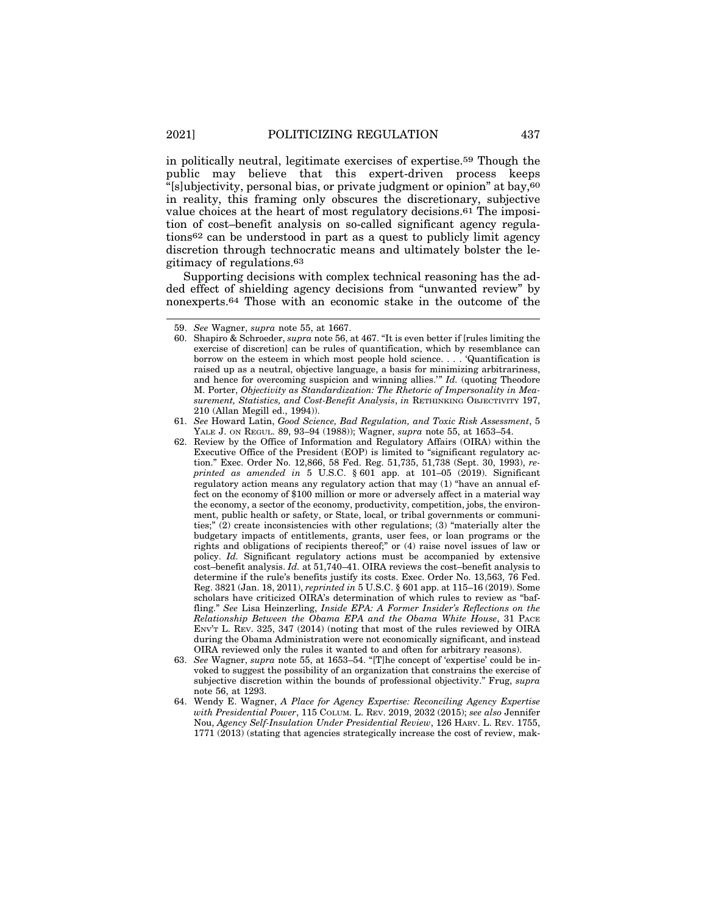in politically neutral, legitimate exercises of expertise.59 Though the public may believe that this expert-driven process keeps "[s]ubjectivity, personal bias, or private judgment or opinion" at bay,60 in reality, this framing only obscures the discretionary, subjective value choices at the heart of most regulatory decisions.61 The imposition of cost–benefit analysis on so-called significant agency regulations62 can be understood in part as a quest to publicly limit agency discretion through technocratic means and ultimately bolster the legitimacy of regulations.63

Supporting decisions with complex technical reasoning has the added effect of shielding agency decisions from "unwanted review" by nonexperts.64 Those with an economic stake in the outcome of the

64. Wendy E. Wagner, *A Place for Agency Expertise: Reconciling Agency Expertise with Presidential Power*, 115 COLUM. L. REV. 2019, 2032 (2015); *see also* Jennifer Nou, *Agency Self-Insulation Under Presidential Review*, 126 HARV. L. REV. 1755, 1771 (2013) (stating that agencies strategically increase the cost of review, mak-

<sup>59.</sup> *See* Wagner, *supra* note 55, at 1667.

<sup>60.</sup> Shapiro & Schroeder, *supra* note 56, at 467. "It is even better if [rules limiting the exercise of discretion] can be rules of quantification, which by resemblance can borrow on the esteem in which most people hold science. . . . 'Quantification is raised up as a neutral, objective language, a basis for minimizing arbitrariness, and hence for overcoming suspicion and winning allies.'" *Id.* (quoting Theodore M. Porter, *Objectivity as Standardization: The Rhetoric of Impersonality in Measurement, Statistics, and Cost-Benefit Analysis*, *in* RETHINKING OBJECTIVITY 197, 210 (Allan Megill ed., 1994)).

<sup>61.</sup> *See* Howard Latin, *Good Science, Bad Regulation, and Toxic Risk Assessment*, 5 YALE J. ON REGUL. 89, 93–94 (1988)); Wagner, *supra* note 55, at 1653–54.

<sup>62.</sup> Review by the Office of Information and Regulatory Affairs (OIRA) within the Executive Office of the President (EOP) is limited to "significant regulatory action." Exec. Order No. 12,866, 58 Fed. Reg. 51,735, 51,738 (Sept. 30, 1993), *reprinted as amended in* 5 U.S.C. § 601 app. at 101–05 (2019). Significant regulatory action means any regulatory action that may (1) "have an annual effect on the economy of \$100 million or more or adversely affect in a material way the economy, a sector of the economy, productivity, competition, jobs, the environment, public health or safety, or State, local, or tribal governments or communities;" (2) create inconsistencies with other regulations; (3) "materially alter the budgetary impacts of entitlements, grants, user fees, or loan programs or the rights and obligations of recipients thereof;" or (4) raise novel issues of law or policy. *Id.* Significant regulatory actions must be accompanied by extensive cost–benefit analysis. *Id.* at 51,740–41. OIRA reviews the cost–benefit analysis to determine if the rule's benefits justify its costs. Exec. Order No. 13,563, 76 Fed. Reg. 3821 (Jan. 18, 2011), *reprinted in* 5 U.S.C. § 601 app. at 115–16 (2019). Some scholars have criticized OIRA's determination of which rules to review as "baffling." *See* Lisa Heinzerling, *Inside EPA: A Former Insider's Reflections on the Relationship Between the Obama EPA and the Obama White House*, 31 PACE ENV'T L. REV. 325, 347 (2014) (noting that most of the rules reviewed by OIRA during the Obama Administration were not economically significant, and instead OIRA reviewed only the rules it wanted to and often for arbitrary reasons).

<sup>63.</sup> *See* Wagner, *supra* note 55, at 1653–54. "[T]he concept of 'expertise' could be invoked to suggest the possibility of an organization that constrains the exercise of subjective discretion within the bounds of professional objectivity." Frug, *supra* note 56, at 1293.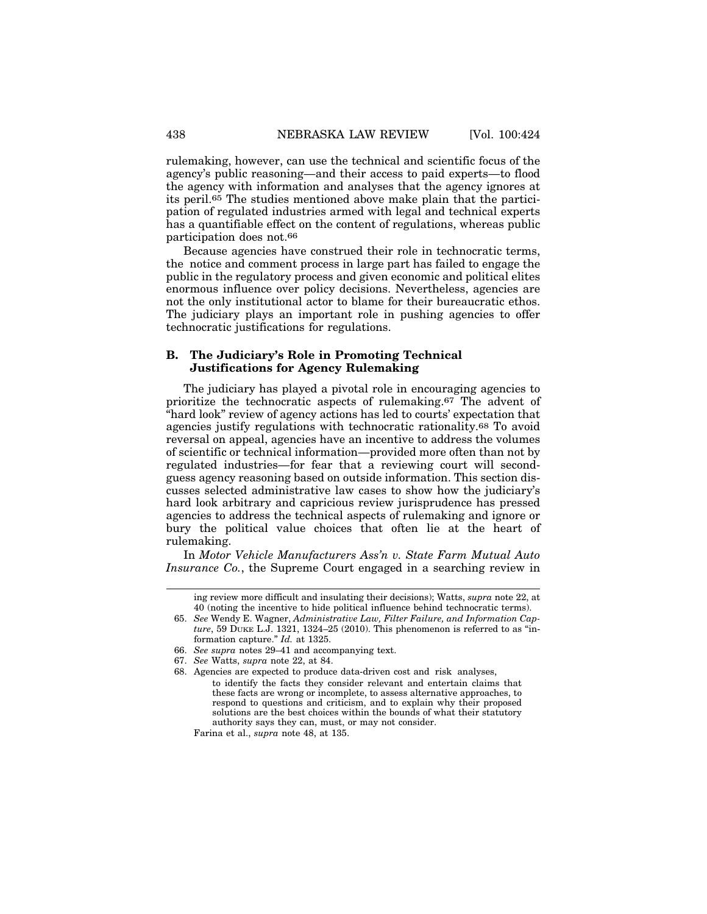rulemaking, however, can use the technical and scientific focus of the agency's public reasoning—and their access to paid experts—to flood the agency with information and analyses that the agency ignores at its peril.65 The studies mentioned above make plain that the participation of regulated industries armed with legal and technical experts has a quantifiable effect on the content of regulations, whereas public participation does not.66

Because agencies have construed their role in technocratic terms, the notice and comment process in large part has failed to engage the public in the regulatory process and given economic and political elites enormous influence over policy decisions. Nevertheless, agencies are not the only institutional actor to blame for their bureaucratic ethos. The judiciary plays an important role in pushing agencies to offer technocratic justifications for regulations.

#### **B. The Judiciary's Role in Promoting Technical Justifications for Agency Rulemaking**

The judiciary has played a pivotal role in encouraging agencies to prioritize the technocratic aspects of rulemaking.67 The advent of "hard look" review of agency actions has led to courts' expectation that agencies justify regulations with technocratic rationality.68 To avoid reversal on appeal, agencies have an incentive to address the volumes of scientific or technical information—provided more often than not by regulated industries—for fear that a reviewing court will secondguess agency reasoning based on outside information. This section discusses selected administrative law cases to show how the judiciary's hard look arbitrary and capricious review jurisprudence has pressed agencies to address the technical aspects of rulemaking and ignore or bury the political value choices that often lie at the heart of rulemaking.

In *Motor Vehicle Manufacturers Ass'n v. State Farm Mutual Auto Insurance Co.*, the Supreme Court engaged in a searching review in

67. *See* Watts, *supra* note 22, at 84.

Farina et al., *supra* note 48, at 135.

ing review more difficult and insulating their decisions); Watts, *supra* note 22, at 40 (noting the incentive to hide political influence behind technocratic terms).

<sup>65.</sup> *See* Wendy E. Wagner, *Administrative Law, Filter Failure, and Information Capture*, 59 DUKE L.J. 1321, 1324–25 (2010). This phenomenon is referred to as "information capture." *Id.* at 1325.

<sup>66.</sup> *See supra* notes 29–41 and accompanying text.

<sup>68.</sup> Agencies are expected to produce data-driven cost and risk analyses, to identify the facts they consider relevant and entertain claims that these facts are wrong or incomplete, to assess alternative approaches, to respond to questions and criticism, and to explain why their proposed solutions are the best choices within the bounds of what their statutory authority says they can, must, or may not consider.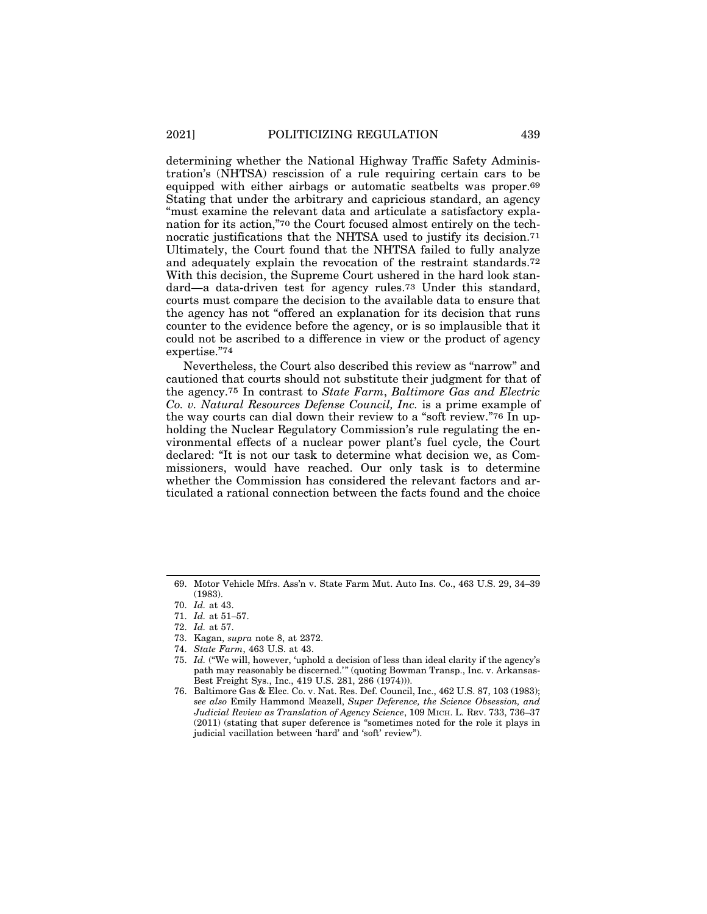determining whether the National Highway Traffic Safety Administration's (NHTSA) rescission of a rule requiring certain cars to be equipped with either airbags or automatic seatbelts was proper.69 Stating that under the arbitrary and capricious standard, an agency "must examine the relevant data and articulate a satisfactory explanation for its action,"70 the Court focused almost entirely on the technocratic justifications that the NHTSA used to justify its decision.71 Ultimately, the Court found that the NHTSA failed to fully analyze and adequately explain the revocation of the restraint standards.72 With this decision, the Supreme Court ushered in the hard look standard—a data-driven test for agency rules.73 Under this standard, courts must compare the decision to the available data to ensure that the agency has not "offered an explanation for its decision that runs counter to the evidence before the agency, or is so implausible that it could not be ascribed to a difference in view or the product of agency expertise."74

Nevertheless, the Court also described this review as "narrow" and cautioned that courts should not substitute their judgment for that of the agency.75 In contrast to *State Farm*, *Baltimore Gas and Electric Co. v. Natural Resources Defense Council, Inc.* is a prime example of the way courts can dial down their review to a "soft review."76 In upholding the Nuclear Regulatory Commission's rule regulating the environmental effects of a nuclear power plant's fuel cycle, the Court declared: "It is not our task to determine what decision we, as Commissioners, would have reached. Our only task is to determine whether the Commission has considered the relevant factors and articulated a rational connection between the facts found and the choice

<sup>69.</sup> Motor Vehicle Mfrs. Ass'n v. State Farm Mut. Auto Ins. Co., 463 U.S. 29, 34–39 (1983).

<sup>70.</sup> *Id.* at 43.

<sup>71.</sup> *Id.* at 51–57.

<sup>72.</sup> *Id.* at 57.

<sup>73.</sup> Kagan, *supra* note 8, at 2372.

<sup>74.</sup> *State Farm*, 463 U.S. at 43.

<sup>75.</sup> *Id.* ("We will, however, 'uphold a decision of less than ideal clarity if the agency's path may reasonably be discerned.'" (quoting Bowman Transp., Inc. v. Arkansas-Best Freight Sys., Inc., 419 U.S. 281, 286 (1974))).

<sup>76.</sup> Baltimore Gas & Elec. Co. v. Nat. Res. Def. Council, Inc., 462 U.S. 87, 103 (1983); *see also* Emily Hammond Meazell, *Super Deference, the Science Obsession, and Judicial Review as Translation of Agency Science*, 109 MICH. L. REV. 733, 736–37 (2011) (stating that super deference is "sometimes noted for the role it plays in judicial vacillation between 'hard' and 'soft' review").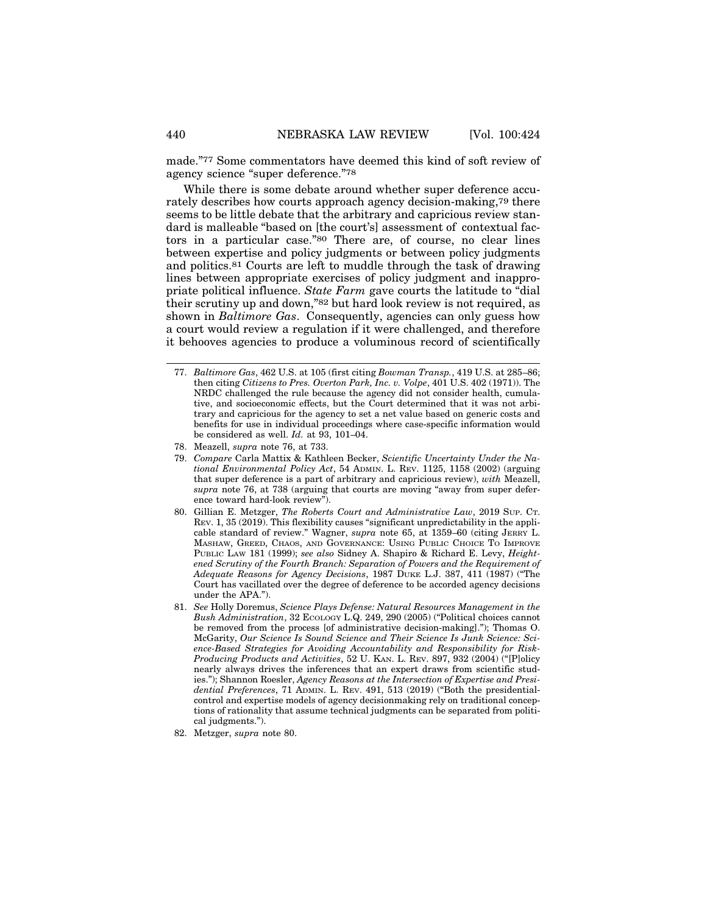made."77 Some commentators have deemed this kind of soft review of agency science "super deference."78

While there is some debate around whether super deference accurately describes how courts approach agency decision-making,79 there seems to be little debate that the arbitrary and capricious review standard is malleable "based on [the court's] assessment of contextual factors in a particular case."80 There are, of course, no clear lines between expertise and policy judgments or between policy judgments and politics.81 Courts are left to muddle through the task of drawing lines between appropriate exercises of policy judgment and inappropriate political influence. *State Farm* gave courts the latitude to "dial their scrutiny up and down,"82 but hard look review is not required, as shown in *Baltimore Gas*. Consequently, agencies can only guess how a court would review a regulation if it were challenged, and therefore it behooves agencies to produce a voluminous record of scientifically

<sup>77.</sup> *Baltimore Gas*, 462 U.S. at 105 (first citing *Bowman Transp.*, 419 U.S. at 285–86; then citing *Citizens to Pres. Overton Park, Inc. v. Volpe*, 401 U.S. 402 (1971)). The NRDC challenged the rule because the agency did not consider health, cumulative, and socioeconomic effects, but the Court determined that it was not arbitrary and capricious for the agency to set a net value based on generic costs and benefits for use in individual proceedings where case-specific information would be considered as well. *Id.* at 93, 101–04.

<sup>78.</sup> Meazell, *supra* note 76, at 733.

<sup>79.</sup> *Compare* Carla Mattix & Kathleen Becker, *Scientific Uncertainty Under the National Environmental Policy Act*, 54 ADMIN. L. REV. 1125, 1158 (2002) (arguing that super deference is a part of arbitrary and capricious review), *with* Meazell, *supra* note 76, at 738 (arguing that courts are moving "away from super deference toward hard-look review").

<sup>80.</sup> Gillian E. Metzger, *The Roberts Court and Administrative Law*, 2019 SUP. CT. REV. 1, 35 (2019). This flexibility causes "significant unpredictability in the applicable standard of review." Wagner, *supra* note 65, at 1359–60 (citing JERRY L. MASHAW, GREED, CHAOS, AND GOVERNANCE: USING PUBLIC CHOICE TO IMPROVE PUBLIC LAW 181 (1999); *see also* Sidney A. Shapiro & Richard E. Levy, *Heightened Scrutiny of the Fourth Branch: Separation of Powers and the Requirement of Adequate Reasons for Agency Decisions*, 1987 DUKE L.J. 387, 411 (1987) ("The Court has vacillated over the degree of deference to be accorded agency decisions under the APA.").

<sup>81.</sup> *See* Holly Doremus, *Science Plays Defense: Natural Resources Management in the Bush Administration*, 32 ECOLOGY L.Q. 249, 290 (2005) ("Political choices cannot be removed from the process [of administrative decision-making]."); Thomas O. McGarity, *Our Science Is Sound Science and Their Science Is Junk Science: Science-Based Strategies for Avoiding Accountability and Responsibility for Risk-Producing Products and Activities*, 52 U. KAN. L. REV. 897, 932 (2004) ("[P]olicy nearly always drives the inferences that an expert draws from scientific studies."); Shannon Roesler, *Agency Reasons at the Intersection of Expertise and Presidential Preferences*, 71 ADMIN. L. REV. 491, 513 (2019) ("Both the presidentialcontrol and expertise models of agency decisionmaking rely on traditional conceptions of rationality that assume technical judgments can be separated from political judgments.").

<sup>82.</sup> Metzger, *supra* note 80.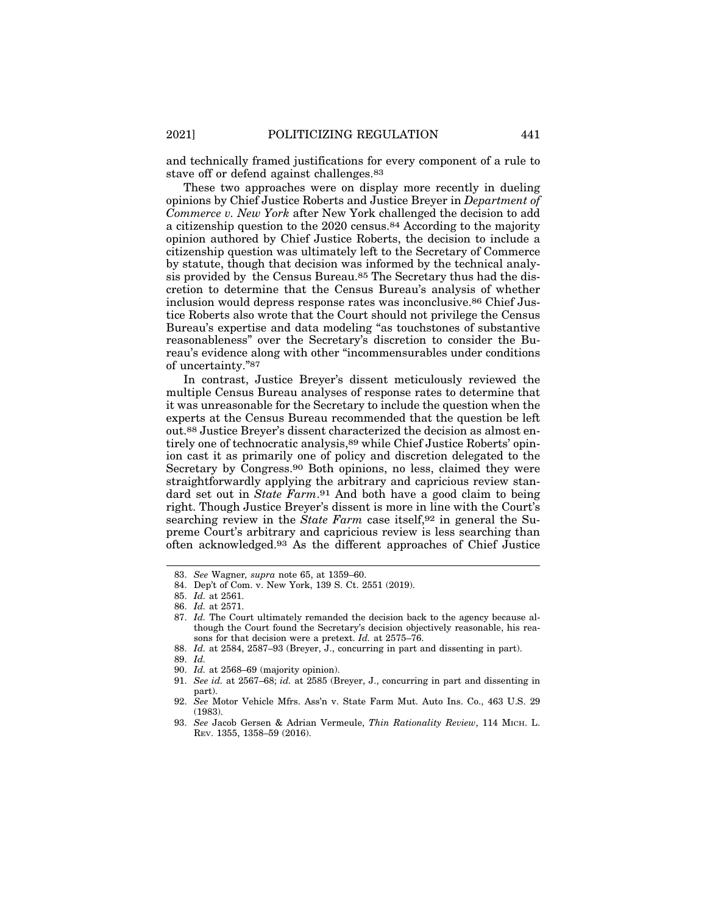and technically framed justifications for every component of a rule to stave off or defend against challenges.83

These two approaches were on display more recently in dueling opinions by Chief Justice Roberts and Justice Breyer in *Department of Commerce v. New York* after New York challenged the decision to add a citizenship question to the 2020 census.84 According to the majority opinion authored by Chief Justice Roberts, the decision to include a citizenship question was ultimately left to the Secretary of Commerce by statute, though that decision was informed by the technical analysis provided by the Census Bureau.85 The Secretary thus had the discretion to determine that the Census Bureau's analysis of whether inclusion would depress response rates was inconclusive.86 Chief Justice Roberts also wrote that the Court should not privilege the Census Bureau's expertise and data modeling "as touchstones of substantive reasonableness" over the Secretary's discretion to consider the Bureau's evidence along with other "incommensurables under conditions of uncertainty."87

In contrast, Justice Breyer's dissent meticulously reviewed the multiple Census Bureau analyses of response rates to determine that it was unreasonable for the Secretary to include the question when the experts at the Census Bureau recommended that the question be left out.88 Justice Breyer's dissent characterized the decision as almost entirely one of technocratic analysis, 89 while Chief Justice Roberts' opinion cast it as primarily one of policy and discretion delegated to the Secretary by Congress.90 Both opinions, no less, claimed they were straightforwardly applying the arbitrary and capricious review standard set out in *State Farm*.91 And both have a good claim to being right. Though Justice Breyer's dissent is more in line with the Court's searching review in the *State Farm* case itself,<sup>92</sup> in general the Supreme Court's arbitrary and capricious review is less searching than often acknowledged.93 As the different approaches of Chief Justice

- 90. *Id.* at 2568–69 (majority opinion).
- 91. *See id.* at 2567–68; *id.* at 2585 (Breyer, J., concurring in part and dissenting in part).
- 92. *See* Motor Vehicle Mfrs. Ass'n v. State Farm Mut. Auto Ins. Co., 463 U.S. 29 (1983).

<sup>83.</sup> *See* Wagner*, supra* note 65, at 1359–60.

<sup>84.</sup> Dep't of Com. v. New York, 139 S. Ct. 2551 (2019).

<sup>85.</sup> *Id.* at 2561.

<sup>86.</sup> *Id.* at 2571.

<sup>87.</sup> *Id.* The Court ultimately remanded the decision back to the agency because although the Court found the Secretary's decision objectively reasonable, his reasons for that decision were a pretext. *Id.* at 2575–76.

<sup>88.</sup> *Id.* at 2584, 2587–93 (Breyer, J., concurring in part and dissenting in part).

<sup>89.</sup> *Id.*

<sup>93.</sup> *See* Jacob Gersen & Adrian Vermeule, *Thin Rationality Review*, 114 MICH. L. REV. 1355, 1358–59 (2016).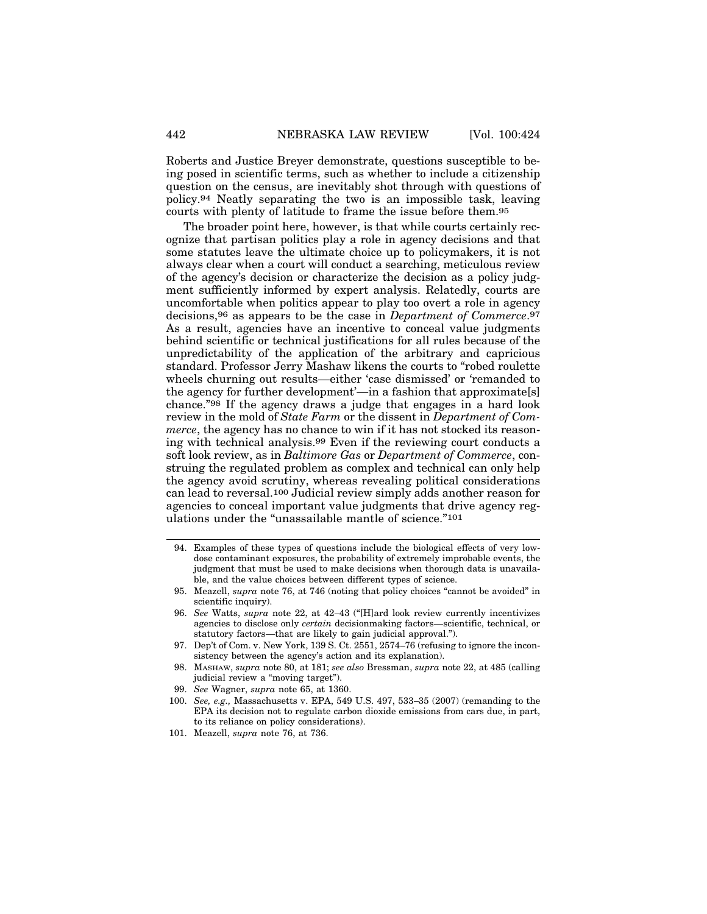Roberts and Justice Breyer demonstrate, questions susceptible to being posed in scientific terms, such as whether to include a citizenship question on the census, are inevitably shot through with questions of policy.94 Neatly separating the two is an impossible task, leaving courts with plenty of latitude to frame the issue before them.95

The broader point here, however, is that while courts certainly recognize that partisan politics play a role in agency decisions and that some statutes leave the ultimate choice up to policymakers, it is not always clear when a court will conduct a searching, meticulous review of the agency's decision or characterize the decision as a policy judgment sufficiently informed by expert analysis. Relatedly, courts are uncomfortable when politics appear to play too overt a role in agency decisions,96 as appears to be the case in *Department of Commerce*.97 As a result, agencies have an incentive to conceal value judgments behind scientific or technical justifications for all rules because of the unpredictability of the application of the arbitrary and capricious standard. Professor Jerry Mashaw likens the courts to "robed roulette wheels churning out results—either 'case dismissed' or 'remanded to the agency for further development'—in a fashion that approximate[s] chance."98 If the agency draws a judge that engages in a hard look review in the mold of *State Farm* or the dissent in *Department of Commerce*, the agency has no chance to win if it has not stocked its reasoning with technical analysis.99 Even if the reviewing court conducts a soft look review, as in *Baltimore Gas* or *Department of Commerce*, construing the regulated problem as complex and technical can only help the agency avoid scrutiny, whereas revealing political considerations can lead to reversal.100 Judicial review simply adds another reason for agencies to conceal important value judgments that drive agency regulations under the "unassailable mantle of science."101

- 94. Examples of these types of questions include the biological effects of very lowdose contaminant exposures, the probability of extremely improbable events, the judgment that must be used to make decisions when thorough data is unavailable, and the value choices between different types of science.
- 95. Meazell, *supra* note 76, at 746 (noting that policy choices "cannot be avoided" in scientific inquiry).
- 96. *See* Watts, *supra* note 22, at 42–43 ("[H]ard look review currently incentivizes agencies to disclose only *certain* decisionmaking factors—scientific, technical, or statutory factors—that are likely to gain judicial approval.").
- 97. Dep't of Com. v. New York, 139 S. Ct. 2551, 2574–76 (refusing to ignore the inconsistency between the agency's action and its explanation).
- 98. MASHAW, *supra* note 80, at 181; *see also* Bressman, *supra* note 22, at 485 (calling judicial review a "moving target").
- 99. *See* Wagner, *supra* note 65, at 1360.
- 100. *See, e.g.,* Massachusetts v. EPA, 549 U.S. 497, 533–35 (2007) (remanding to the EPA its decision not to regulate carbon dioxide emissions from cars due, in part, to its reliance on policy considerations).
- 101. Meazell, *supra* note 76, at 736.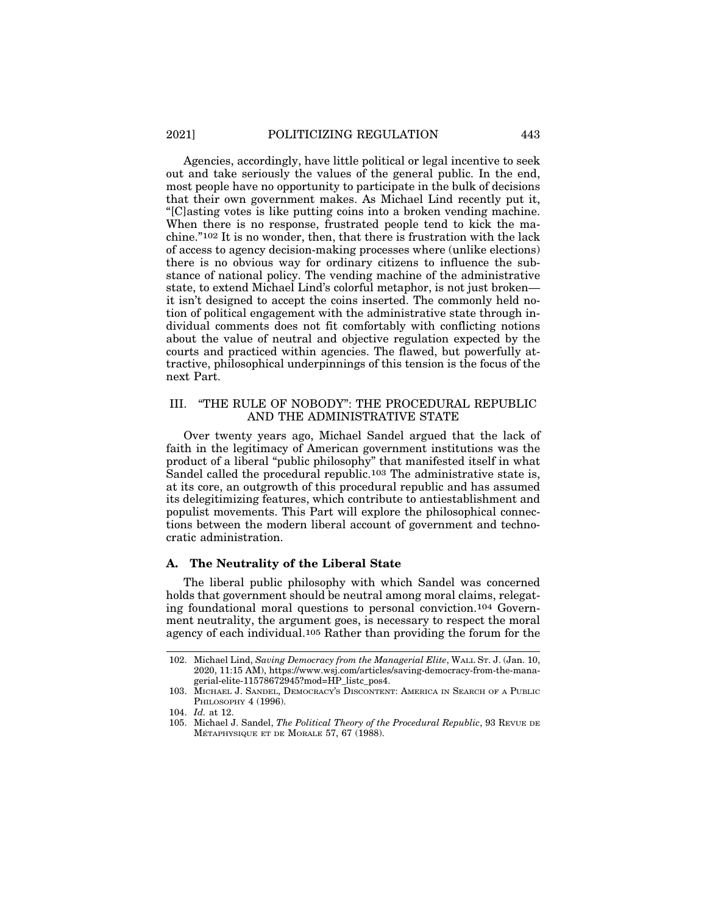Agencies, accordingly, have little political or legal incentive to seek out and take seriously the values of the general public. In the end, most people have no opportunity to participate in the bulk of decisions that their own government makes. As Michael Lind recently put it, "[C]asting votes is like putting coins into a broken vending machine. When there is no response, frustrated people tend to kick the machine."102 It is no wonder, then, that there is frustration with the lack of access to agency decision-making processes where (unlike elections) there is no obvious way for ordinary citizens to influence the substance of national policy. The vending machine of the administrative state, to extend Michael Lind's colorful metaphor, is not just broken it isn't designed to accept the coins inserted. The commonly held notion of political engagement with the administrative state through individual comments does not fit comfortably with conflicting notions about the value of neutral and objective regulation expected by the courts and practiced within agencies. The flawed, but powerfully attractive, philosophical underpinnings of this tension is the focus of the next Part.

#### III. "THE RULE OF NOBODY": THE PROCEDURAL REPUBLIC AND THE ADMINISTRATIVE STATE

Over twenty years ago, Michael Sandel argued that the lack of faith in the legitimacy of American government institutions was the product of a liberal "public philosophy" that manifested itself in what Sandel called the procedural republic.103 The administrative state is, at its core, an outgrowth of this procedural republic and has assumed its delegitimizing features, which contribute to antiestablishment and populist movements. This Part will explore the philosophical connections between the modern liberal account of government and technocratic administration.

#### **A. The Neutrality of the Liberal State**

The liberal public philosophy with which Sandel was concerned holds that government should be neutral among moral claims, relegating foundational moral questions to personal conviction.104 Government neutrality, the argument goes, is necessary to respect the moral agency of each individual.105 Rather than providing the forum for the

<sup>102.</sup> Michael Lind, *Saving Democracy from the Managerial Elite*, WALL ST. J. (Jan. 10, 2020, 11:15 AM), https://www.wsj.com/articles/saving-democracy-from-the-managerial-elite-11578672945?mod=HP\_listc\_pos4.

<sup>103.</sup> MICHAEL J. SANDEL, DEMOCRACY'S DISCONTENT: AMERICA IN SEARCH OF A PUBLIC PHILOSOPHY 4 (1996).

<sup>104.</sup> *Id.* at 12.

<sup>105.</sup> Michael J. Sandel, *The Political Theory of the Procedural Republic*, 93 REVUE DE MÉTAPHYSIQUE ET DE MORALE  $57, 67$  (1988).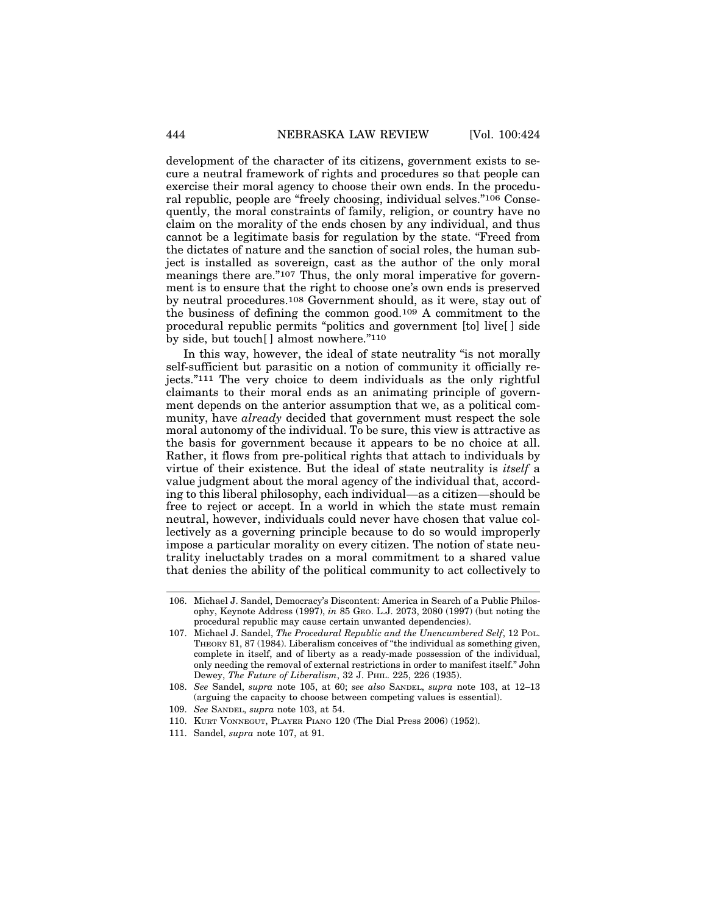development of the character of its citizens, government exists to secure a neutral framework of rights and procedures so that people can exercise their moral agency to choose their own ends. In the procedural republic, people are "freely choosing, individual selves."106 Consequently, the moral constraints of family, religion, or country have no claim on the morality of the ends chosen by any individual, and thus cannot be a legitimate basis for regulation by the state. "Freed from the dictates of nature and the sanction of social roles, the human subject is installed as sovereign, cast as the author of the only moral meanings there are."107 Thus, the only moral imperative for government is to ensure that the right to choose one's own ends is preserved by neutral procedures.108 Government should, as it were, stay out of the business of defining the common good.109 A commitment to the procedural republic permits "politics and government [to] live[ ] side by side, but touch[ ] almost nowhere."110

In this way, however, the ideal of state neutrality "is not morally self-sufficient but parasitic on a notion of community it officially rejects."111 The very choice to deem individuals as the only rightful claimants to their moral ends as an animating principle of government depends on the anterior assumption that we, as a political community, have *already* decided that government must respect the sole moral autonomy of the individual. To be sure, this view is attractive as the basis for government because it appears to be no choice at all. Rather, it flows from pre-political rights that attach to individuals by virtue of their existence. But the ideal of state neutrality is *itself* a value judgment about the moral agency of the individual that, according to this liberal philosophy, each individual—as a citizen—should be free to reject or accept. In a world in which the state must remain neutral, however, individuals could never have chosen that value collectively as a governing principle because to do so would improperly impose a particular morality on every citizen. The notion of state neutrality ineluctably trades on a moral commitment to a shared value that denies the ability of the political community to act collectively to

<sup>106.</sup> Michael J. Sandel, Democracy's Discontent: America in Search of a Public Philosophy, Keynote Address (1997), *in* 85 GEO. L.J. 2073, 2080 (1997) (but noting the procedural republic may cause certain unwanted dependencies).

<sup>107.</sup> Michael J. Sandel, *The Procedural Republic and the Unencumbered Self*, 12 POL. THEORY 81, 87 (1984). Liberalism conceives of "the individual as something given, complete in itself, and of liberty as a ready-made possession of the individual, only needing the removal of external restrictions in order to manifest itself." John Dewey, *The Future of Liberalism*, 32 J. PHIL. 225, 226 (1935).

<sup>108.</sup> *See* Sandel, *supra* note 105, at 60; *see also* SANDEL, *supra* note 103, at 12–13 (arguing the capacity to choose between competing values is essential).

<sup>109.</sup> *See* SANDEL, *supra* note 103, at 54.

<sup>110.</sup> KURT VONNEGUT, PLAYER PIANO 120 (The Dial Press 2006) (1952).

<sup>111.</sup> Sandel, *supra* note 107, at 91.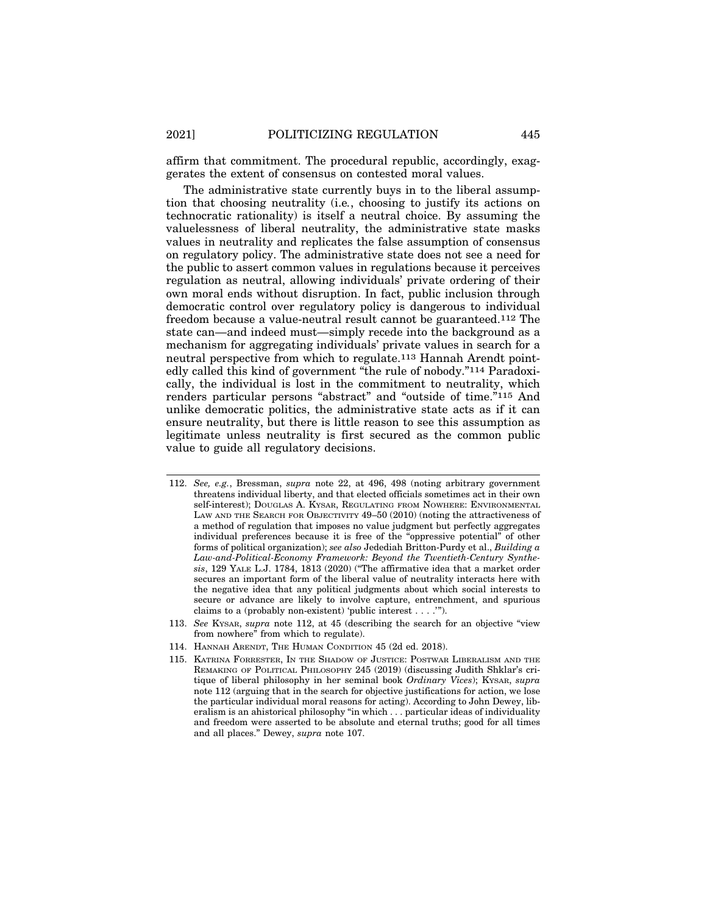affirm that commitment. The procedural republic, accordingly, exaggerates the extent of consensus on contested moral values.

The administrative state currently buys in to the liberal assumption that choosing neutrality (i.e*.*, choosing to justify its actions on technocratic rationality) is itself a neutral choice. By assuming the valuelessness of liberal neutrality, the administrative state masks values in neutrality and replicates the false assumption of consensus on regulatory policy. The administrative state does not see a need for the public to assert common values in regulations because it perceives regulation as neutral, allowing individuals' private ordering of their own moral ends without disruption. In fact, public inclusion through democratic control over regulatory policy is dangerous to individual freedom because a value-neutral result cannot be guaranteed.112 The state can—and indeed must—simply recede into the background as a mechanism for aggregating individuals' private values in search for a neutral perspective from which to regulate.113 Hannah Arendt pointedly called this kind of government "the rule of nobody."114 Paradoxically, the individual is lost in the commitment to neutrality, which renders particular persons "abstract" and "outside of time."115 And unlike democratic politics, the administrative state acts as if it can ensure neutrality, but there is little reason to see this assumption as legitimate unless neutrality is first secured as the common public value to guide all regulatory decisions.

<sup>112.</sup> *See, e.g.*, Bressman, *supra* note 22, at 496, 498 (noting arbitrary government threatens individual liberty, and that elected officials sometimes act in their own self-interest); DOUGLAS A. KYSAR, REGULATING FROM NOWHERE: ENVIRONMENTAL LAW AND THE SEARCH FOR OBJECTIVITY 49–50 (2010) (noting the attractiveness of a method of regulation that imposes no value judgment but perfectly aggregates individual preferences because it is free of the "oppressive potential" of other forms of political organization); *see also* Jedediah Britton-Purdy et al., *Building a Law-and-Political-Economy Framework: Beyond the Twentieth-Century Synthesis*, 129 YALE L.J. 1784, 1813 (2020) ("The affirmative idea that a market order secures an important form of the liberal value of neutrality interacts here with the negative idea that any political judgments about which social interests to secure or advance are likely to involve capture, entrenchment, and spurious claims to a (probably non-existent) 'public interest . . . .'").

<sup>113.</sup> *See* KYSAR, *supra* note 112, at 45 (describing the search for an objective "view from nowhere<sup>"</sup> from which to regulate).

<sup>114.</sup> HANNAH ARENDT, THE HUMAN CONDITION 45 (2d ed. 2018).

<sup>115.</sup> KATRINA FORRESTER, IN THE SHADOW OF JUSTICE: POSTWAR LIBERALISM AND THE REMAKING OF POLITICAL PHILOSOPHY 245 (2019) (discussing Judith Shklar's critique of liberal philosophy in her seminal book *Ordinary Vices*); KYSAR, *supra* note 112 (arguing that in the search for objective justifications for action, we lose the particular individual moral reasons for acting). According to John Dewey, liberalism is an ahistorical philosophy "in which . . . particular ideas of individuality and freedom were asserted to be absolute and eternal truths; good for all times and all places." Dewey, *supra* note 107.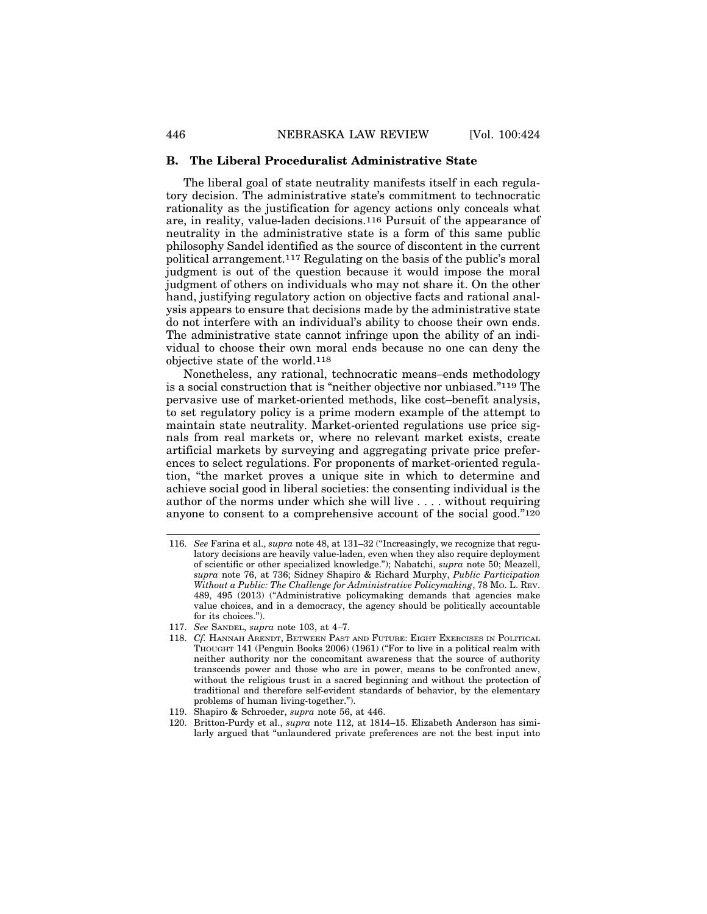#### **B. The Liberal Proceduralist Administrative State**

The liberal goal of state neutrality manifests itself in each regulatory decision. The administrative state's commitment to technocratic rationality as the justification for agency actions only conceals what are, in reality, value-laden decisions.116 Pursuit of the appearance of neutrality in the administrative state is a form of this same public philosophy Sandel identified as the source of discontent in the current political arrangement.117 Regulating on the basis of the public's moral judgment is out of the question because it would impose the moral judgment of others on individuals who may not share it. On the other hand, justifying regulatory action on objective facts and rational analysis appears to ensure that decisions made by the administrative state do not interfere with an individual's ability to choose their own ends. The administrative state cannot infringe upon the ability of an individual to choose their own moral ends because no one can deny the objective state of the world.118

Nonetheless, any rational, technocratic means–ends methodology is a social construction that is "neither objective nor unbiased."119 The pervasive use of market-oriented methods, like cost–benefit analysis, to set regulatory policy is a prime modern example of the attempt to maintain state neutrality. Market-oriented regulations use price signals from real markets or, where no relevant market exists, create artificial markets by surveying and aggregating private price preferences to select regulations. For proponents of market-oriented regulation, "the market proves a unique site in which to determine and achieve social good in liberal societies: the consenting individual is the author of the norms under which she will live . . . . without requiring anyone to consent to a comprehensive account of the social good."120

<sup>116.</sup> *See* Farina et al., *supra* note 48, at 131–32 ("Increasingly, we recognize that regulatory decisions are heavily value-laden, even when they also require deployment of scientific or other specialized knowledge."); Nabatchi, *supra* note 50; Meazell, *supra* note 76, at 736; Sidney Shapiro & Richard Murphy, *Public Participation Without a Public: The Challenge for Administrative Policymaking*, 78 MO. L. REV. 489, 495 (2013) ("Administrative policymaking demands that agencies make value choices, and in a democracy, the agency should be politically accountable for its choices.").

<sup>117.</sup> *See* SANDEL, *supra* note 103, at 4–7.

<sup>118.</sup> *Cf.* HANNAH ARENDT, BETWEEN PAST AND FUTURE: EIGHT EXERCISES IN POLITICAL THOUGHT 141 (Penguin Books 2006) (1961) ("For to live in a political realm with neither authority nor the concomitant awareness that the source of authority transcends power and those who are in power, means to be confronted anew, without the religious trust in a sacred beginning and without the protection of traditional and therefore self-evident standards of behavior, by the elementary problems of human living-together.").

<sup>119.</sup> Shapiro & Schroeder, *supra* note 56, at 446.

<sup>120.</sup> Britton-Purdy et al., *supra* note 112, at 1814–15. Elizabeth Anderson has similarly argued that "unlaundered private preferences are not the best input into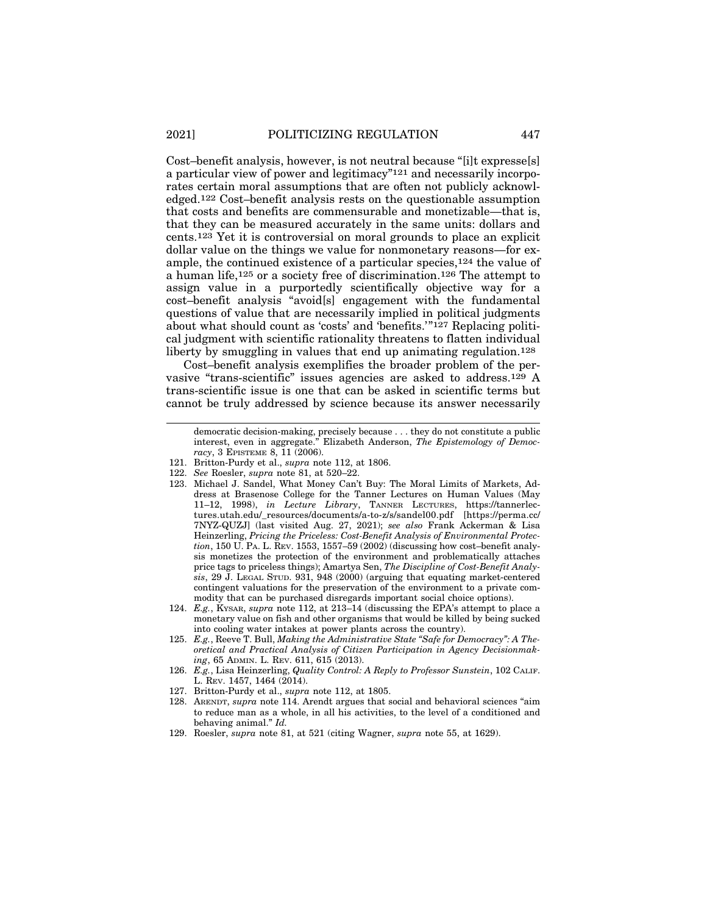Cost–benefit analysis, however, is not neutral because "[i]t expresse[s] a particular view of power and legitimacy"121 and necessarily incorporates certain moral assumptions that are often not publicly acknowledged.122 Cost–benefit analysis rests on the questionable assumption that costs and benefits are commensurable and monetizable—that is, that they can be measured accurately in the same units: dollars and cents.123 Yet it is controversial on moral grounds to place an explicit dollar value on the things we value for nonmonetary reasons—for example, the continued existence of a particular species,124 the value of a human life,125 or a society free of discrimination.126 The attempt to assign value in a purportedly scientifically objective way for a cost–benefit analysis "avoid[s] engagement with the fundamental questions of value that are necessarily implied in political judgments about what should count as 'costs' and 'benefits.'"127 Replacing political judgment with scientific rationality threatens to flatten individual liberty by smuggling in values that end up animating regulation.<sup>128</sup>

Cost–benefit analysis exemplifies the broader problem of the pervasive "trans-scientific" issues agencies are asked to address.129 A trans-scientific issue is one that can be asked in scientific terms but cannot be truly addressed by science because its answer necessarily

- 121. Britton-Purdy et al., *supra* note 112, at 1806.
- 122. *See* Roesler, *supra* note 81, at 520–22.
- 123. Michael J. Sandel, What Money Can't Buy: The Moral Limits of Markets, Address at Brasenose College for the Tanner Lectures on Human Values (May 11–12, 1998), *in Lecture Library*, TANNER LECTURES, https://tannerlectures.utah.edu/\_resources/documents/a-to-z/s/sandel00.pdf [https://perma.cc/ 7NYZ-QUZJ] (last visited Aug. 27, 2021); *see also* Frank Ackerman & Lisa Heinzerling, *Pricing the Priceless: Cost-Benefit Analysis of Environmental Protection*, 150 U. PA. L. REV. 1553, 1557–59 (2002) (discussing how cost–benefit analysis monetizes the protection of the environment and problematically attaches price tags to priceless things); Amartya Sen, *The Discipline of Cost-Benefit Analysis*, 29 J. LEGAL STUD. 931, 948 (2000) (arguing that equating market-centered contingent valuations for the preservation of the environment to a private commodity that can be purchased disregards important social choice options).
- 124. *E.g.*, KYSAR, *supra* note 112, at 213–14 (discussing the EPA's attempt to place a monetary value on fish and other organisms that would be killed by being sucked into cooling water intakes at power plants across the country).
- 125. *E.g.*, Reeve T. Bull, *Making the Administrative State "Safe for Democracy": A Theoretical and Practical Analysis of Citizen Participation in Agency Decisionmaking*, 65 ADMIN. L. REV. 611, 615 (2013).
- 126. *E.g.*, Lisa Heinzerling, *Quality Control: A Reply to Professor Sunstein*, 102 CALIF. L. REV. 1457, 1464 (2014).
- 127. Britton-Purdy et al., *supra* note 112, at 1805.
- 128. ARENDT, *supra* note 114. Arendt argues that social and behavioral sciences "aim to reduce man as a whole, in all his activities, to the level of a conditioned and behaving animal." *Id.*
- 129. Roesler, *supra* note 81, at 521 (citing Wagner, *supra* note 55, at 1629).

democratic decision-making, precisely because . . . they do not constitute a public interest, even in aggregate." Elizabeth Anderson, *The Epistemology of Democracy*, 3 EPISTEME 8, 11 (2006).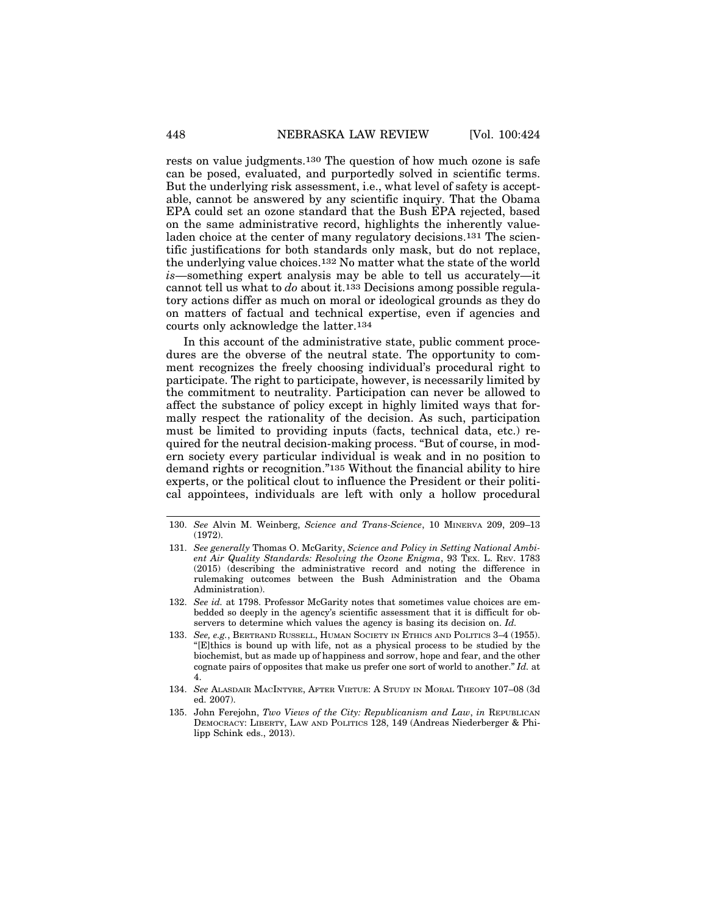rests on value judgments.130 The question of how much ozone is safe can be posed, evaluated, and purportedly solved in scientific terms. But the underlying risk assessment, i.e., what level of safety is acceptable, cannot be answered by any scientific inquiry. That the Obama EPA could set an ozone standard that the Bush EPA rejected, based on the same administrative record, highlights the inherently valueladen choice at the center of many regulatory decisions.131 The scientific justifications for both standards only mask, but do not replace, the underlying value choices.132 No matter what the state of the world *is*—something expert analysis may be able to tell us accurately—it cannot tell us what to *do* about it.133 Decisions among possible regulatory actions differ as much on moral or ideological grounds as they do on matters of factual and technical expertise, even if agencies and courts only acknowledge the latter.134

In this account of the administrative state, public comment procedures are the obverse of the neutral state. The opportunity to comment recognizes the freely choosing individual's procedural right to participate. The right to participate, however, is necessarily limited by the commitment to neutrality. Participation can never be allowed to affect the substance of policy except in highly limited ways that formally respect the rationality of the decision. As such, participation must be limited to providing inputs (facts, technical data, etc.) required for the neutral decision-making process. "But of course, in modern society every particular individual is weak and in no position to demand rights or recognition."135 Without the financial ability to hire experts, or the political clout to influence the President or their political appointees, individuals are left with only a hollow procedural

- 132. *See id.* at 1798. Professor McGarity notes that sometimes value choices are embedded so deeply in the agency's scientific assessment that it is difficult for observers to determine which values the agency is basing its decision on. *Id.*
- 133. *See, e.g.*, BERTRAND RUSSELL, HUMAN SOCIETY IN ETHICS AND POLITICS 3–4 (1955). "[E]thics is bound up with life, not as a physical process to be studied by the biochemist, but as made up of happiness and sorrow, hope and fear, and the other cognate pairs of opposites that make us prefer one sort of world to another." *Id.* at 4.
- 134. *See* ALASDAIR MACINTYRE, AFTER VIRTUE: A STUDY IN MORAL THEORY 107–08 (3d ed. 2007).
- 135. John Ferejohn, *Two Views of the City: Republicanism and Law*, *in* REPUBLICAN DEMOCRACY: LIBERTY, LAW AND POLITICS 128, 149 (Andreas Niederberger & Philipp Schink eds., 2013).

<sup>130.</sup> *See* Alvin M. Weinberg, *Science and Trans-Science*, 10 MINERVA 209, 209–13 (1972).

<sup>131.</sup> *See generally* Thomas O. McGarity, *Science and Policy in Setting National Ambient Air Quality Standards: Resolving the Ozone Enigma*, 93 TEX. L. REV. 1783 (2015) (describing the administrative record and noting the difference in rulemaking outcomes between the Bush Administration and the Obama Administration).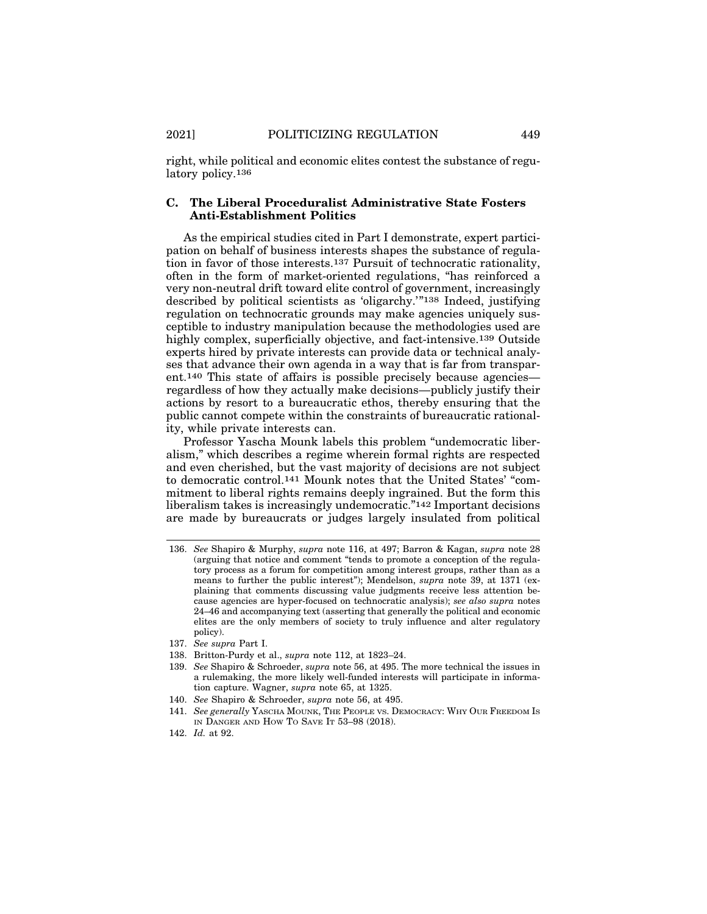right, while political and economic elites contest the substance of regulatory policy.136

#### **C. The Liberal Proceduralist Administrative State Fosters Anti-Establishment Politics**

As the empirical studies cited in Part I demonstrate, expert participation on behalf of business interests shapes the substance of regulation in favor of those interests.137 Pursuit of technocratic rationality, often in the form of market-oriented regulations, "has reinforced a very non-neutral drift toward elite control of government, increasingly described by political scientists as 'oligarchy.'"138 Indeed, justifying regulation on technocratic grounds may make agencies uniquely susceptible to industry manipulation because the methodologies used are highly complex, superficially objective, and fact-intensive.139 Outside experts hired by private interests can provide data or technical analyses that advance their own agenda in a way that is far from transparent.140 This state of affairs is possible precisely because agencies regardless of how they actually make decisions—publicly justify their actions by resort to a bureaucratic ethos, thereby ensuring that the public cannot compete within the constraints of bureaucratic rationality, while private interests can.

Professor Yascha Mounk labels this problem "undemocratic liberalism," which describes a regime wherein formal rights are respected and even cherished, but the vast majority of decisions are not subject to democratic control.141 Mounk notes that the United States' "commitment to liberal rights remains deeply ingrained. But the form this liberalism takes is increasingly undemocratic."142 Important decisions are made by bureaucrats or judges largely insulated from political

138. Britton-Purdy et al., *supra* note 112, at 1823–24.

<sup>136.</sup> *See* Shapiro & Murphy, *supra* note 116, at 497; Barron & Kagan, *supra* note 28 (arguing that notice and comment "tends to promote a conception of the regulatory process as a forum for competition among interest groups, rather than as a means to further the public interest"); Mendelson, *supra* note 39, at 1371 (explaining that comments discussing value judgments receive less attention because agencies are hyper-focused on technocratic analysis); *see also supra* notes 24–46 and accompanying text (asserting that generally the political and economic elites are the only members of society to truly influence and alter regulatory policy).

<sup>137.</sup> *See supra* Part I.

<sup>139.</sup> *See* Shapiro & Schroeder, *supra* note 56, at 495. The more technical the issues in a rulemaking, the more likely well-funded interests will participate in information capture. Wagner, *supra* note 65, at 1325.

<sup>140.</sup> *See* Shapiro & Schroeder, *supra* note 56, at 495.

<sup>141.</sup> *See generally* YASCHA MOUNK, THE PEOPLE VS. DEMOCRACY: WHY OUR FREEDOM IS IN DANGER AND HOW TO SAVE IT 53–98 (2018).

<sup>142.</sup> *Id.* at 92.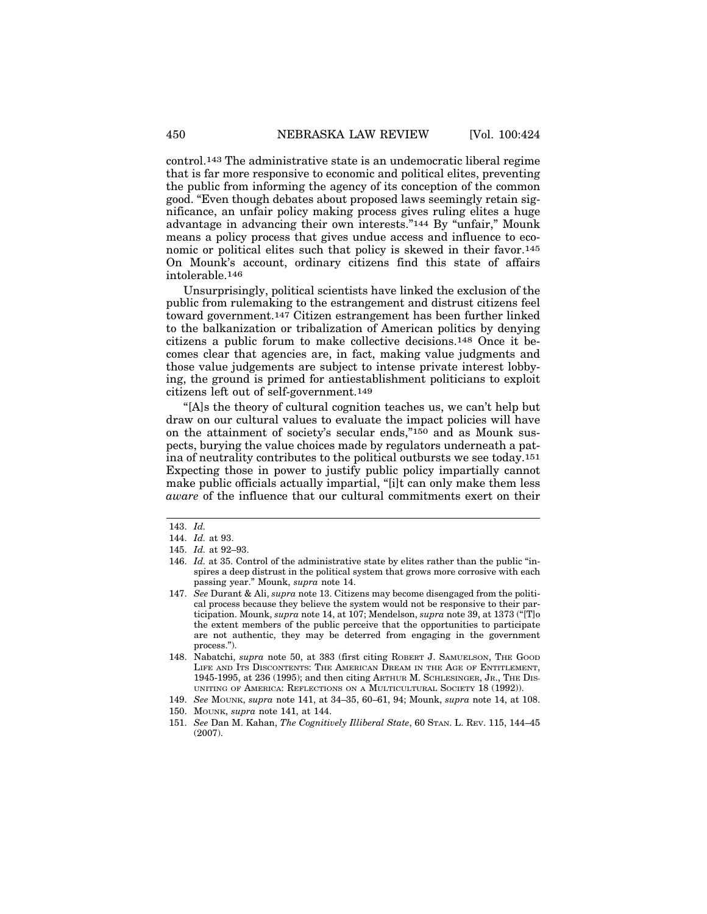control.143 The administrative state is an undemocratic liberal regime that is far more responsive to economic and political elites, preventing the public from informing the agency of its conception of the common good. "Even though debates about proposed laws seemingly retain significance, an unfair policy making process gives ruling elites a huge advantage in advancing their own interests."144 By "unfair," Mounk means a policy process that gives undue access and influence to economic or political elites such that policy is skewed in their favor.145 On Mounk's account, ordinary citizens find this state of affairs intolerable.146

Unsurprisingly, political scientists have linked the exclusion of the public from rulemaking to the estrangement and distrust citizens feel toward government.147 Citizen estrangement has been further linked to the balkanization or tribalization of American politics by denying citizens a public forum to make collective decisions.148 Once it becomes clear that agencies are, in fact, making value judgments and those value judgements are subject to intense private interest lobbying, the ground is primed for antiestablishment politicians to exploit citizens left out of self-government.149

"[A]s the theory of cultural cognition teaches us, we can't help but draw on our cultural values to evaluate the impact policies will have on the attainment of society's secular ends,"150 and as Mounk suspects, burying the value choices made by regulators underneath a patina of neutrality contributes to the political outbursts we see today.151 Expecting those in power to justify public policy impartially cannot make public officials actually impartial, "[i]t can only make them less *aware* of the influence that our cultural commitments exert on their

<sup>143.</sup> *Id.*

<sup>144.</sup> *Id.* at 93.

<sup>145.</sup> *Id.* at 92–93.

<sup>146.</sup> *Id.* at 35. Control of the administrative state by elites rather than the public "inspires a deep distrust in the political system that grows more corrosive with each passing year." Mounk, *supra* note 14.

<sup>147.</sup> *See* Durant & Ali, *supra* note 13. Citizens may become disengaged from the political process because they believe the system would not be responsive to their participation. Mounk, *supra* note 14, at 107; Mendelson, *supra* note 39, at 1373 ("[T]o the extent members of the public perceive that the opportunities to participate are not authentic, they may be deterred from engaging in the government process.").

<sup>148.</sup> Nabatchi, *supra* note 50, at 383 (first citing ROBERT J. SAMUELSON, THE GOOD LIFE AND ITS DISCONTENTS: THE AMERICAN DREAM IN THE AGE OF ENTITLEMENT, 1945-1995, at 236 (1995); and then citing ARTHUR M. SCHLESINGER, JR., THE DIS-UNITING OF AMERICA: REFLECTIONS ON A MULTICULTURAL SOCIETY 18 (1992)).

<sup>149.</sup> *See* MOUNK, *supra* note 141, at 34–35, 60–61, 94; Mounk, *supra* note 14, at 108.

<sup>150.</sup> MOUNK, *supra* note 141, at 144.

<sup>151.</sup> *See* Dan M. Kahan, *The Cognitively Illiberal State*, 60 STAN. L. REV. 115, 144–45 (2007).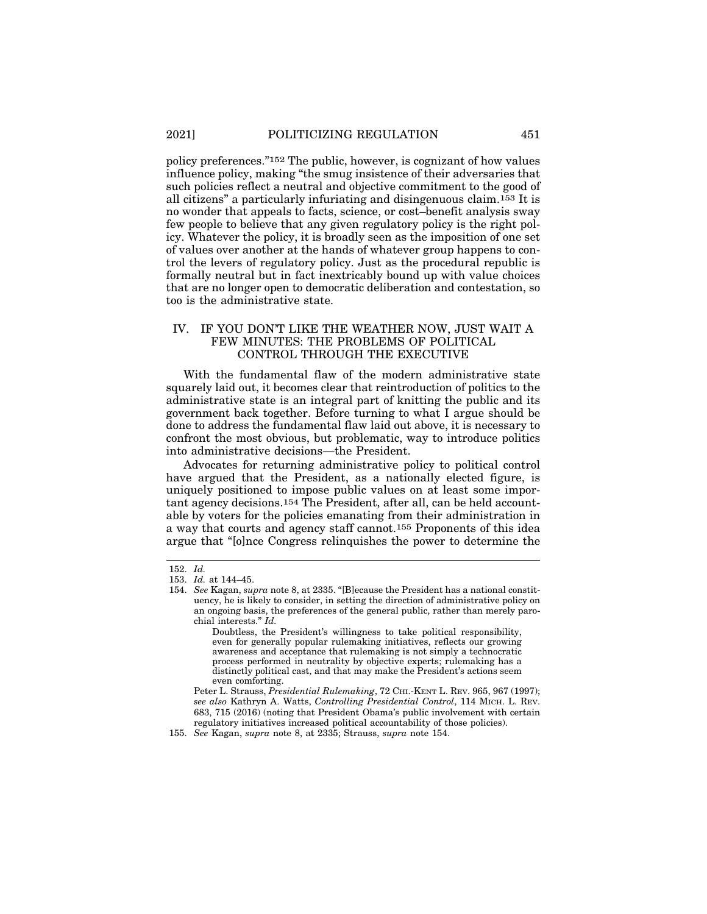policy preferences."152 The public, however, is cognizant of how values influence policy, making "the smug insistence of their adversaries that such policies reflect a neutral and objective commitment to the good of all citizens" a particularly infuriating and disingenuous claim.153 It is no wonder that appeals to facts, science, or cost–benefit analysis sway few people to believe that any given regulatory policy is the right policy. Whatever the policy, it is broadly seen as the imposition of one set of values over another at the hands of whatever group happens to control the levers of regulatory policy. Just as the procedural republic is formally neutral but in fact inextricably bound up with value choices that are no longer open to democratic deliberation and contestation, so too is the administrative state.

#### IV. IF YOU DON'T LIKE THE WEATHER NOW, JUST WAIT A FEW MINUTES: THE PROBLEMS OF POLITICAL CONTROL THROUGH THE EXECUTIVE

With the fundamental flaw of the modern administrative state squarely laid out, it becomes clear that reintroduction of politics to the administrative state is an integral part of knitting the public and its government back together. Before turning to what I argue should be done to address the fundamental flaw laid out above, it is necessary to confront the most obvious, but problematic, way to introduce politics into administrative decisions—the President.

Advocates for returning administrative policy to political control have argued that the President, as a nationally elected figure, is uniquely positioned to impose public values on at least some important agency decisions.154 The President, after all, can be held accountable by voters for the policies emanating from their administration in a way that courts and agency staff cannot.155 Proponents of this idea argue that "[o]nce Congress relinquishes the power to determine the

<sup>152.</sup> *Id.*

<sup>153.</sup> *Id.* at 144–45.

<sup>154.</sup> *See* Kagan, *supra* note 8, at 2335. "[B]ecause the President has a national constituency, he is likely to consider, in setting the direction of administrative policy on an ongoing basis, the preferences of the general public, rather than merely parochial interests." *Id.*

Doubtless, the President's willingness to take political responsibility, even for generally popular rulemaking initiatives, reflects our growing awareness and acceptance that rulemaking is not simply a technocratic process performed in neutrality by objective experts; rulemaking has a distinctly political cast, and that may make the President's actions seem even comforting.

Peter L. Strauss, *Presidential Rulemaking*, 72 CHI.-KENT L. REV. 965, 967 (1997); *see also* Kathryn A. Watts, *Controlling Presidential Control*, 114 MICH. L. REV. 683, 715 (2016) (noting that President Obama's public involvement with certain regulatory initiatives increased political accountability of those policies).

<sup>155.</sup> *See* Kagan, *supra* note 8, at 2335; Strauss, *supra* note 154.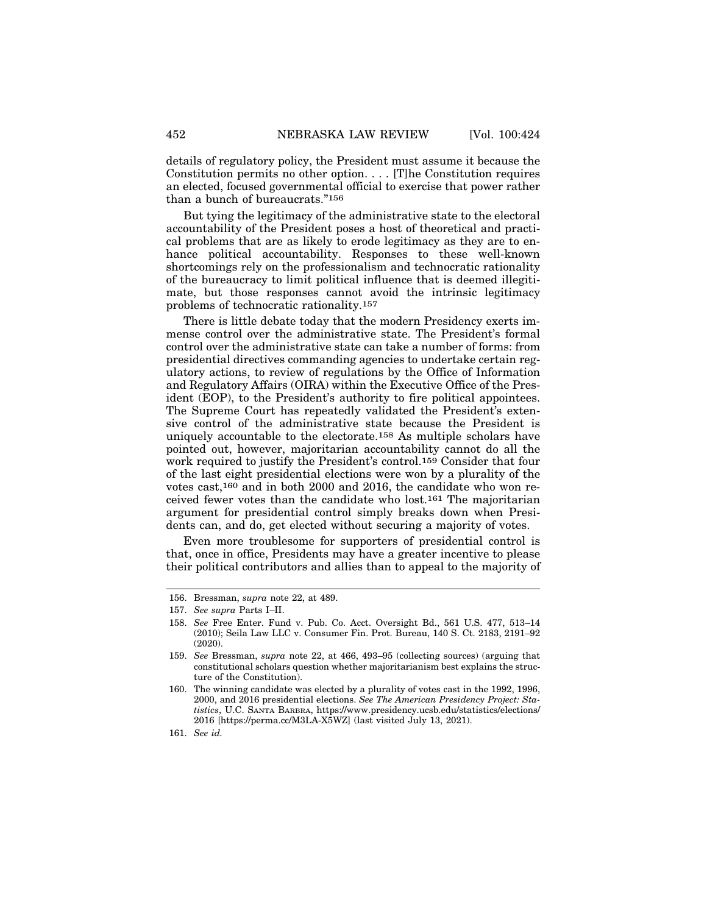details of regulatory policy, the President must assume it because the Constitution permits no other option. . . . [T]he Constitution requires an elected, focused governmental official to exercise that power rather than a bunch of bureaucrats."156

But tying the legitimacy of the administrative state to the electoral accountability of the President poses a host of theoretical and practical problems that are as likely to erode legitimacy as they are to enhance political accountability. Responses to these well-known shortcomings rely on the professionalism and technocratic rationality of the bureaucracy to limit political influence that is deemed illegitimate, but those responses cannot avoid the intrinsic legitimacy problems of technocratic rationality.157

There is little debate today that the modern Presidency exerts immense control over the administrative state. The President's formal control over the administrative state can take a number of forms: from presidential directives commanding agencies to undertake certain regulatory actions, to review of regulations by the Office of Information and Regulatory Affairs (OIRA) within the Executive Office of the President (EOP), to the President's authority to fire political appointees. The Supreme Court has repeatedly validated the President's extensive control of the administrative state because the President is uniquely accountable to the electorate.158 As multiple scholars have pointed out, however, majoritarian accountability cannot do all the work required to justify the President's control.159 Consider that four of the last eight presidential elections were won by a plurality of the votes cast,160 and in both 2000 and 2016, the candidate who won received fewer votes than the candidate who lost.161 The majoritarian argument for presidential control simply breaks down when Presidents can, and do, get elected without securing a majority of votes.

Even more troublesome for supporters of presidential control is that, once in office, Presidents may have a greater incentive to please their political contributors and allies than to appeal to the majority of

160. The winning candidate was elected by a plurality of votes cast in the 1992, 1996, 2000, and 2016 presidential elections. *See The American Presidency Project: Statistics*, U.C. SANTA BARBRA, https://www.presidency.ucsb.edu/statistics/elections/ 2016 [https://perma.cc/M3LA-X5WZ] (last visited July 13, 2021).

161. *See id.*

<sup>156.</sup> Bressman, *supra* note 22, at 489.

<sup>157.</sup> *See supra* Parts I–II.

<sup>158.</sup> *See* Free Enter. Fund v. Pub. Co. Acct. Oversight Bd., 561 U.S. 477, 513–14 (2010); Seila Law LLC v. Consumer Fin. Prot. Bureau, 140 S. Ct. 2183, 2191–92 (2020).

<sup>159.</sup> *See* Bressman, *supra* note 22, at 466, 493–95 (collecting sources) (arguing that constitutional scholars question whether majoritarianism best explains the structure of the Constitution).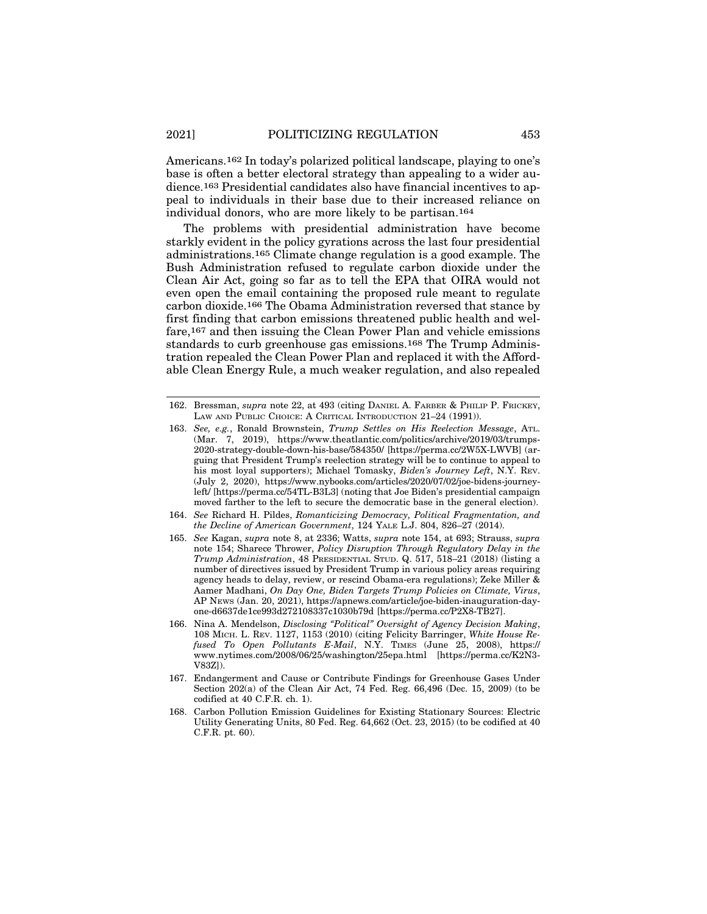Americans.162 In today's polarized political landscape, playing to one's base is often a better electoral strategy than appealing to a wider audience.163 Presidential candidates also have financial incentives to appeal to individuals in their base due to their increased reliance on individual donors, who are more likely to be partisan.164

The problems with presidential administration have become starkly evident in the policy gyrations across the last four presidential administrations.165 Climate change regulation is a good example. The Bush Administration refused to regulate carbon dioxide under the Clean Air Act, going so far as to tell the EPA that OIRA would not even open the email containing the proposed rule meant to regulate carbon dioxide.166 The Obama Administration reversed that stance by first finding that carbon emissions threatened public health and welfare,167 and then issuing the Clean Power Plan and vehicle emissions standards to curb greenhouse gas emissions.168 The Trump Administration repealed the Clean Power Plan and replaced it with the Affordable Clean Energy Rule, a much weaker regulation, and also repealed

- 164. *See* Richard H. Pildes, *Romanticizing Democracy, Political Fragmentation, and the Decline of American Government*, 124 YALE L.J. 804, 826–27 (2014).
- 165. *See* Kagan, *supra* note 8, at 2336; Watts, *supra* note 154, at 693; Strauss, *supra* note 154; Sharece Thrower, *Policy Disruption Through Regulatory Delay in the Trump Administration*, 48 PRESIDENTIAL STUD. Q. 517, 518–21 (2018) (listing a number of directives issued by President Trump in various policy areas requiring agency heads to delay, review, or rescind Obama-era regulations); Zeke Miller & Aamer Madhani, *On Day One, Biden Targets Trump Policies on Climate, Virus*, AP NEWS (Jan. 20, 2021), https://apnews.com/article/joe-biden-inauguration-dayone-d6637de1ce993d272108337c1030b79d [https://perma.cc/P2X8-TB27].
- 166. Nina A. Mendelson, *Disclosing "Political" Oversight of Agency Decision Making*, 108 MICH. L. REV. 1127, 1153 (2010) (citing Felicity Barringer, *White House Refused To Open Pollutants E-Mail*, N.Y. TIMES (June 25, 2008), https:// www.nytimes.com/2008/06/25/washington/25epa.html [https://perma.cc/K2N3- V83Z]).
- 167. Endangerment and Cause or Contribute Findings for Greenhouse Gases Under Section 202(a) of the Clean Air Act, 74 Fed. Reg. 66,496 (Dec. 15, 2009) (to be codified at 40 C.F.R. ch. 1).
- 168. Carbon Pollution Emission Guidelines for Existing Stationary Sources: Electric Utility Generating Units, 80 Fed. Reg. 64,662 (Oct. 23, 2015) (to be codified at 40 C.F.R. pt. 60).

<sup>162.</sup> Bressman, *supra* note 22, at 493 (citing DANIEL A. FARBER & PHILIP P. FRICKEY, LAW AND PUBLIC CHOICE: A CRITICAL INTRODUCTION 21–24 (1991)).

<sup>163.</sup> *See, e.g.*, Ronald Brownstein, *Trump Settles on His Reelection Message*, ATL. (Mar. 7, 2019), https://www.theatlantic.com/politics/archive/2019/03/trumps-2020-strategy-double-down-his-base/584350/ [https://perma.cc/2W5X-LWVB] (arguing that President Trump's reelection strategy will be to continue to appeal to his most loyal supporters); Michael Tomasky, *Biden's Journey Left*, N.Y. REV. (July 2, 2020), https://www.nybooks.com/articles/2020/07/02/joe-bidens-journeyleft/ [https://perma.cc/54TL-B3L3] (noting that Joe Biden's presidential campaign moved farther to the left to secure the democratic base in the general election).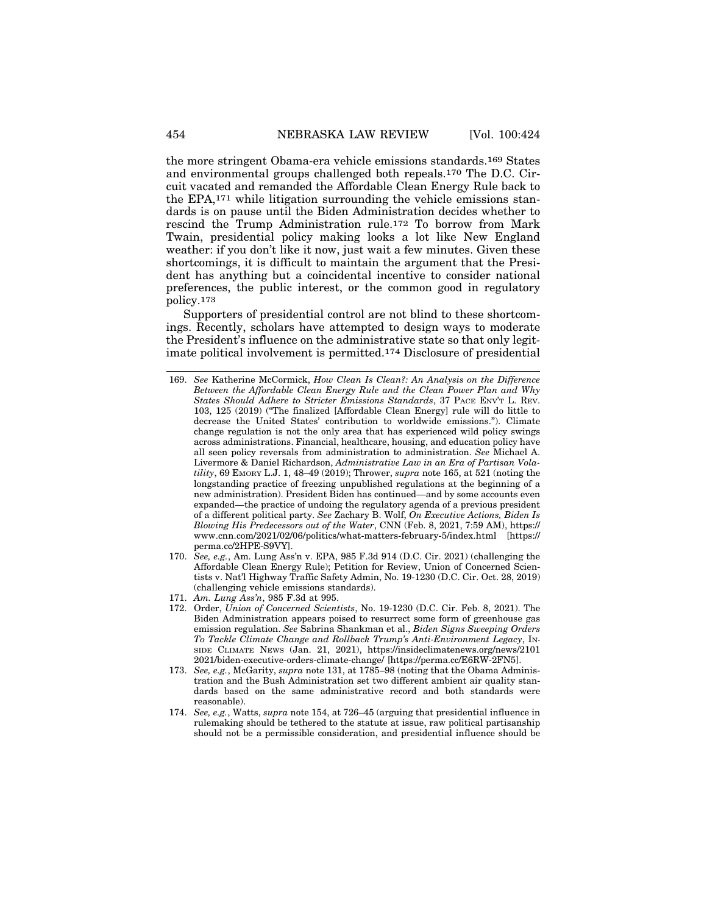the more stringent Obama-era vehicle emissions standards.169 States and environmental groups challenged both repeals.170 The D.C. Circuit vacated and remanded the Affordable Clean Energy Rule back to the EPA,171 while litigation surrounding the vehicle emissions standards is on pause until the Biden Administration decides whether to rescind the Trump Administration rule.172 To borrow from Mark Twain, presidential policy making looks a lot like New England weather: if you don't like it now, just wait a few minutes. Given these shortcomings, it is difficult to maintain the argument that the President has anything but a coincidental incentive to consider national preferences, the public interest, or the common good in regulatory policy.173

Supporters of presidential control are not blind to these shortcomings. Recently, scholars have attempted to design ways to moderate the President's influence on the administrative state so that only legitimate political involvement is permitted.174 Disclosure of presidential

- 170. *See, e.g.*, Am. Lung Ass'n v. EPA, 985 F.3d 914 (D.C. Cir. 2021) (challenging the Affordable Clean Energy Rule); Petition for Review, Union of Concerned Scientists v. Nat'l Highway Traffic Safety Admin, No. 19-1230 (D.C. Cir. Oct. 28, 2019) (challenging vehicle emissions standards).
- 171. *Am. Lung Ass'n*, 985 F.3d at 995.
- 172. Order, *Union of Concerned Scientists*, No. 19-1230 (D.C. Cir. Feb. 8, 2021). The Biden Administration appears poised to resurrect some form of greenhouse gas emission regulation. *See* Sabrina Shankman et al., *Biden Signs Sweeping Orders To Tackle Climate Change and Rollback Trump's Anti-Environment Legacy*, IN-SIDE CLIMATE NEWS (Jan. 21, 2021), https://insideclimatenews.org/news/2101 2021/biden-executive-orders-climate-change/ [https://perma.cc/E6RW-2FN5].
- 173. *See, e.g.*, McGarity, *supra* note 131, at 1785–98 (noting that the Obama Administration and the Bush Administration set two different ambient air quality standards based on the same administrative record and both standards were reasonable).
- 174. *See, e.g.*, Watts, *supra* note 154, at 726–45 (arguing that presidential influence in rulemaking should be tethered to the statute at issue, raw political partisanship should not be a permissible consideration, and presidential influence should be

<sup>169.</sup> *See* Katherine McCormick, *How Clean Is Clean?: An Analysis on the Difference Between the Affordable Clean Energy Rule and the Clean Power Plan and Why States Should Adhere to Stricter Emissions Standards*, 37 PACE ENV'T L. REV. 103, 125 (2019) ("The finalized [Affordable Clean Energy] rule will do little to decrease the United States' contribution to worldwide emissions."). Climate change regulation is not the only area that has experienced wild policy swings across administrations. Financial, healthcare, housing, and education policy have all seen policy reversals from administration to administration. *See* Michael A. Livermore & Daniel Richardson, *Administrative Law in an Era of Partisan Volatility*, 69 EMORY L.J. 1, 48–49 (2019); Thrower, *supra* note 165, at 521 (noting the longstanding practice of freezing unpublished regulations at the beginning of a new administration). President Biden has continued—and by some accounts even expanded—the practice of undoing the regulatory agenda of a previous president of a different political party. *See* Zachary B. Wolf, *On Executive Actions, Biden Is Blowing His Predecessors out of the Water*, CNN (Feb. 8, 2021, 7:59 AM), https:// www.cnn.com/2021/02/06/politics/what-matters-february-5/index.html [https:// perma.cc/2HPE-S9VY].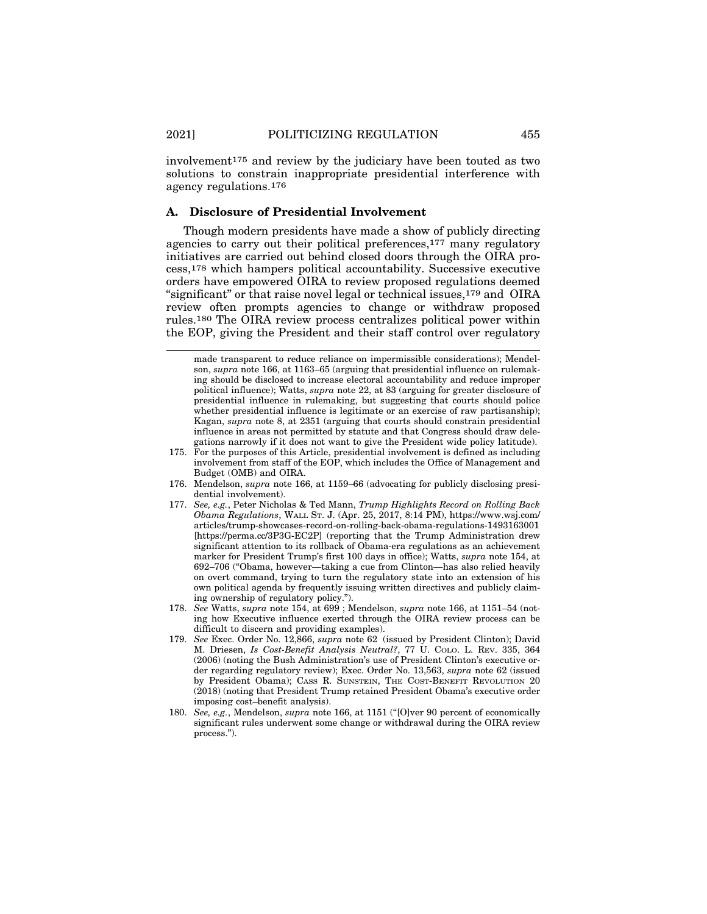involvement175 and review by the judiciary have been touted as two solutions to constrain inappropriate presidential interference with agency regulations.176

#### **A. Disclosure of Presidential Involvement**

Though modern presidents have made a show of publicly directing agencies to carry out their political preferences,177 many regulatory initiatives are carried out behind closed doors through the OIRA process,178 which hampers political accountability. Successive executive orders have empowered OIRA to review proposed regulations deemed "significant" or that raise novel legal or technical issues,179 and OIRA review often prompts agencies to change or withdraw proposed rules.180 The OIRA review process centralizes political power within the EOP, giving the President and their staff control over regulatory

made transparent to reduce reliance on impermissible considerations); Mendelson, *supra* note 166, at 1163–65 (arguing that presidential influence on rulemaking should be disclosed to increase electoral accountability and reduce improper political influence); Watts, *supra* note 22, at 83 (arguing for greater disclosure of presidential influence in rulemaking, but suggesting that courts should police whether presidential influence is legitimate or an exercise of raw partisanship); Kagan, *supra* note 8, at 2351 (arguing that courts should constrain presidential influence in areas not permitted by statute and that Congress should draw delegations narrowly if it does not want to give the President wide policy latitude).

<sup>175.</sup> For the purposes of this Article, presidential involvement is defined as including involvement from staff of the EOP, which includes the Office of Management and Budget (OMB) and OIRA.

<sup>176.</sup> Mendelson, *supra* note 166, at 1159–66 (advocating for publicly disclosing presidential involvement).

<sup>177.</sup> *See, e.g.*, Peter Nicholas & Ted Mann, *Trump Highlights Record on Rolling Back Obama Regulations*, WALL ST. J. (Apr. 25, 2017, 8:14 PM), https://www.wsj.com/ articles/trump-showcases-record-on-rolling-back-obama-regulations-1493163001 [https://perma.cc/3P3G-EC2P] (reporting that the Trump Administration drew significant attention to its rollback of Obama-era regulations as an achievement marker for President Trump's first 100 days in office); Watts, *supra* note 154, at 692–706 ("Obama, however—taking a cue from Clinton—has also relied heavily on overt command, trying to turn the regulatory state into an extension of his own political agenda by frequently issuing written directives and publicly claiming ownership of regulatory policy.").

<sup>178.</sup> *See* Watts, *supra* note 154, at 699 ; Mendelson, *supra* note 166, at 1151–54 (noting how Executive influence exerted through the OIRA review process can be difficult to discern and providing examples).

<sup>179.</sup> *See* Exec. Order No. 12,866, *supra* note 62 (issued by President Clinton); David M. Driesen, *Is Cost-Benefit Analysis Neutral?*, 77 U. COLO. L. REV. 335, 364 (2006) (noting the Bush Administration's use of President Clinton's executive order regarding regulatory review); Exec. Order No. 13,563, *supra* note 62 (issued by President Obama); CASS R. SUNSTEIN, THE COST-BENEFIT REVOLUTION 20 (2018) (noting that President Trump retained President Obama's executive order imposing cost–benefit analysis).

<sup>180.</sup> *See, e.g.*, Mendelson, *supra* note 166, at 1151 ("[O]ver 90 percent of economically significant rules underwent some change or withdrawal during the OIRA review process.").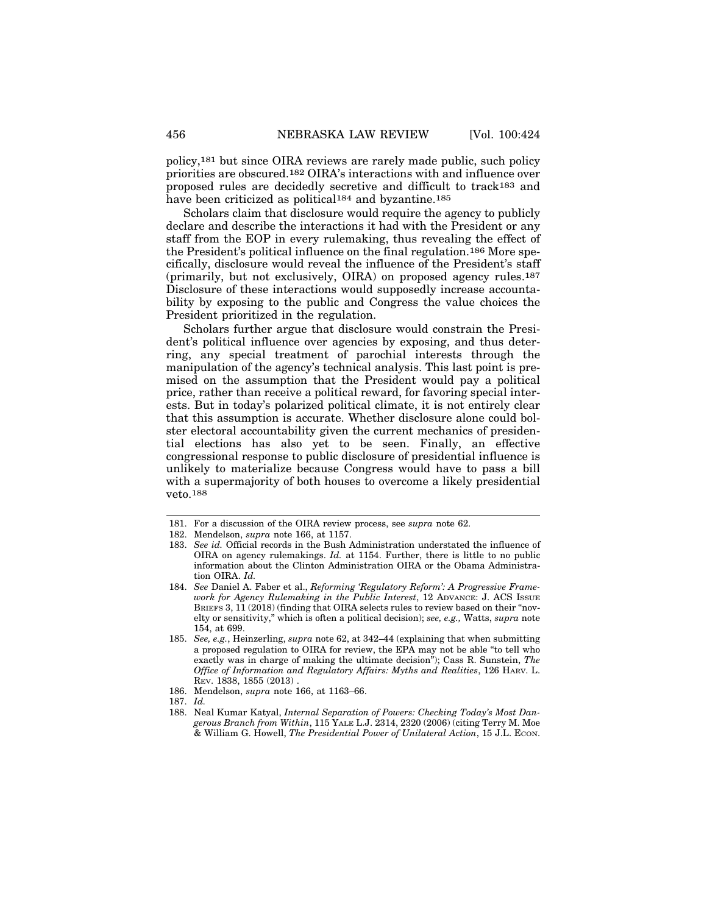policy,181 but since OIRA reviews are rarely made public, such policy priorities are obscured.182 OIRA's interactions with and influence over proposed rules are decidedly secretive and difficult to track183 and have been criticized as political<sup>184</sup> and byzantine.<sup>185</sup>

Scholars claim that disclosure would require the agency to publicly declare and describe the interactions it had with the President or any staff from the EOP in every rulemaking, thus revealing the effect of the President's political influence on the final regulation.186 More specifically, disclosure would reveal the influence of the President's staff (primarily, but not exclusively, OIRA) on proposed agency rules.187 Disclosure of these interactions would supposedly increase accountability by exposing to the public and Congress the value choices the President prioritized in the regulation.

Scholars further argue that disclosure would constrain the President's political influence over agencies by exposing, and thus deterring, any special treatment of parochial interests through the manipulation of the agency's technical analysis. This last point is premised on the assumption that the President would pay a political price, rather than receive a political reward, for favoring special interests. But in today's polarized political climate, it is not entirely clear that this assumption is accurate. Whether disclosure alone could bolster electoral accountability given the current mechanics of presidential elections has also yet to be seen. Finally, an effective congressional response to public disclosure of presidential influence is unlikely to materialize because Congress would have to pass a bill with a supermajority of both houses to overcome a likely presidential veto.188

<sup>181.</sup> For a discussion of the OIRA review process, see *supra* note 62.

<sup>182.</sup> Mendelson, *supra* note 166, at 1157.

<sup>183.</sup> *See id.* Official records in the Bush Administration understated the influence of OIRA on agency rulemakings. *Id.* at 1154. Further, there is little to no public information about the Clinton Administration OIRA or the Obama Administration OIRA. *Id.*

<sup>184.</sup> *See* Daniel A. Faber et al., *Reforming 'Regulatory Reform': A Progressive Framework for Agency Rulemaking in the Public Interest*, 12 ADVANCE: J. ACS ISSUE BRIEFS 3, 11 (2018) (finding that OIRA selects rules to review based on their "novelty or sensitivity," which is often a political decision); *see, e.g.,* Watts, *supra* note 154, at 699.

<sup>185.</sup> *See, e.g.*, Heinzerling, *supra* note 62, at 342–44 (explaining that when submitting a proposed regulation to OIRA for review, the EPA may not be able "to tell who exactly was in charge of making the ultimate decision"); Cass R. Sunstein, *The Office of Information and Regulatory Affairs: Myths and Realities*, 126 HARV. L. REV. 1838, 1855 (2013) .

<sup>186.</sup> Mendelson, *supra* note 166, at 1163–66.

<sup>187.</sup> *Id.*

<sup>188.</sup> Neal Kumar Katyal, *Internal Separation of Powers: Checking Today's Most Dangerous Branch from Within*, 115 YALE L.J. 2314, 2320 (2006) (citing Terry M. Moe & William G. Howell, *The Presidential Power of Unilateral Action*, 15 J.L. ECON.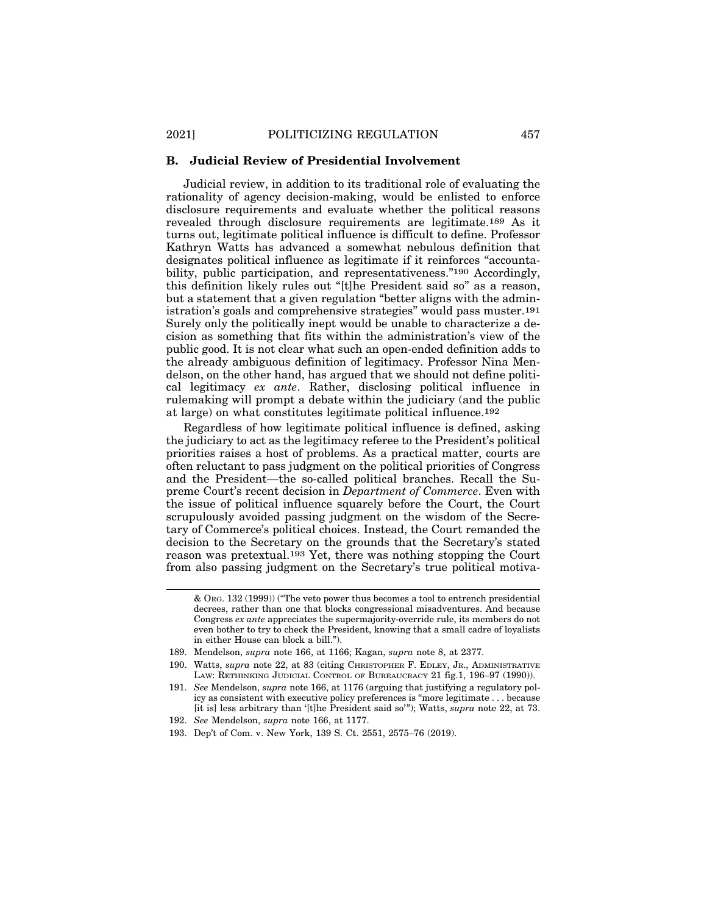#### **B. Judicial Review of Presidential Involvement**

Judicial review, in addition to its traditional role of evaluating the rationality of agency decision-making, would be enlisted to enforce disclosure requirements and evaluate whether the political reasons revealed through disclosure requirements are legitimate.189 As it turns out, legitimate political influence is difficult to define. Professor Kathryn Watts has advanced a somewhat nebulous definition that designates political influence as legitimate if it reinforces "accountability, public participation, and representativeness."190 Accordingly, this definition likely rules out "[t]he President said so" as a reason, but a statement that a given regulation "better aligns with the administration's goals and comprehensive strategies" would pass muster.191 Surely only the politically inept would be unable to characterize a decision as something that fits within the administration's view of the public good. It is not clear what such an open-ended definition adds to the already ambiguous definition of legitimacy. Professor Nina Mendelson, on the other hand, has argued that we should not define political legitimacy *ex ante*. Rather, disclosing political influence in rulemaking will prompt a debate within the judiciary (and the public at large) on what constitutes legitimate political influence.192

Regardless of how legitimate political influence is defined, asking the judiciary to act as the legitimacy referee to the President's political priorities raises a host of problems. As a practical matter, courts are often reluctant to pass judgment on the political priorities of Congress and the President—the so-called political branches. Recall the Supreme Court's recent decision in *Department of Commerce*. Even with the issue of political influence squarely before the Court, the Court scrupulously avoided passing judgment on the wisdom of the Secretary of Commerce's political choices. Instead, the Court remanded the decision to the Secretary on the grounds that the Secretary's stated reason was pretextual.193 Yet, there was nothing stopping the Court from also passing judgment on the Secretary's true political motiva-

<sup>&</sup>amp; ORG. 132 (1999)) ("The veto power thus becomes a tool to entrench presidential decrees, rather than one that blocks congressional misadventures. And because Congress *ex ante* appreciates the supermajority-override rule, its members do not even bother to try to check the President, knowing that a small cadre of loyalists in either House can block a bill.").

<sup>189.</sup> Mendelson, *supra* note 166, at 1166; Kagan, *supra* note 8, at 2377.

<sup>190.</sup> Watts, *supra* note 22, at 83 (citing CHRISTOPHER F. EDLEY, JR., ADMINISTRATIVE LAW: RETHINKING JUDICIAL CONTROL OF BUREAUCRACY 21 fig.1, 196–97 (1990)).

<sup>191.</sup> *See* Mendelson, *supra* note 166, at 1176 (arguing that justifying a regulatory policy as consistent with executive policy preferences is "more legitimate . . . because [it is] less arbitrary than '[t]he President said so'"); Watts, *supra* note 22, at 73.

<sup>192.</sup> *See* Mendelson, *supra* note 166, at 1177.

<sup>193.</sup> Dep't of Com. v. New York, 139 S. Ct. 2551, 2575–76 (2019).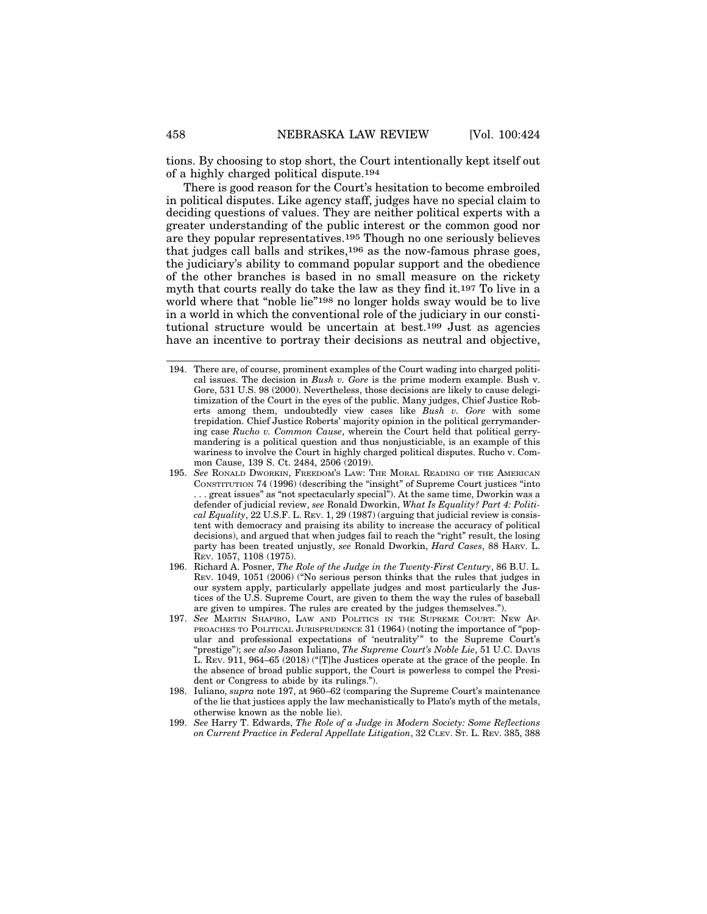tions. By choosing to stop short, the Court intentionally kept itself out of a highly charged political dispute.194

There is good reason for the Court's hesitation to become embroiled in political disputes. Like agency staff, judges have no special claim to deciding questions of values. They are neither political experts with a greater understanding of the public interest or the common good nor are they popular representatives.195 Though no one seriously believes that judges call balls and strikes,196 as the now-famous phrase goes, the judiciary's ability to command popular support and the obedience of the other branches is based in no small measure on the rickety myth that courts really do take the law as they find it.197 To live in a world where that "noble lie"198 no longer holds sway would be to live in a world in which the conventional role of the judiciary in our constitutional structure would be uncertain at best.199 Just as agencies have an incentive to portray their decisions as neutral and objective,

- 197. *See* MARTIN SHAPIRO, LAW AND POLITICS IN THE SUPREME COURT: NEW AP-PROACHES TO POLITICAL JURISPRUDENCE 31 (1964) (noting the importance of "popular and professional expectations of 'neutrality'" to the Supreme Court's "prestige"); *see also* Jason Iuliano, *The Supreme Court's Noble Lie*, 51 U.C. DAVIS L. REV. 911, 964–65 (2018) ("[T]he Justices operate at the grace of the people. In the absence of broad public support, the Court is powerless to compel the President or Congress to abide by its rulings.").
- 198. Iuliano, *supra* note 197, at 960–62 (comparing the Supreme Court's maintenance of the lie that justices apply the law mechanistically to Plato's myth of the metals, otherwise known as the noble lie).
- 199. *See* Harry T. Edwards, *The Role of a Judge in Modern Society: Some Reflections on Current Practice in Federal Appellate Litigation*, 32 CLEV. ST. L. REV. 385, 388

<sup>194.</sup> There are, of course, prominent examples of the Court wading into charged political issues. The decision in *Bush v. Gore* is the prime modern example. Bush v. Gore, 531 U.S. 98 (2000). Nevertheless, those decisions are likely to cause delegitimization of the Court in the eyes of the public. Many judges, Chief Justice Roberts among them, undoubtedly view cases like *Bush v. Gore* with some trepidation. Chief Justice Roberts' majority opinion in the political gerrymandering case *Rucho v. Common Cause*, wherein the Court held that political gerrymandering is a political question and thus nonjusticiable, is an example of this wariness to involve the Court in highly charged political disputes. Rucho v. Common Cause, 139 S. Ct. 2484, 2506 (2019).

<sup>195.</sup> *See* RONALD DWORKIN, FREEDOM'S LAW: THE MORAL READING OF THE AMERICAN CONSTITUTION 74 (1996) (describing the "insight" of Supreme Court justices "into .. great issues" as "not spectacularly special"). At the same time, Dworkin was a defender of judicial review, *see* Ronald Dworkin, *What Is Equality? Part 4: Political Equality*, 22 U.S.F. L. REV. 1, 29 (1987) (arguing that judicial review is consistent with democracy and praising its ability to increase the accuracy of political decisions), and argued that when judges fail to reach the "right" result, the losing party has been treated unjustly, *see* Ronald Dworkin, *Hard Cases*, 88 HARV. L. REV. 1057, 1108 (1975).

<sup>196.</sup> Richard A. Posner, *The Role of the Judge in the Twenty-First Century*, 86 B.U. L. REV. 1049, 1051 (2006) ("No serious person thinks that the rules that judges in our system apply, particularly appellate judges and most particularly the Justices of the U.S. Supreme Court, are given to them the way the rules of baseball are given to umpires. The rules are created by the judges themselves.").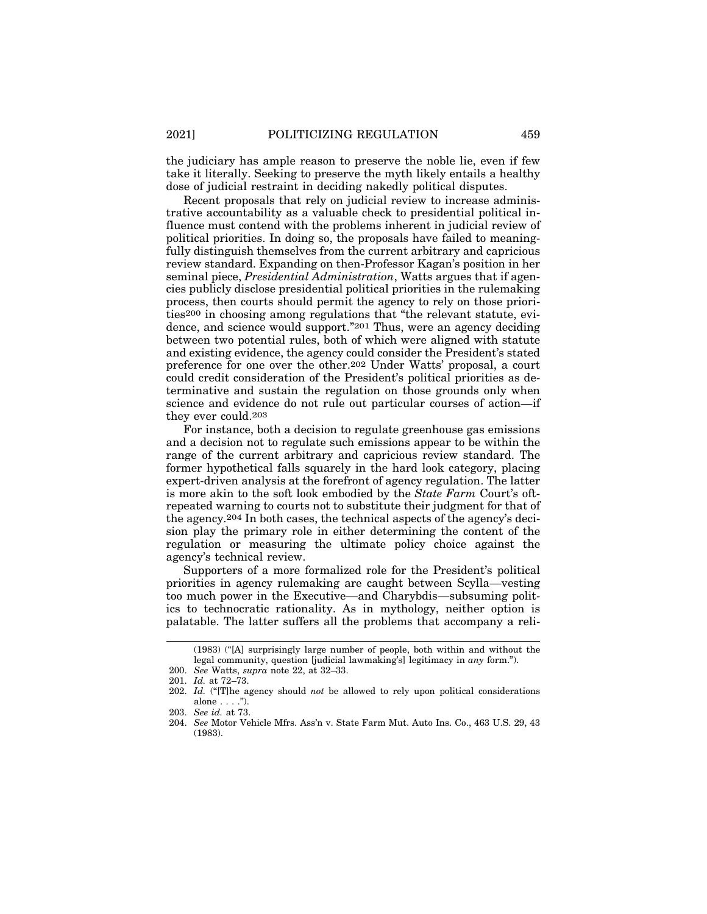the judiciary has ample reason to preserve the noble lie, even if few take it literally. Seeking to preserve the myth likely entails a healthy dose of judicial restraint in deciding nakedly political disputes.

Recent proposals that rely on judicial review to increase administrative accountability as a valuable check to presidential political influence must contend with the problems inherent in judicial review of political priorities. In doing so, the proposals have failed to meaningfully distinguish themselves from the current arbitrary and capricious review standard. Expanding on then-Professor Kagan's position in her seminal piece, *Presidential Administration*, Watts argues that if agencies publicly disclose presidential political priorities in the rulemaking process, then courts should permit the agency to rely on those priorities200 in choosing among regulations that "the relevant statute, evidence, and science would support."201 Thus, were an agency deciding between two potential rules, both of which were aligned with statute and existing evidence, the agency could consider the President's stated preference for one over the other.202 Under Watts' proposal, a court could credit consideration of the President's political priorities as determinative and sustain the regulation on those grounds only when science and evidence do not rule out particular courses of action—if they ever could.203

For instance, both a decision to regulate greenhouse gas emissions and a decision not to regulate such emissions appear to be within the range of the current arbitrary and capricious review standard. The former hypothetical falls squarely in the hard look category, placing expert-driven analysis at the forefront of agency regulation. The latter is more akin to the soft look embodied by the *State Farm* Court's oftrepeated warning to courts not to substitute their judgment for that of the agency.204 In both cases, the technical aspects of the agency's decision play the primary role in either determining the content of the regulation or measuring the ultimate policy choice against the agency's technical review.

Supporters of a more formalized role for the President's political priorities in agency rulemaking are caught between Scylla—vesting too much power in the Executive—and Charybdis—subsuming politics to technocratic rationality. As in mythology, neither option is palatable. The latter suffers all the problems that accompany a reli-

<sup>(1983) (&</sup>quot;[A] surprisingly large number of people, both within and without the legal community, question [judicial lawmaking's] legitimacy in *any* form.").

<sup>200.</sup> *See* Watts, *supra* note 22, at 32–33.

<sup>201.</sup> *Id.* at 72–73.

<sup>202.</sup> *Id.* ("[T]he agency should *not* be allowed to rely upon political considerations alone . . . .").

<sup>203.</sup> *See id.* at 73.

<sup>204.</sup> *See* Motor Vehicle Mfrs. Ass'n v. State Farm Mut. Auto Ins. Co., 463 U.S. 29, 43 (1983).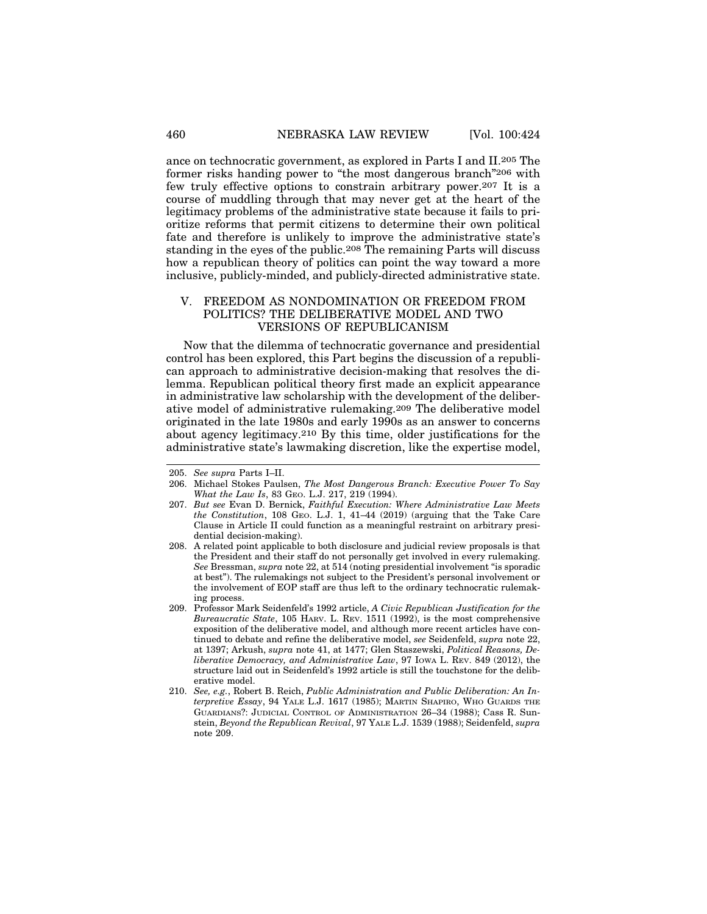ance on technocratic government, as explored in Parts I and II.205 The former risks handing power to "the most dangerous branch"206 with few truly effective options to constrain arbitrary power.207 It is a course of muddling through that may never get at the heart of the legitimacy problems of the administrative state because it fails to prioritize reforms that permit citizens to determine their own political fate and therefore is unlikely to improve the administrative state's standing in the eyes of the public.208 The remaining Parts will discuss how a republican theory of politics can point the way toward a more

#### V. FREEDOM AS NONDOMINATION OR FREEDOM FROM POLITICS? THE DELIBERATIVE MODEL AND TWO VERSIONS OF REPUBLICANISM

inclusive, publicly-minded, and publicly-directed administrative state.

Now that the dilemma of technocratic governance and presidential control has been explored, this Part begins the discussion of a republican approach to administrative decision-making that resolves the dilemma. Republican political theory first made an explicit appearance in administrative law scholarship with the development of the deliberative model of administrative rulemaking.209 The deliberative model originated in the late 1980s and early 1990s as an answer to concerns about agency legitimacy.210 By this time, older justifications for the administrative state's lawmaking discretion, like the expertise model,

<sup>205.</sup> *See supra* Parts I–II.

<sup>206.</sup> Michael Stokes Paulsen, *The Most Dangerous Branch: Executive Power To Say What the Law Is*, 83 GEO. L.J. 217, 219 (1994).

<sup>207.</sup> *But see* Evan D. Bernick, *Faithful Execution: Where Administrative Law Meets the Constitution*, 108 GEO. L.J. 1, 41–44 (2019) (arguing that the Take Care Clause in Article II could function as a meaningful restraint on arbitrary presidential decision-making).

<sup>208.</sup> A related point applicable to both disclosure and judicial review proposals is that the President and their staff do not personally get involved in every rulemaking. *See* Bressman, *supra* note 22, at 514 (noting presidential involvement "is sporadic at best"). The rulemakings not subject to the President's personal involvement or the involvement of EOP staff are thus left to the ordinary technocratic rulemaking process.

<sup>209.</sup> Professor Mark Seidenfeld's 1992 article, *A Civic Republican Justification for the Bureaucratic State*, 105 HARV. L. REV. 1511 (1992), is the most comprehensive exposition of the deliberative model, and although more recent articles have continued to debate and refine the deliberative model, *see* Seidenfeld, *supra* note 22, at 1397; Arkush, *supra* note 41, at 1477; Glen Staszewski, *Political Reasons, Deliberative Democracy, and Administrative Law*, 97 IOWA L. REV. 849 (2012), the structure laid out in Seidenfeld's 1992 article is still the touchstone for the deliberative model.

<sup>210.</sup> *See, e.g.*, Robert B. Reich, *Public Administration and Public Deliberation: An Interpretive Essay*, 94 YALE L.J. 1617 (1985); MARTIN SHAPIRO, WHO GUARDS THE GUARDIANS?: JUDICIAL CONTROL OF ADMINISTRATION 26–34 (1988); Cass R. Sunstein, *Beyond the Republican Revival*, 97 YALE L.J. 1539 (1988); Seidenfeld, *supra* note 209.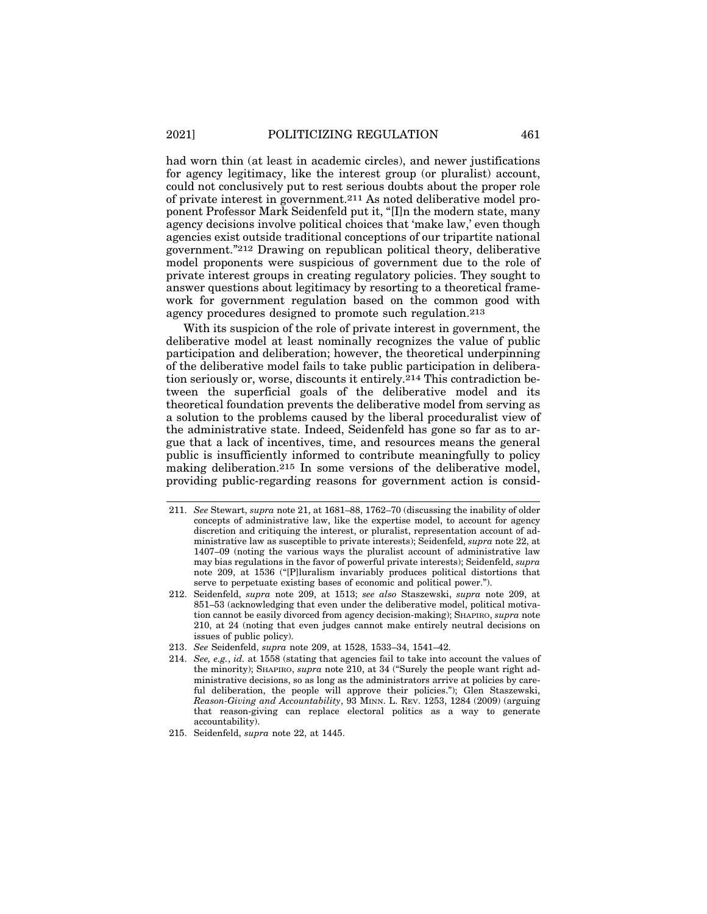had worn thin (at least in academic circles), and newer justifications for agency legitimacy, like the interest group (or pluralist) account, could not conclusively put to rest serious doubts about the proper role of private interest in government.211 As noted deliberative model proponent Professor Mark Seidenfeld put it, "[I]n the modern state, many agency decisions involve political choices that 'make law,' even though agencies exist outside traditional conceptions of our tripartite national government."212 Drawing on republican political theory, deliberative model proponents were suspicious of government due to the role of private interest groups in creating regulatory policies. They sought to answer questions about legitimacy by resorting to a theoretical framework for government regulation based on the common good with agency procedures designed to promote such regulation.213

With its suspicion of the role of private interest in government, the deliberative model at least nominally recognizes the value of public participation and deliberation; however, the theoretical underpinning of the deliberative model fails to take public participation in deliberation seriously or, worse, discounts it entirely.214 This contradiction between the superficial goals of the deliberative model and its theoretical foundation prevents the deliberative model from serving as a solution to the problems caused by the liberal proceduralist view of the administrative state. Indeed, Seidenfeld has gone so far as to argue that a lack of incentives, time, and resources means the general public is insufficiently informed to contribute meaningfully to policy making deliberation.215 In some versions of the deliberative model, providing public-regarding reasons for government action is consid-

<sup>211.</sup> *See* Stewart, *supra* note 21, at 1681–88, 1762–70 (discussing the inability of older concepts of administrative law, like the expertise model, to account for agency discretion and critiquing the interest, or pluralist, representation account of administrative law as susceptible to private interests); Seidenfeld, *supra* note 22, at 1407–09 (noting the various ways the pluralist account of administrative law may bias regulations in the favor of powerful private interests); Seidenfeld, *supra* note 209, at 1536 ("[P]luralism invariably produces political distortions that serve to perpetuate existing bases of economic and political power.").

<sup>212.</sup> Seidenfeld, *supra* note 209, at 1513; *see also* Staszewski, *supra* note 209, at 851–53 (acknowledging that even under the deliberative model, political motivation cannot be easily divorced from agency decision-making); SHAPIRO, *supra* note 210, at 24 (noting that even judges cannot make entirely neutral decisions on issues of public policy).

<sup>213.</sup> *See* Seidenfeld, *supra* note 209, at 1528, 1533–34, 1541–42.

<sup>214.</sup> *See, e.g.*, *id.* at 1558 (stating that agencies fail to take into account the values of the minority); SHAPIRO, *supra* note 210, at 34 ("Surely the people want right administrative decisions, so as long as the administrators arrive at policies by careful deliberation, the people will approve their policies."); Glen Staszewski, *Reason-Giving and Accountability*, 93 MINN. L. REV. 1253, 1284 (2009) (arguing that reason-giving can replace electoral politics as a way to generate accountability).

<sup>215.</sup> Seidenfeld, *supra* note 22, at 1445.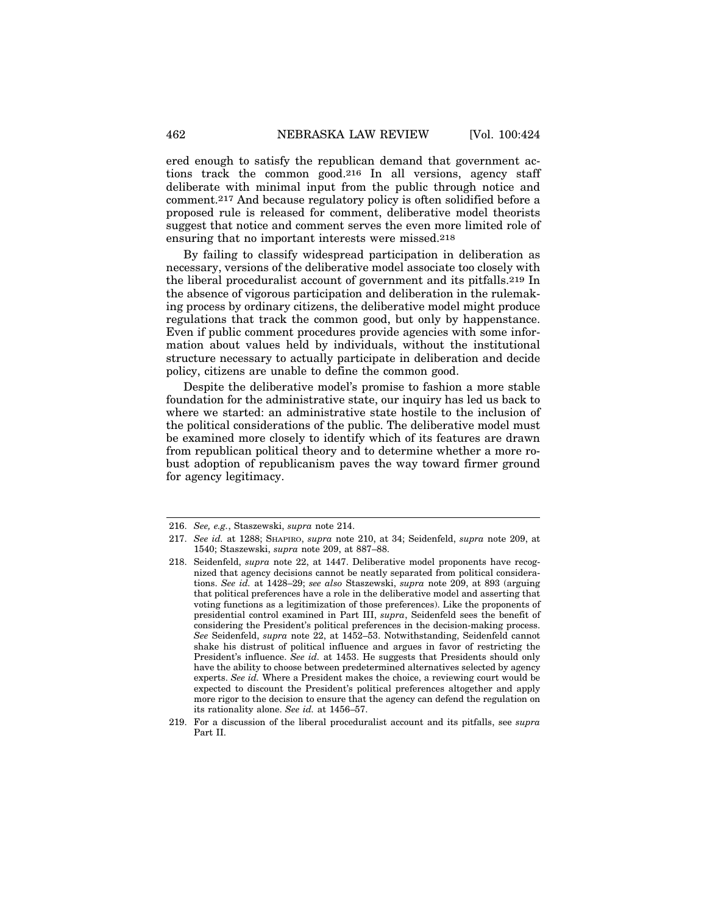ered enough to satisfy the republican demand that government actions track the common good.216 In all versions, agency staff deliberate with minimal input from the public through notice and comment.217 And because regulatory policy is often solidified before a proposed rule is released for comment, deliberative model theorists suggest that notice and comment serves the even more limited role of ensuring that no important interests were missed.218

By failing to classify widespread participation in deliberation as necessary, versions of the deliberative model associate too closely with the liberal proceduralist account of government and its pitfalls.219 In the absence of vigorous participation and deliberation in the rulemaking process by ordinary citizens, the deliberative model might produce regulations that track the common good, but only by happenstance. Even if public comment procedures provide agencies with some information about values held by individuals, without the institutional structure necessary to actually participate in deliberation and decide policy, citizens are unable to define the common good.

Despite the deliberative model's promise to fashion a more stable foundation for the administrative state, our inquiry has led us back to where we started: an administrative state hostile to the inclusion of the political considerations of the public. The deliberative model must be examined more closely to identify which of its features are drawn from republican political theory and to determine whether a more robust adoption of republicanism paves the way toward firmer ground for agency legitimacy.

<sup>216.</sup> *See, e.g.*, Staszewski, *supra* note 214.

<sup>217.</sup> *See id.* at 1288; SHAPIRO, *supra* note 210, at 34; Seidenfeld, *supra* note 209, at 1540; Staszewski, *supra* note 209, at 887–88.

<sup>218.</sup> Seidenfeld, *supra* note 22, at 1447. Deliberative model proponents have recognized that agency decisions cannot be neatly separated from political considerations. *See id.* at 1428–29; *see also* Staszewski, *supra* note 209, at 893 (arguing that political preferences have a role in the deliberative model and asserting that voting functions as a legitimization of those preferences). Like the proponents of presidential control examined in Part III, *supra*, Seidenfeld sees the benefit of considering the President's political preferences in the decision-making process. *See* Seidenfeld, *supra* note 22, at 1452–53. Notwithstanding, Seidenfeld cannot shake his distrust of political influence and argues in favor of restricting the President's influence. *See id.* at 1453. He suggests that Presidents should only have the ability to choose between predetermined alternatives selected by agency experts. *See id.* Where a President makes the choice, a reviewing court would be expected to discount the President's political preferences altogether and apply more rigor to the decision to ensure that the agency can defend the regulation on its rationality alone. *See id.* at 1456–57.

<sup>219.</sup> For a discussion of the liberal proceduralist account and its pitfalls, see *supra* Part II.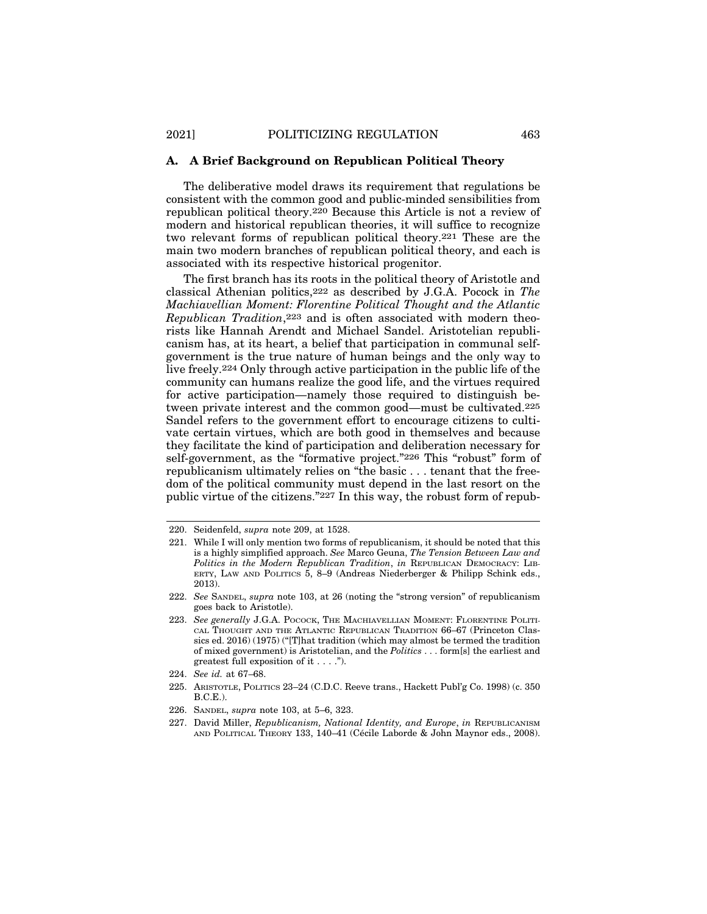#### **A. A Brief Background on Republican Political Theory**

The deliberative model draws its requirement that regulations be consistent with the common good and public-minded sensibilities from republican political theory.220 Because this Article is not a review of modern and historical republican theories, it will suffice to recognize two relevant forms of republican political theory.221 These are the main two modern branches of republican political theory, and each is associated with its respective historical progenitor.

The first branch has its roots in the political theory of Aristotle and classical Athenian politics,222 as described by J.G.A. Pocock in *The Machiavellian Moment: Florentine Political Thought and the Atlantic Republican Tradition*,223 and is often associated with modern theorists like Hannah Arendt and Michael Sandel. Aristotelian republicanism has, at its heart, a belief that participation in communal selfgovernment is the true nature of human beings and the only way to live freely.224 Only through active participation in the public life of the community can humans realize the good life, and the virtues required for active participation—namely those required to distinguish between private interest and the common good—must be cultivated.225 Sandel refers to the government effort to encourage citizens to cultivate certain virtues, which are both good in themselves and because they facilitate the kind of participation and deliberation necessary for self-government, as the "formative project."226 This "robust" form of republicanism ultimately relies on "the basic . . . tenant that the freedom of the political community must depend in the last resort on the public virtue of the citizens."227 In this way, the robust form of repub-

<sup>220.</sup> Seidenfeld, *supra* note 209, at 1528.

<sup>221.</sup> While I will only mention two forms of republicanism, it should be noted that this is a highly simplified approach. *See* Marco Geuna, *The Tension Between Law and Politics in the Modern Republican Tradition*, *in* REPUBLICAN DEMOCRACY: LIB-ERTY, LAW AND POLITICS  $\bar{5}$ , 8–9 (Andreas Niederberger & Philipp Schink eds., 2013).

<sup>222.</sup> *See* SANDEL, *supra* note 103, at 26 (noting the "strong version" of republicanism goes back to Aristotle).

<sup>223.</sup> *See generally* J.G.A. POCOCK, THE MACHIAVELLIAN MOMENT: FLORENTINE POLITI-CAL THOUGHT AND THE ATLANTIC REPUBLICAN TRADITION 66–67 (Princeton Classics ed. 2016) (1975) ("[T]hat tradition (which may almost be termed the tradition of mixed government) is Aristotelian, and the *Politics* . . . form[s] the earliest and greatest full exposition of it . . . .").

<sup>224.</sup> *See id.* at 67–68.

<sup>225.</sup> ARISTOTLE, POLITICS 23–24 (C.D.C. Reeve trans., Hackett Publ'g Co. 1998) (c. 350 B.C.E.).

<sup>226.</sup> SANDEL, *supra* note 103, at 5–6, 323.

<sup>227.</sup> David Miller, *Republicanism, National Identity, and Europe*, *in* REPUBLICANISM AND POLITICAL THEORY 133, 140–41 (Cécile Laborde & John Maynor eds., 2008).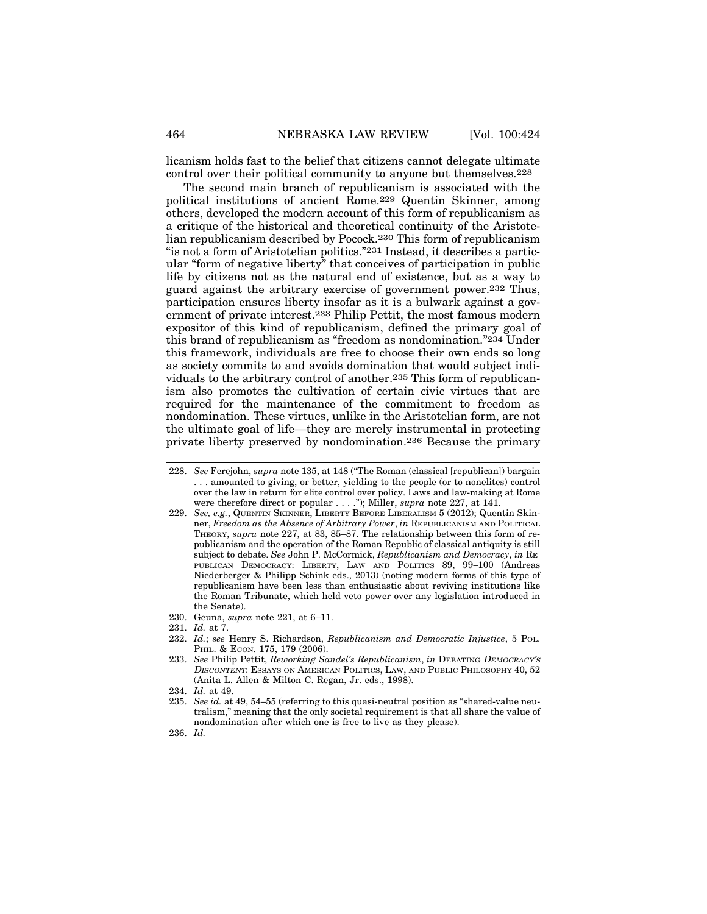licanism holds fast to the belief that citizens cannot delegate ultimate control over their political community to anyone but themselves.228

The second main branch of republicanism is associated with the political institutions of ancient Rome.229 Quentin Skinner, among others, developed the modern account of this form of republicanism as a critique of the historical and theoretical continuity of the Aristotelian republicanism described by Pocock.230 This form of republicanism "is not a form of Aristotelian politics."231 Instead, it describes a particular "form of negative liberty" that conceives of participation in public life by citizens not as the natural end of existence, but as a way to guard against the arbitrary exercise of government power.232 Thus, participation ensures liberty insofar as it is a bulwark against a government of private interest.233 Philip Pettit, the most famous modern expositor of this kind of republicanism, defined the primary goal of this brand of republicanism as "freedom as nondomination."234 Under this framework, individuals are free to choose their own ends so long as society commits to and avoids domination that would subject individuals to the arbitrary control of another.235 This form of republicanism also promotes the cultivation of certain civic virtues that are required for the maintenance of the commitment to freedom as nondomination. These virtues, unlike in the Aristotelian form, are not the ultimate goal of life—they are merely instrumental in protecting private liberty preserved by nondomination.236 Because the primary

- 230. Geuna, *supra* note 221, at 6–11.
- 231. *Id.* at 7.
- 232. *Id.*; *see* Henry S. Richardson, *Republicanism and Democratic Injustice*, 5 POL. PHIL. & ECON. 175, 179 (2006).

<sup>228.</sup> *See* Ferejohn, *supra* note 135, at 148 ("The Roman (classical [republican]) bargain . . . amounted to giving, or better, yielding to the people (or to nonelites) control over the law in return for elite control over policy. Laws and law-making at Rome were therefore direct or popular . . . ."); Miller, *supra* note 227, at 141.

<sup>229.</sup> *See, e.g.*, QUENTIN SKINNER, LIBERTY BEFORE LIBERALISM 5 (2012); Quentin Skinner, *Freedom as the Absence of Arbitrary Power*, *in* REPUBLICANISM AND POLITICAL THEORY, *supra* note 227, at 83, 85–87. The relationship between this form of republicanism and the operation of the Roman Republic of classical antiquity is still subject to debate. *See* John P. McCormick, *Republicanism and Democracy*, *in* RE-PUBLICAN DEMOCRACY: LIBERTY, LAW AND POLITICS 89, 99–100 (Andreas Niederberger & Philipp Schink eds., 2013) (noting modern forms of this type of republicanism have been less than enthusiastic about reviving institutions like the Roman Tribunate, which held veto power over any legislation introduced in the Senate).

<sup>233.</sup> *See* Philip Pettit, *Reworking Sandel's Republicanism*, *in* DEBATING DEMOCRACY'<sup>S</sup> DISCONTENT: ESSAYS ON AMERICAN POLITICS, LAW, AND PUBLIC PHILOSOPHY 40, 52 (Anita L. Allen & Milton C. Regan, Jr. eds., 1998).

<sup>234.</sup> *Id.* at 49.

<sup>235.</sup> *See id.* at 49, 54–55 (referring to this quasi-neutral position as "shared-value neutralism," meaning that the only societal requirement is that all share the value of nondomination after which one is free to live as they please).

<sup>236.</sup> *Id.*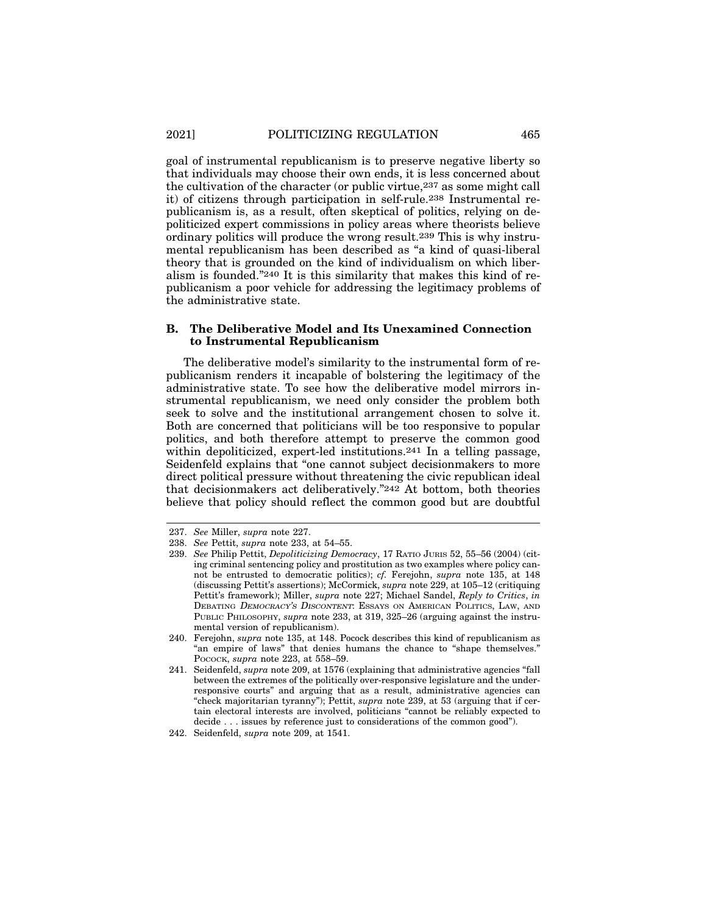goal of instrumental republicanism is to preserve negative liberty so that individuals may choose their own ends, it is less concerned about the cultivation of the character (or public virtue,237 as some might call it) of citizens through participation in self-rule.238 Instrumental republicanism is, as a result, often skeptical of politics, relying on depoliticized expert commissions in policy areas where theorists believe ordinary politics will produce the wrong result.239 This is why instrumental republicanism has been described as "a kind of quasi-liberal theory that is grounded on the kind of individualism on which liberalism is founded."240 It is this similarity that makes this kind of republicanism a poor vehicle for addressing the legitimacy problems of the administrative state.

#### **B. The Deliberative Model and Its Unexamined Connection to Instrumental Republicanism**

The deliberative model's similarity to the instrumental form of republicanism renders it incapable of bolstering the legitimacy of the administrative state. To see how the deliberative model mirrors instrumental republicanism, we need only consider the problem both seek to solve and the institutional arrangement chosen to solve it. Both are concerned that politicians will be too responsive to popular politics, and both therefore attempt to preserve the common good within depoliticized, expert-led institutions.<sup>241</sup> In a telling passage, Seidenfeld explains that "one cannot subject decisionmakers to more direct political pressure without threatening the civic republican ideal that decisionmakers act deliberatively."242 At bottom, both theories believe that policy should reflect the common good but are doubtful

<sup>237.</sup> *See* Miller, *supra* note 227.

<sup>238.</sup> *See* Pettit, *supra* note 233, at 54–55.

<sup>239.</sup> *See* Philip Pettit, *Depoliticizing Democracy*, 17 RATIO JURIS 52, 55–56 (2004) (citing criminal sentencing policy and prostitution as two examples where policy cannot be entrusted to democratic politics); *cf.* Ferejohn, *supra* note 135, at 148 (discussing Pettit's assertions); McCormick, *supra* note 229, at 105–12 (critiquing Pettit's framework); Miller, *supra* note 227; Michael Sandel, *Reply to Critics*, *in* DEBATING DEMOCRACY'S DISCONTENT: ESSAYS ON AMERICAN POLITICS, LAW, AND PUBLIC PHILOSOPHY, *supra* note 233, at 319, 325–26 (arguing against the instrumental version of republicanism).

<sup>240.</sup> Ferejohn, *supra* note 135, at 148. Pocock describes this kind of republicanism as "an empire of laws" that denies humans the chance to "shape themselves." POCOCK, *supra* note 223, at 558–59.

<sup>241.</sup> Seidenfeld, *supra* note 209, at 1576 (explaining that administrative agencies "fall between the extremes of the politically over-responsive legislature and the underresponsive courts" and arguing that as a result, administrative agencies can "check majoritarian tyranny"); Pettit, *supra* note 239, at 53 (arguing that if certain electoral interests are involved, politicians "cannot be reliably expected to decide . . . issues by reference just to considerations of the common good").

<sup>242.</sup> Seidenfeld, *supra* note 209, at 1541.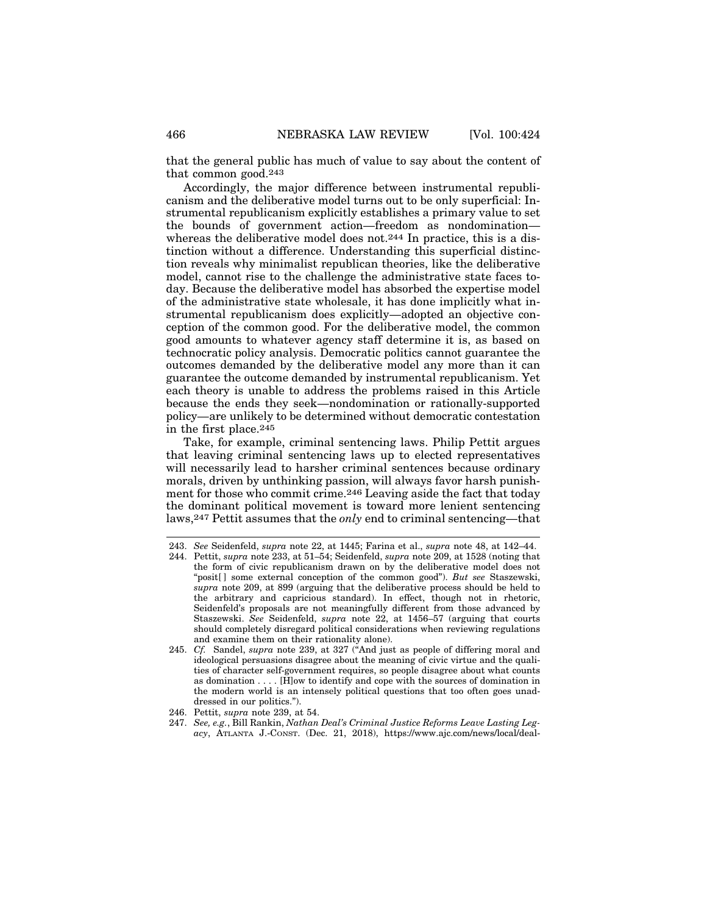that the general public has much of value to say about the content of that common good.243

Accordingly, the major difference between instrumental republicanism and the deliberative model turns out to be only superficial: Instrumental republicanism explicitly establishes a primary value to set the bounds of government action—freedom as nondomination whereas the deliberative model does not.<sup>244</sup> In practice, this is a distinction without a difference. Understanding this superficial distinction reveals why minimalist republican theories, like the deliberative model, cannot rise to the challenge the administrative state faces today. Because the deliberative model has absorbed the expertise model of the administrative state wholesale, it has done implicitly what instrumental republicanism does explicitly—adopted an objective conception of the common good. For the deliberative model, the common good amounts to whatever agency staff determine it is, as based on technocratic policy analysis. Democratic politics cannot guarantee the outcomes demanded by the deliberative model any more than it can guarantee the outcome demanded by instrumental republicanism. Yet each theory is unable to address the problems raised in this Article because the ends they seek—nondomination or rationally-supported policy—are unlikely to be determined without democratic contestation in the first place.245

Take, for example, criminal sentencing laws. Philip Pettit argues that leaving criminal sentencing laws up to elected representatives will necessarily lead to harsher criminal sentences because ordinary morals, driven by unthinking passion, will always favor harsh punishment for those who commit crime.246 Leaving aside the fact that today the dominant political movement is toward more lenient sentencing laws,247 Pettit assumes that the *only* end to criminal sentencing—that

<sup>243.</sup> *See* Seidenfeld, *supra* note 22, at 1445; Farina et al., *supra* note 48, at 142–44.

<sup>244.</sup> Pettit, *supra* note 233, at 51–54; Seidenfeld, *supra* note 209, at 1528 (noting that the form of civic republicanism drawn on by the deliberative model does not "posit[ ] some external conception of the common good"). *But see* Staszewski, *supra* note 209, at 899 (arguing that the deliberative process should be held to the arbitrary and capricious standard). In effect, though not in rhetoric, Seidenfeld's proposals are not meaningfully different from those advanced by Staszewski. *See* Seidenfeld, *supra* note 22, at 1456–57 (arguing that courts should completely disregard political considerations when reviewing regulations and examine them on their rationality alone).

<sup>245.</sup> *Cf.* Sandel, *supra* note 239, at 327 ("And just as people of differing moral and ideological persuasions disagree about the meaning of civic virtue and the qualities of character self-government requires, so people disagree about what counts as domination . . . . [H]ow to identify and cope with the sources of domination in the modern world is an intensely political questions that too often goes unaddressed in our politics.").

<sup>246.</sup> Pettit, *supra* note 239, at 54.

<sup>247.</sup> *See, e.g.*, Bill Rankin, *Nathan Deal's Criminal Justice Reforms Leave Lasting Legacy*, ATLANTA J.-CONST. (Dec. 21, 2018), https://www.ajc.com/news/local/deal-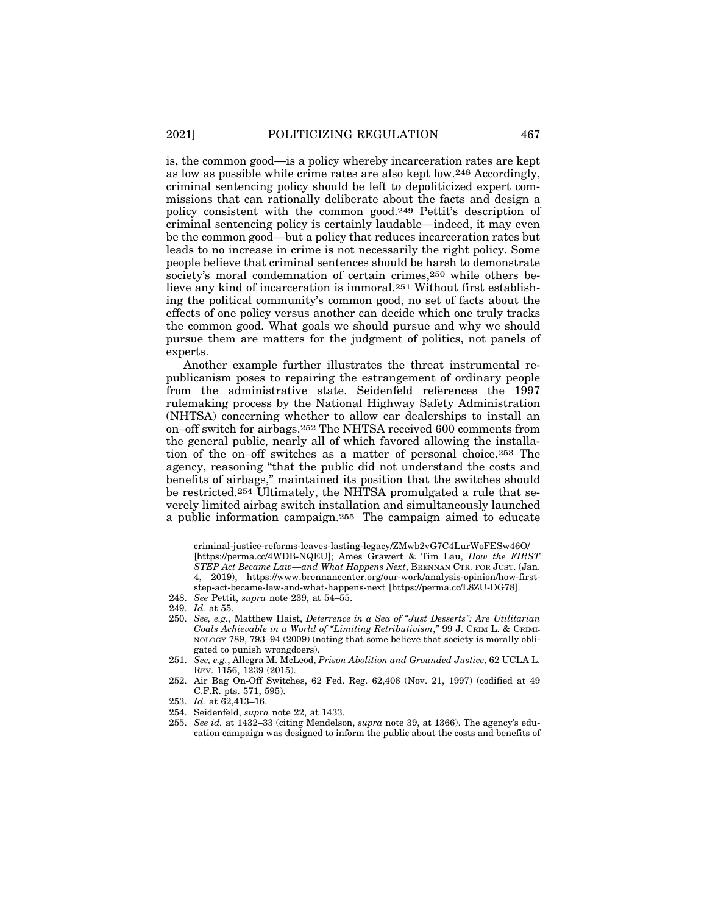is, the common good—is a policy whereby incarceration rates are kept as low as possible while crime rates are also kept low.248 Accordingly, criminal sentencing policy should be left to depoliticized expert commissions that can rationally deliberate about the facts and design a policy consistent with the common good.249 Pettit's description of criminal sentencing policy is certainly laudable—indeed, it may even be the common good—but a policy that reduces incarceration rates but leads to no increase in crime is not necessarily the right policy. Some people believe that criminal sentences should be harsh to demonstrate society's moral condemnation of certain crimes,250 while others believe any kind of incarceration is immoral.251 Without first establishing the political community's common good, no set of facts about the effects of one policy versus another can decide which one truly tracks the common good. What goals we should pursue and why we should pursue them are matters for the judgment of politics, not panels of experts.

Another example further illustrates the threat instrumental republicanism poses to repairing the estrangement of ordinary people from the administrative state. Seidenfeld references the 1997 rulemaking process by the National Highway Safety Administration (NHTSA) concerning whether to allow car dealerships to install an on–off switch for airbags.252 The NHTSA received 600 comments from the general public, nearly all of which favored allowing the installation of the on–off switches as a matter of personal choice.253 The agency, reasoning "that the public did not understand the costs and benefits of airbags," maintained its position that the switches should be restricted.254 Ultimately, the NHTSA promulgated a rule that severely limited airbag switch installation and simultaneously launched a public information campaign.255 The campaign aimed to educate

criminal-justice-reforms-leaves-lasting-legacy/ZMwb2vG7C4LurWoFESw46O/ [https://perma.cc/4WDB-NQEU]; Ames Grawert & Tim Lau, *How the FIRST STEP Act Became Law—and What Happens Next*, BRENNAN CTR. FOR JUST. (Jan. 4, 2019), https://www.brennancenter.org/our-work/analysis-opinion/how-firststep-act-became-law-and-what-happens-next [https://perma.cc/L8ZU-DG78].

<sup>248.</sup> *See* Pettit, *supra* note 239, at 54–55.

<sup>249.</sup> *Id.* at 55.

<sup>250.</sup> *See, e.g.*, Matthew Haist, *Deterrence in a Sea of "Just Desserts": Are Utilitarian Goals Achievable in a World of "Limiting Retributivism*,*"* 99 J. CRIM L. & CRIMI-NOLOGY 789, 793–94 (2009) (noting that some believe that society is morally obligated to punish wrongdoers).

<sup>251.</sup> *See, e.g.*, Allegra M. McLeod, *Prison Abolition and Grounded Justice*, 62 UCLA L. REV. 1156, 1239 (2015).

<sup>252.</sup> Air Bag On-Off Switches, 62 Fed. Reg. 62,406 (Nov. 21, 1997) (codified at 49 C.F.R. pts. 571, 595).

<sup>253.</sup> *Id.* at 62,413–16.

<sup>254.</sup> Seidenfeld, *supra* note 22, at 1433.

<sup>255.</sup> *See id.* at 1432–33 (citing Mendelson, *supra* note 39, at 1366). The agency's education campaign was designed to inform the public about the costs and benefits of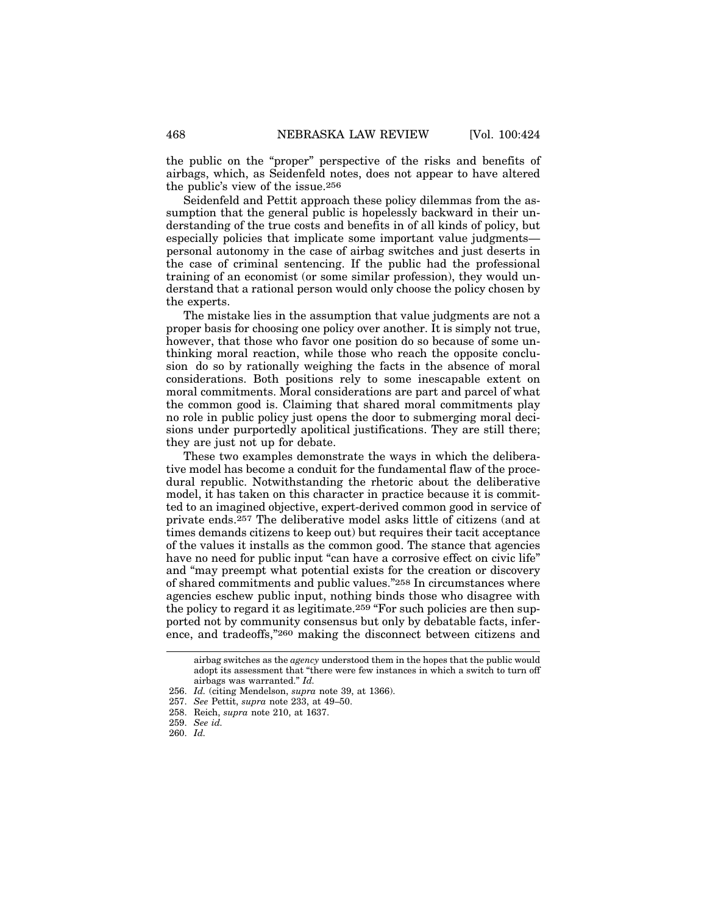the public on the "proper" perspective of the risks and benefits of airbags, which, as Seidenfeld notes, does not appear to have altered the public's view of the issue.256

Seidenfeld and Pettit approach these policy dilemmas from the assumption that the general public is hopelessly backward in their understanding of the true costs and benefits in of all kinds of policy, but especially policies that implicate some important value judgments personal autonomy in the case of airbag switches and just deserts in the case of criminal sentencing. If the public had the professional training of an economist (or some similar profession), they would understand that a rational person would only choose the policy chosen by the experts.

The mistake lies in the assumption that value judgments are not a proper basis for choosing one policy over another. It is simply not true, however, that those who favor one position do so because of some unthinking moral reaction, while those who reach the opposite conclusion do so by rationally weighing the facts in the absence of moral considerations. Both positions rely to some inescapable extent on moral commitments. Moral considerations are part and parcel of what the common good is. Claiming that shared moral commitments play no role in public policy just opens the door to submerging moral decisions under purportedly apolitical justifications. They are still there; they are just not up for debate.

These two examples demonstrate the ways in which the deliberative model has become a conduit for the fundamental flaw of the procedural republic. Notwithstanding the rhetoric about the deliberative model, it has taken on this character in practice because it is committed to an imagined objective, expert-derived common good in service of private ends.257 The deliberative model asks little of citizens (and at times demands citizens to keep out) but requires their tacit acceptance of the values it installs as the common good. The stance that agencies have no need for public input "can have a corrosive effect on civic life" and "may preempt what potential exists for the creation or discovery of shared commitments and public values."258 In circumstances where agencies eschew public input, nothing binds those who disagree with the policy to regard it as legitimate.259 "For such policies are then supported not by community consensus but only by debatable facts, inference, and tradeoffs,"260 making the disconnect between citizens and

airbag switches as the *agency* understood them in the hopes that the public would adopt its assessment that "there were few instances in which a switch to turn off airbags was warranted." *Id.*

<sup>256.</sup> *Id.* (citing Mendelson, *supra* note 39, at 1366).

<sup>257.</sup> *See* Pettit, *supra* note 233, at 49–50.

<sup>258.</sup> Reich, *supra* note 210, at 1637.

<sup>259.</sup> *See id.*

<sup>260.</sup> *Id.*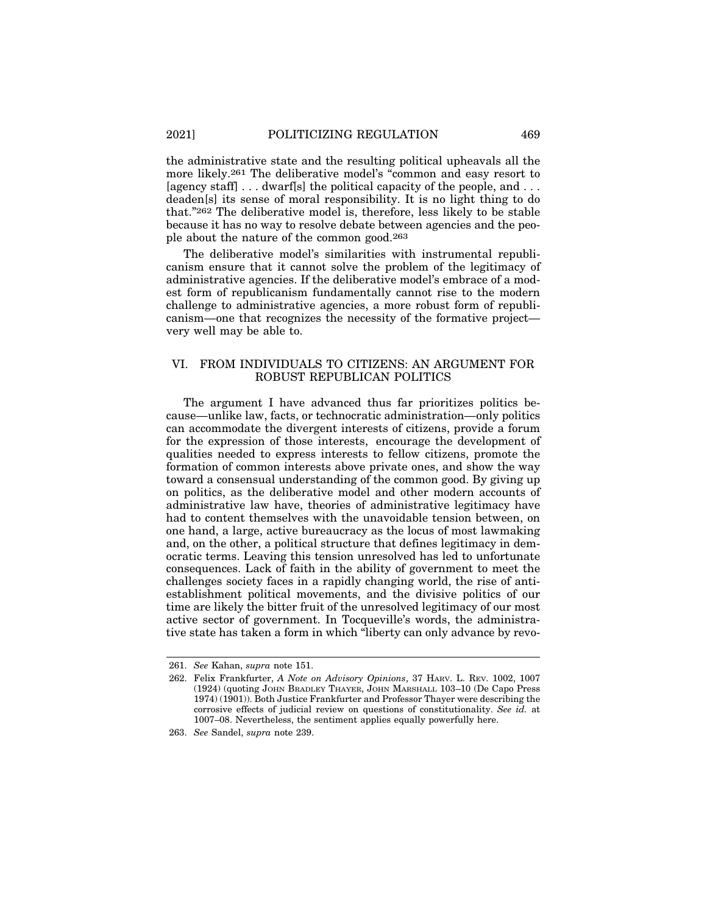the administrative state and the resulting political upheavals all the more likely.261 The deliberative model's "common and easy resort to [agency staff] . . . dwarf[s] the political capacity of the people, and . . . deaden[s] its sense of moral responsibility. It is no light thing to do that."262 The deliberative model is, therefore, less likely to be stable because it has no way to resolve debate between agencies and the people about the nature of the common good.263

The deliberative model's similarities with instrumental republicanism ensure that it cannot solve the problem of the legitimacy of administrative agencies. If the deliberative model's embrace of a modest form of republicanism fundamentally cannot rise to the modern challenge to administrative agencies, a more robust form of republicanism—one that recognizes the necessity of the formative project very well may be able to.

#### VI. FROM INDIVIDUALS TO CITIZENS: AN ARGUMENT FOR ROBUST REPUBLICAN POLITICS

The argument I have advanced thus far prioritizes politics because—unlike law, facts, or technocratic administration—only politics can accommodate the divergent interests of citizens, provide a forum for the expression of those interests, encourage the development of qualities needed to express interests to fellow citizens, promote the formation of common interests above private ones, and show the way toward a consensual understanding of the common good. By giving up on politics, as the deliberative model and other modern accounts of administrative law have, theories of administrative legitimacy have had to content themselves with the unavoidable tension between, on one hand, a large, active bureaucracy as the locus of most lawmaking and, on the other, a political structure that defines legitimacy in democratic terms. Leaving this tension unresolved has led to unfortunate consequences. Lack of faith in the ability of government to meet the challenges society faces in a rapidly changing world, the rise of antiestablishment political movements, and the divisive politics of our time are likely the bitter fruit of the unresolved legitimacy of our most active sector of government. In Tocqueville's words, the administrative state has taken a form in which "liberty can only advance by revo-

<sup>261.</sup> *See* Kahan, *supra* note 151.

<sup>262.</sup> Felix Frankfurter, *A Note on Advisory Opinions*, 37 HARV. L. REV. 1002, 1007 (1924) (quoting JOHN BRADLEY THAYER, JOHN MARSHALL 103–10 (De Capo Press 1974) (1901)). Both Justice Frankfurter and Professor Thayer were describing the corrosive effects of judicial review on questions of constitutionality. *See id.* at 1007–08. Nevertheless, the sentiment applies equally powerfully here.

<sup>263.</sup> *See* Sandel, *supra* note 239.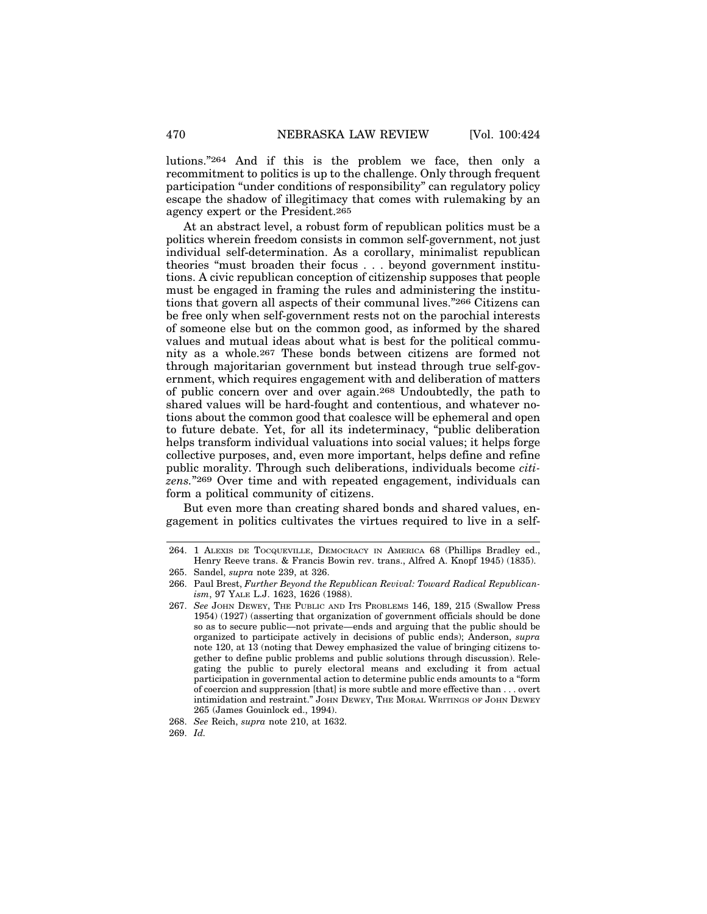lutions."264 And if this is the problem we face, then only a recommitment to politics is up to the challenge. Only through frequent participation "under conditions of responsibility" can regulatory policy escape the shadow of illegitimacy that comes with rulemaking by an agency expert or the President.265

At an abstract level, a robust form of republican politics must be a politics wherein freedom consists in common self-government, not just individual self-determination. As a corollary, minimalist republican theories "must broaden their focus . . . beyond government institutions. A civic republican conception of citizenship supposes that people must be engaged in framing the rules and administering the institutions that govern all aspects of their communal lives."266 Citizens can be free only when self-government rests not on the parochial interests of someone else but on the common good, as informed by the shared values and mutual ideas about what is best for the political community as a whole.267 These bonds between citizens are formed not through majoritarian government but instead through true self-government, which requires engagement with and deliberation of matters of public concern over and over again.268 Undoubtedly, the path to shared values will be hard-fought and contentious, and whatever notions about the common good that coalesce will be ephemeral and open to future debate. Yet, for all its indeterminacy, "public deliberation helps transform individual valuations into social values; it helps forge collective purposes, and, even more important, helps define and refine public morality. Through such deliberations, individuals become *citizens.*"269 Over time and with repeated engagement, individuals can form a political community of citizens.

But even more than creating shared bonds and shared values, engagement in politics cultivates the virtues required to live in a self-

<sup>264. 1</sup> ALEXIS DE TOCQUEVILLE, DEMOCRACY IN AMERICA 68 (Phillips Bradley ed., Henry Reeve trans. & Francis Bowin rev. trans., Alfred A. Knopf 1945) (1835).

<sup>265.</sup> Sandel, *supra* note 239, at 326.

<sup>266.</sup> Paul Brest, *Further Beyond the Republican Revival: Toward Radical Republicanism*, 97 YALE L.J. 1623, 1626 (1988).

<sup>267.</sup> *See* JOHN DEWEY, THE PUBLIC AND ITS PROBLEMS 146, 189, 215 (Swallow Press 1954) (1927) (asserting that organization of government officials should be done so as to secure public—not private—ends and arguing that the public should be organized to participate actively in decisions of public ends); Anderson, *supra* note 120, at 13 (noting that Dewey emphasized the value of bringing citizens together to define public problems and public solutions through discussion). Relegating the public to purely electoral means and excluding it from actual participation in governmental action to determine public ends amounts to a "form of coercion and suppression [that] is more subtle and more effective than . . . overt intimidation and restraint." JOHN DEWEY, THE MORAL WRITINGS OF JOHN DEWEY 265 (James Gouinlock ed., 1994).

<sup>268.</sup> *See* Reich, *supra* note 210, at 1632.

<sup>269.</sup> *Id.*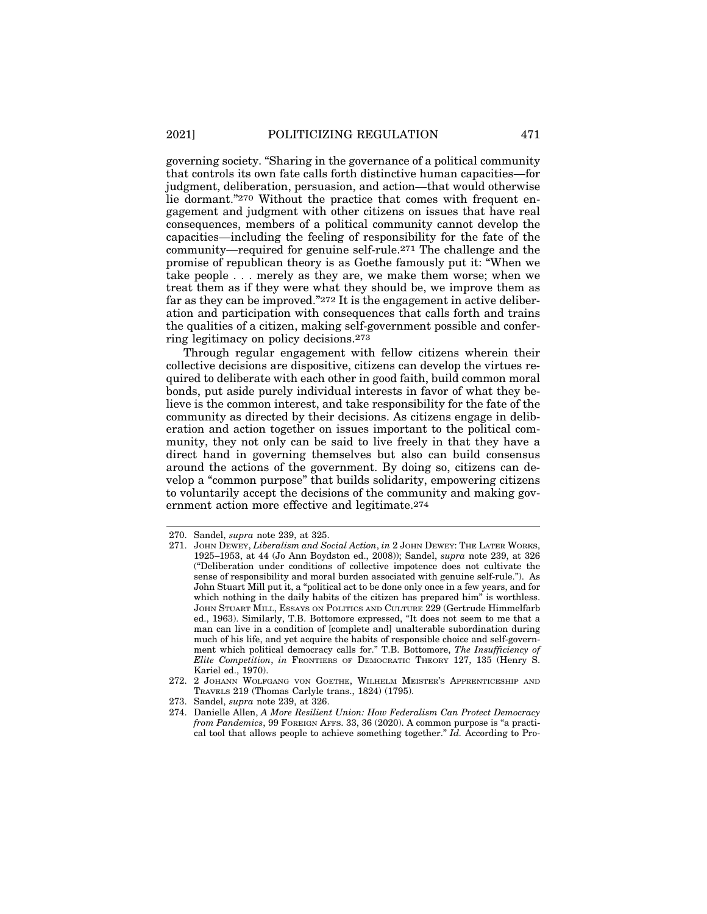governing society. "Sharing in the governance of a political community that controls its own fate calls forth distinctive human capacities—for judgment, deliberation, persuasion, and action—that would otherwise lie dormant."270 Without the practice that comes with frequent engagement and judgment with other citizens on issues that have real consequences, members of a political community cannot develop the capacities—including the feeling of responsibility for the fate of the community—required for genuine self-rule.271 The challenge and the promise of republican theory is as Goethe famously put it: "When we take people . . . merely as they are, we make them worse; when we treat them as if they were what they should be, we improve them as far as they can be improved."272 It is the engagement in active deliberation and participation with consequences that calls forth and trains the qualities of a citizen, making self-government possible and conferring legitimacy on policy decisions.273

Through regular engagement with fellow citizens wherein their collective decisions are dispositive, citizens can develop the virtues required to deliberate with each other in good faith, build common moral bonds, put aside purely individual interests in favor of what they believe is the common interest, and take responsibility for the fate of the community as directed by their decisions. As citizens engage in deliberation and action together on issues important to the political community, they not only can be said to live freely in that they have a direct hand in governing themselves but also can build consensus around the actions of the government. By doing so, citizens can develop a "common purpose" that builds solidarity, empowering citizens to voluntarily accept the decisions of the community and making government action more effective and legitimate.274

<sup>270.</sup> Sandel, *supra* note 239, at 325.

<sup>271.</sup> JOHN DEWEY, *Liberalism and Social Action*, *in* 2 JOHN DEWEY: THE LATER WORKS, 1925–1953, at 44 (Jo Ann Boydston ed., 2008)); Sandel, *supra* note 239, at 326 ("Deliberation under conditions of collective impotence does not cultivate the sense of responsibility and moral burden associated with genuine self-rule."). As John Stuart Mill put it, a "political act to be done only once in a few years, and for which nothing in the daily habits of the citizen has prepared him" is worthless. JOHN STUART MILL, ESSAYS ON POLITICS AND CULTURE 229 (Gertrude Himmelfarb ed., 1963). Similarly, T.B. Bottomore expressed, "It does not seem to me that a man can live in a condition of [complete and] unalterable subordination during much of his life, and yet acquire the habits of responsible choice and self-government which political democracy calls for." T.B. Bottomore, *The Insufficiency of Elite Competition*, *in* FRONTIERS OF DEMOCRATIC THEORY 127, 135 (Henry S. Kariel ed., 1970).

<sup>272. 2</sup> JOHANN WOLFGANG VON GOETHE, WILHELM MEISTER'S APPRENTICESHIP AND TRAVELS 219 (Thomas Carlyle trans., 1824) (1795).

<sup>273.</sup> Sandel, *supra* note 239, at 326.

<sup>274.</sup> Danielle Allen, *A More Resilient Union: How Federalism Can Protect Democracy from Pandemics*, 99 FOREIGN AFFS. 33, 36 (2020). A common purpose is "a practical tool that allows people to achieve something together." *Id.* According to Pro-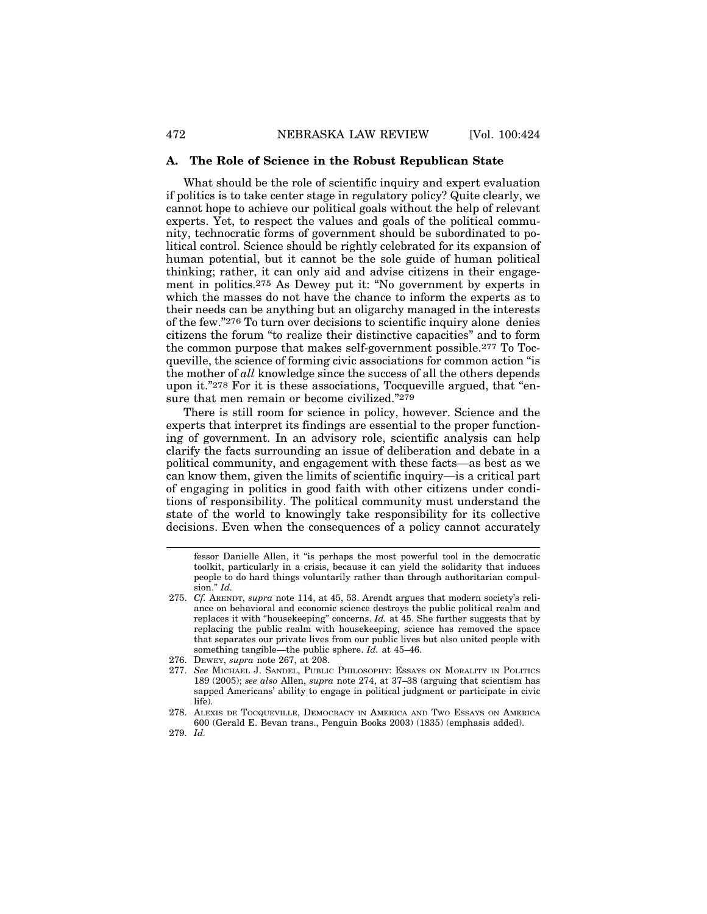#### **A. The Role of Science in the Robust Republican State**

What should be the role of scientific inquiry and expert evaluation if politics is to take center stage in regulatory policy? Quite clearly, we cannot hope to achieve our political goals without the help of relevant experts. Yet, to respect the values and goals of the political community, technocratic forms of government should be subordinated to political control. Science should be rightly celebrated for its expansion of human potential, but it cannot be the sole guide of human political thinking; rather, it can only aid and advise citizens in their engagement in politics.275 As Dewey put it: "No government by experts in which the masses do not have the chance to inform the experts as to their needs can be anything but an oligarchy managed in the interests of the few."276 To turn over decisions to scientific inquiry alone denies citizens the forum "to realize their distinctive capacities" and to form the common purpose that makes self-government possible.277 To Tocqueville, the science of forming civic associations for common action "is the mother of *all* knowledge since the success of all the others depends upon it."278 For it is these associations, Tocqueville argued, that "ensure that men remain or become civilized."279

There is still room for science in policy, however. Science and the experts that interpret its findings are essential to the proper functioning of government. In an advisory role, scientific analysis can help clarify the facts surrounding an issue of deliberation and debate in a political community, and engagement with these facts—as best as we can know them, given the limits of scientific inquiry—is a critical part of engaging in politics in good faith with other citizens under conditions of responsibility. The political community must understand the state of the world to knowingly take responsibility for its collective decisions. Even when the consequences of a policy cannot accurately

- 276. DEWEY, *supra* note 267, at 208.
- 277. *See* MICHAEL J. SANDEL, PUBLIC PHILOSOPHY: ESSAYS ON MORALITY IN POLITICS 189 (2005); *see also* Allen, *supra* note 274, at 37–38 (arguing that scientism has sapped Americans' ability to engage in political judgment or participate in civic life).
- 278. ALEXIS DE TOCQUEVILLE, DEMOCRACY IN AMERICA AND TWO ESSAYS ON AMERICA 600 (Gerald E. Bevan trans., Penguin Books 2003) (1835) (emphasis added).
- 279. *Id.*

fessor Danielle Allen, it "is perhaps the most powerful tool in the democratic toolkit, particularly in a crisis, because it can yield the solidarity that induces people to do hard things voluntarily rather than through authoritarian compulsion." *Id.*

<sup>275.</sup> *Cf.* ARENDT, *supra* note 114, at 45, 53. Arendt argues that modern society's reliance on behavioral and economic science destroys the public political realm and replaces it with "housekeeping" concerns. *Id.* at 45. She further suggests that by replacing the public realm with housekeeping, science has removed the space that separates our private lives from our public lives but also united people with something tangible—the public sphere. *Id.* at 45–46.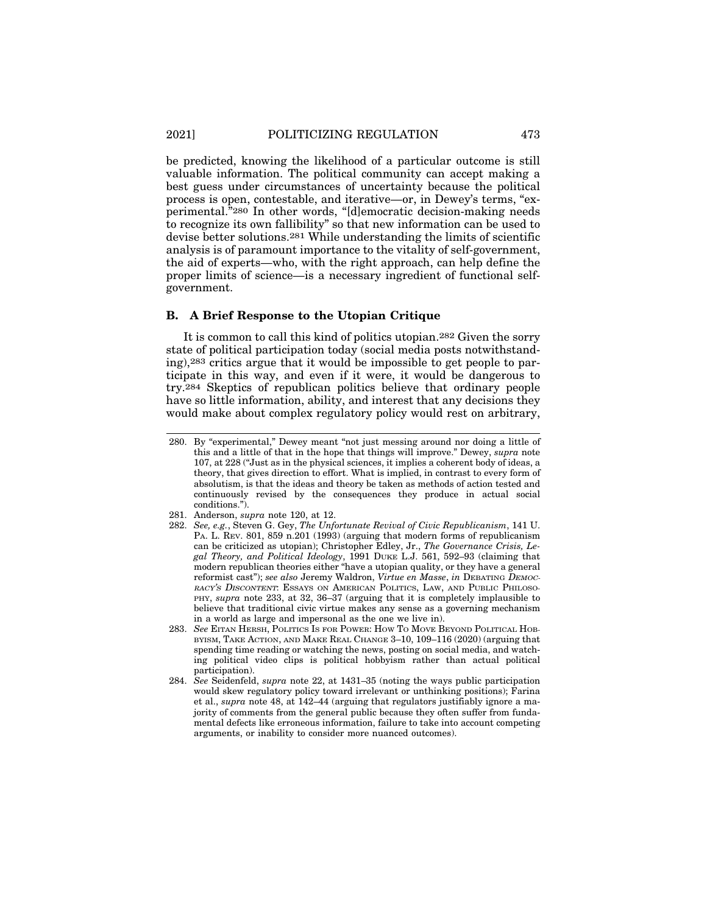be predicted, knowing the likelihood of a particular outcome is still valuable information. The political community can accept making a best guess under circumstances of uncertainty because the political process is open, contestable, and iterative—or, in Dewey's terms, "experimental."280 In other words, "[d]emocratic decision-making needs to recognize its own fallibility" so that new information can be used to devise better solutions.281 While understanding the limits of scientific analysis is of paramount importance to the vitality of self-government, the aid of experts—who, with the right approach, can help define the proper limits of science—is a necessary ingredient of functional selfgovernment.

#### **B. A Brief Response to the Utopian Critique**

It is common to call this kind of politics utopian.282 Given the sorry state of political participation today (social media posts notwithstanding),283 critics argue that it would be impossible to get people to participate in this way, and even if it were, it would be dangerous to try.284 Skeptics of republican politics believe that ordinary people have so little information, ability, and interest that any decisions they would make about complex regulatory policy would rest on arbitrary,

- 282. *See, e.g.*, Steven G. Gey, *The Unfortunate Revival of Civic Republicanism*, 141 U. PA. L. REV. 801, 859 n.201 (1993) (arguing that modern forms of republicanism can be criticized as utopian); Christopher Edley, Jr., *The Governance Crisis, Legal Theory, and Political Ideology*, 1991 DUKE L.J. 561, 592–93 (claiming that modern republican theories either "have a utopian quality, or they have a general reformist cast"); see also Jeremy Waldron, Virtue en Masse, in DEBATING DEMOC-RACY'S DISCONTENT: ESSAYS ON AMERICAN POLITICS, LAW, AND PUBLIC PHILOSO-PHY, *supra* note 233, at 32, 36–37 (arguing that it is completely implausible to believe that traditional civic virtue makes any sense as a governing mechanism in a world as large and impersonal as the one we live in).
- 283. *See* EITAN HERSH, POLITICS IS FOR POWER: HOW TO MOVE BEYOND POLITICAL HOB-BYISM, TAKE ACTION, AND MAKE REAL CHANGE 3–10, 109–116 (2020) (arguing that spending time reading or watching the news, posting on social media, and watching political video clips is political hobbyism rather than actual political participation).
- 284. *See* Seidenfeld, *supra* note 22, at 1431–35 (noting the ways public participation would skew regulatory policy toward irrelevant or unthinking positions); Farina et al., *supra* note 48, at 142–44 (arguing that regulators justifiably ignore a majority of comments from the general public because they often suffer from fundamental defects like erroneous information, failure to take into account competing arguments, or inability to consider more nuanced outcomes).

<sup>280.</sup> By "experimental," Dewey meant "not just messing around nor doing a little of this and a little of that in the hope that things will improve." Dewey, *supra* note 107, at 228 ("Just as in the physical sciences, it implies a coherent body of ideas, a theory, that gives direction to effort. What is implied, in contrast to every form of absolutism, is that the ideas and theory be taken as methods of action tested and continuously revised by the consequences they produce in actual social conditions.").

<sup>281.</sup> Anderson, *supra* note 120, at 12.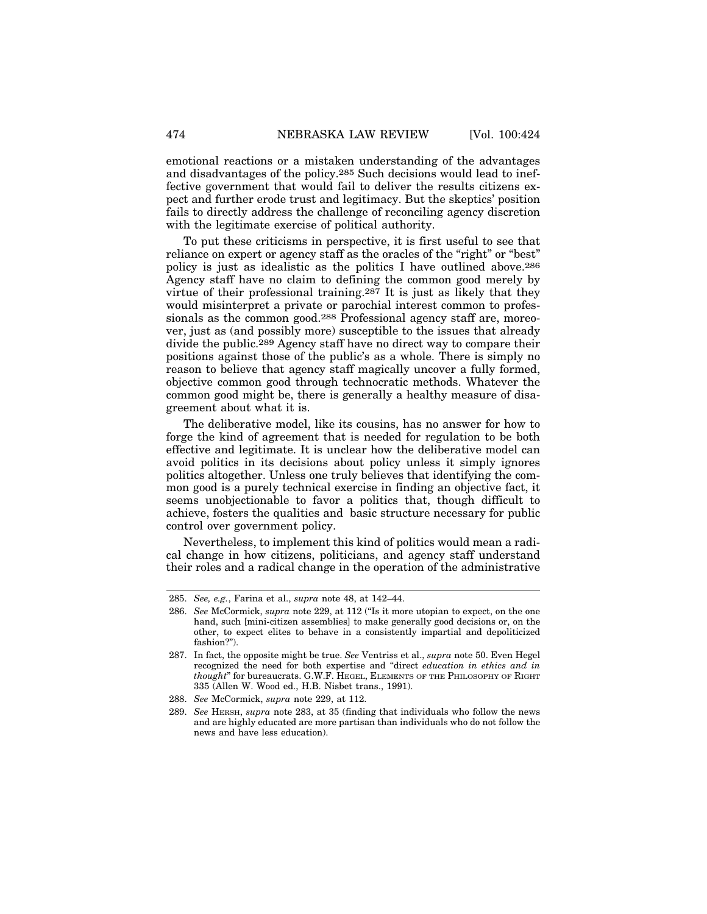emotional reactions or a mistaken understanding of the advantages and disadvantages of the policy.285 Such decisions would lead to ineffective government that would fail to deliver the results citizens expect and further erode trust and legitimacy. But the skeptics' position fails to directly address the challenge of reconciling agency discretion with the legitimate exercise of political authority.

To put these criticisms in perspective, it is first useful to see that reliance on expert or agency staff as the oracles of the "right" or "best" policy is just as idealistic as the politics I have outlined above.286 Agency staff have no claim to defining the common good merely by virtue of their professional training.287 It is just as likely that they would misinterpret a private or parochial interest common to professionals as the common good.288 Professional agency staff are, moreover, just as (and possibly more) susceptible to the issues that already divide the public.289 Agency staff have no direct way to compare their positions against those of the public's as a whole. There is simply no reason to believe that agency staff magically uncover a fully formed, objective common good through technocratic methods. Whatever the common good might be, there is generally a healthy measure of disagreement about what it is.

The deliberative model, like its cousins, has no answer for how to forge the kind of agreement that is needed for regulation to be both effective and legitimate. It is unclear how the deliberative model can avoid politics in its decisions about policy unless it simply ignores politics altogether. Unless one truly believes that identifying the common good is a purely technical exercise in finding an objective fact, it seems unobjectionable to favor a politics that, though difficult to achieve, fosters the qualities and basic structure necessary for public control over government policy.

Nevertheless, to implement this kind of politics would mean a radical change in how citizens, politicians, and agency staff understand their roles and a radical change in the operation of the administrative

<sup>285.</sup> *See, e.g.*, Farina et al., *supra* note 48, at 142–44.

<sup>286.</sup> *See* McCormick, *supra* note 229, at 112 ("Is it more utopian to expect, on the one hand, such [mini-citizen assemblies] to make generally good decisions or, on the other, to expect elites to behave in a consistently impartial and depoliticized fashion?").

<sup>287.</sup> In fact, the opposite might be true. *See* Ventriss et al., *supra* note 50. Even Hegel recognized the need for both expertise and "direct *education in ethics and in thought*" for bureaucrats. G.W.F. HEGEL, ELEMENTS OF THE PHILOSOPHY OF RIGHT 335 (Allen W. Wood ed., H.B. Nisbet trans., 1991).

<sup>288.</sup> *See* McCormick, *supra* note 229, at 112.

<sup>289.</sup> *See* HERSH, *supra* note 283, at 35 (finding that individuals who follow the news and are highly educated are more partisan than individuals who do not follow the news and have less education).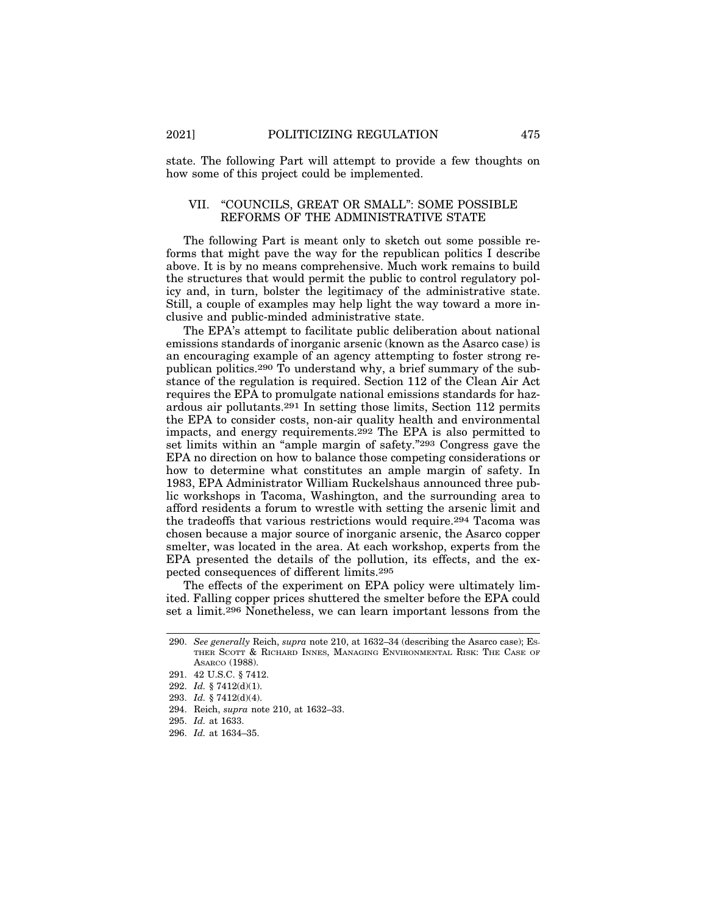state. The following Part will attempt to provide a few thoughts on how some of this project could be implemented.

#### VII. "COUNCILS, GREAT OR SMALL": SOME POSSIBLE REFORMS OF THE ADMINISTRATIVE STATE

The following Part is meant only to sketch out some possible reforms that might pave the way for the republican politics I describe above. It is by no means comprehensive. Much work remains to build the structures that would permit the public to control regulatory policy and, in turn, bolster the legitimacy of the administrative state. Still, a couple of examples may help light the way toward a more inclusive and public-minded administrative state.

The EPA's attempt to facilitate public deliberation about national emissions standards of inorganic arsenic (known as the Asarco case) is an encouraging example of an agency attempting to foster strong republican politics.290 To understand why, a brief summary of the substance of the regulation is required. Section 112 of the Clean Air Act requires the EPA to promulgate national emissions standards for hazardous air pollutants.291 In setting those limits, Section 112 permits the EPA to consider costs, non-air quality health and environmental impacts, and energy requirements.292 The EPA is also permitted to set limits within an "ample margin of safety."293 Congress gave the EPA no direction on how to balance those competing considerations or how to determine what constitutes an ample margin of safety. In 1983, EPA Administrator William Ruckelshaus announced three public workshops in Tacoma, Washington, and the surrounding area to afford residents a forum to wrestle with setting the arsenic limit and the tradeoffs that various restrictions would require.294 Tacoma was chosen because a major source of inorganic arsenic, the Asarco copper smelter, was located in the area. At each workshop, experts from the EPA presented the details of the pollution, its effects, and the expected consequences of different limits.295

The effects of the experiment on EPA policy were ultimately limited. Falling copper prices shuttered the smelter before the EPA could set a limit.296 Nonetheless, we can learn important lessons from the

<sup>290.</sup> *See generally* Reich, *supra* note 210, at 1632–34 (describing the Asarco case); ES-THER SCOTT & RICHARD INNES, MANAGING ENVIRONMENTAL RISK: THE CASE OF ASARCO (1988).

<sup>291. 42</sup> U.S.C. § 7412.

<sup>292.</sup> *Id.* § 7412(d)(1).

<sup>293.</sup> *Id.* § 7412(d)(4).

<sup>294.</sup> Reich, *supra* note 210, at 1632–33.

<sup>295.</sup> *Id.* at 1633.

<sup>296.</sup> *Id.* at 1634–35.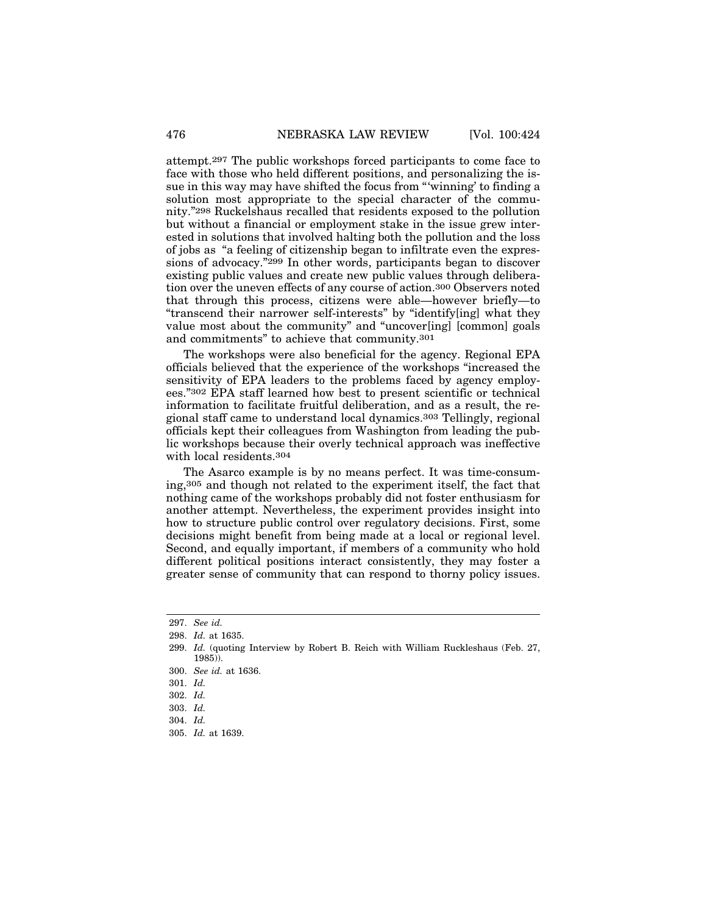attempt.297 The public workshops forced participants to come face to face with those who held different positions, and personalizing the issue in this way may have shifted the focus from "'winning' to finding a solution most appropriate to the special character of the community."298 Ruckelshaus recalled that residents exposed to the pollution but without a financial or employment stake in the issue grew interested in solutions that involved halting both the pollution and the loss of jobs as "a feeling of citizenship began to infiltrate even the expressions of advocacy."299 In other words, participants began to discover existing public values and create new public values through deliberation over the uneven effects of any course of action.300 Observers noted that through this process, citizens were able—however briefly—to "transcend their narrower self-interests" by "identify[ing] what they value most about the community" and "uncover[ing] [common] goals and commitments" to achieve that community.301

The workshops were also beneficial for the agency. Regional EPA officials believed that the experience of the workshops "increased the sensitivity of EPA leaders to the problems faced by agency employees."302 EPA staff learned how best to present scientific or technical information to facilitate fruitful deliberation, and as a result, the regional staff came to understand local dynamics.303 Tellingly, regional officials kept their colleagues from Washington from leading the public workshops because their overly technical approach was ineffective with local residents.304

The Asarco example is by no means perfect. It was time-consuming,305 and though not related to the experiment itself, the fact that nothing came of the workshops probably did not foster enthusiasm for another attempt. Nevertheless, the experiment provides insight into how to structure public control over regulatory decisions. First, some decisions might benefit from being made at a local or regional level. Second, and equally important, if members of a community who hold different political positions interact consistently, they may foster a greater sense of community that can respond to thorny policy issues.

<sup>297.</sup> *See id.*

<sup>298.</sup> *Id.* at 1635.

<sup>299.</sup> *Id.* (quoting Interview by Robert B. Reich with William Ruckleshaus (Feb. 27, 1985)).

<sup>300.</sup> *See id.* at 1636.

<sup>301.</sup> *Id.*

<sup>302.</sup> *Id.*

<sup>303.</sup> *Id.*

<sup>304.</sup> *Id.*

<sup>305.</sup> *Id.* at 1639.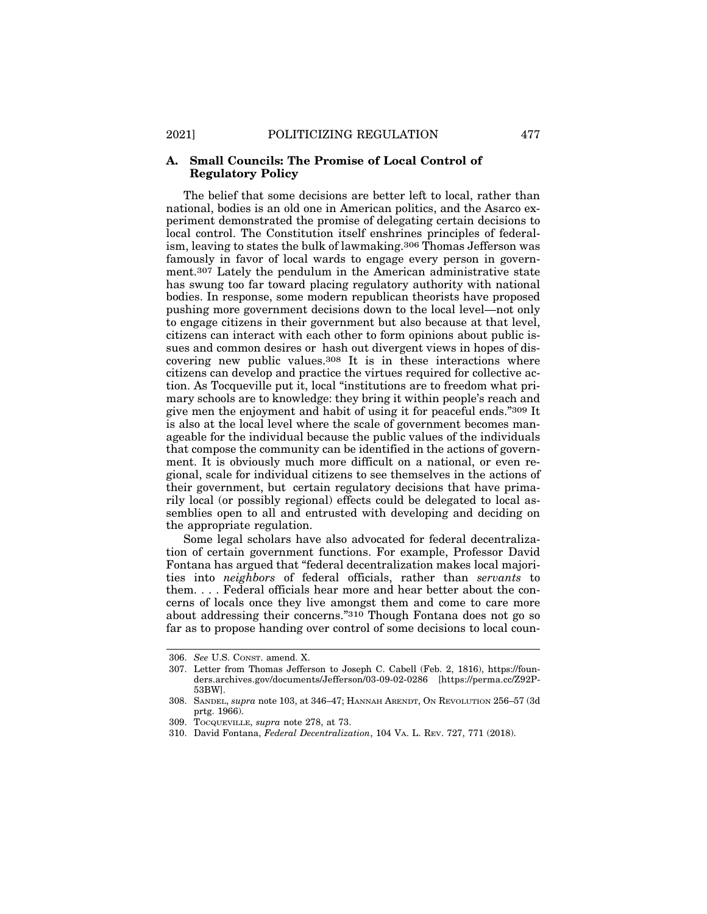#### **A. Small Councils: The Promise of Local Control of Regulatory Policy**

The belief that some decisions are better left to local, rather than national, bodies is an old one in American politics, and the Asarco experiment demonstrated the promise of delegating certain decisions to local control. The Constitution itself enshrines principles of federalism, leaving to states the bulk of lawmaking.306 Thomas Jefferson was famously in favor of local wards to engage every person in government.307 Lately the pendulum in the American administrative state has swung too far toward placing regulatory authority with national bodies. In response, some modern republican theorists have proposed pushing more government decisions down to the local level—not only to engage citizens in their government but also because at that level, citizens can interact with each other to form opinions about public issues and common desires or hash out divergent views in hopes of discovering new public values.308 It is in these interactions where citizens can develop and practice the virtues required for collective action. As Tocqueville put it, local "institutions are to freedom what primary schools are to knowledge: they bring it within people's reach and give men the enjoyment and habit of using it for peaceful ends."309 It is also at the local level where the scale of government becomes manageable for the individual because the public values of the individuals that compose the community can be identified in the actions of government. It is obviously much more difficult on a national, or even regional, scale for individual citizens to see themselves in the actions of their government, but certain regulatory decisions that have primarily local (or possibly regional) effects could be delegated to local assemblies open to all and entrusted with developing and deciding on the appropriate regulation.

Some legal scholars have also advocated for federal decentralization of certain government functions. For example, Professor David Fontana has argued that "federal decentralization makes local majorities into *neighbors* of federal officials, rather than *servants* to them. . . . Federal officials hear more and hear better about the concerns of locals once they live amongst them and come to care more about addressing their concerns."310 Though Fontana does not go so far as to propose handing over control of some decisions to local coun-

<sup>306.</sup> *See* U.S. CONST. amend. X.

<sup>307.</sup> Letter from Thomas Jefferson to Joseph C. Cabell (Feb. 2, 1816), https://founders.archives.gov/documents/Jefferson/03-09-02-0286 [https://perma.cc/Z92P-53BW].

<sup>308.</sup> SANDEL, *supra* note 103, at 346–47; HANNAH ARENDT, ON REVOLUTION 256–57 (3d prtg. 1966).

<sup>309.</sup> TOCQUEVILLE, *supra* note 278, at 73.

<sup>310.</sup> David Fontana, *Federal Decentralization*, 104 VA. L. REV. 727, 771 (2018).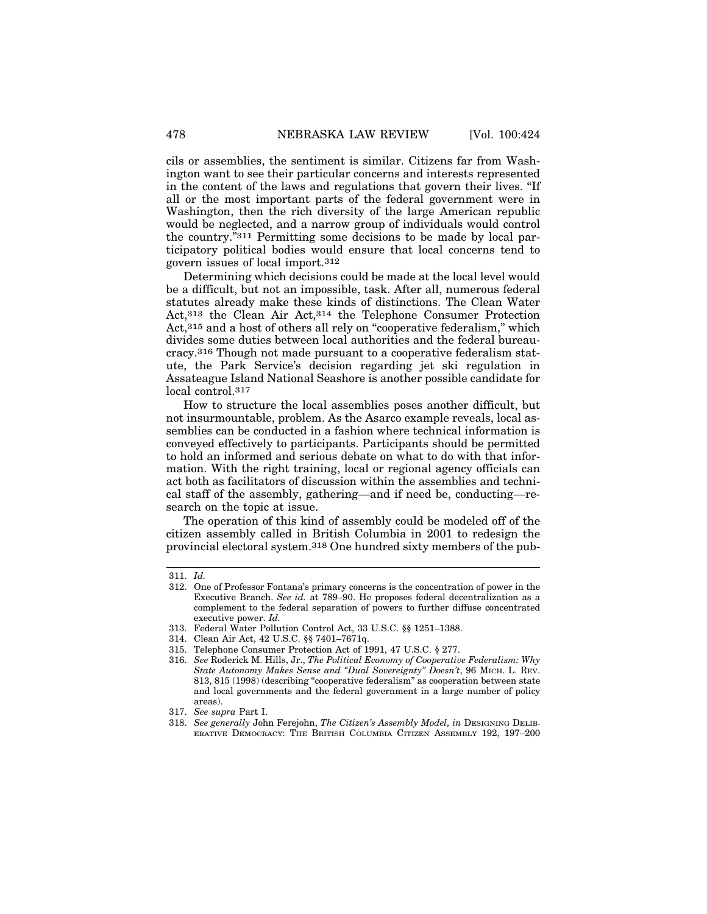cils or assemblies, the sentiment is similar. Citizens far from Washington want to see their particular concerns and interests represented in the content of the laws and regulations that govern their lives. "If all or the most important parts of the federal government were in Washington, then the rich diversity of the large American republic would be neglected, and a narrow group of individuals would control the country."311 Permitting some decisions to be made by local participatory political bodies would ensure that local concerns tend to govern issues of local import.312

Determining which decisions could be made at the local level would be a difficult, but not an impossible, task. After all, numerous federal statutes already make these kinds of distinctions. The Clean Water Act,313 the Clean Air Act,314 the Telephone Consumer Protection Act,315 and a host of others all rely on "cooperative federalism," which divides some duties between local authorities and the federal bureaucracy.316 Though not made pursuant to a cooperative federalism statute, the Park Service's decision regarding jet ski regulation in Assateague Island National Seashore is another possible candidate for local control.317

How to structure the local assemblies poses another difficult, but not insurmountable, problem. As the Asarco example reveals, local assemblies can be conducted in a fashion where technical information is conveyed effectively to participants. Participants should be permitted to hold an informed and serious debate on what to do with that information. With the right training, local or regional agency officials can act both as facilitators of discussion within the assemblies and technical staff of the assembly, gathering—and if need be, conducting—research on the topic at issue.

The operation of this kind of assembly could be modeled off of the citizen assembly called in British Columbia in 2001 to redesign the provincial electoral system.318 One hundred sixty members of the pub-

<sup>311.</sup> *Id.*

<sup>312.</sup> One of Professor Fontana's primary concerns is the concentration of power in the Executive Branch. *See id.* at 789–90. He proposes federal decentralization as a complement to the federal separation of powers to further diffuse concentrated executive power. *Id.*

<sup>313.</sup> Federal Water Pollution Control Act, 33 U.S.C. §§ 1251–1388.

<sup>314.</sup> Clean Air Act, 42 U.S.C. §§ 7401–7671q.

<sup>315.</sup> Telephone Consumer Protection Act of 1991, 47 U.S.C. § 277.

<sup>316.</sup> *See* Roderick M. Hills, Jr., *The Political Economy of Cooperative Federalism: Why State Autonomy Makes Sense and "Dual Sovereignty" Doesn't*, 96 MICH. L. REV. 813, 815 (1998) (describing "cooperative federalism" as cooperation between state and local governments and the federal government in a large number of policy areas).

<sup>317.</sup> *See supra* Part I.

<sup>318.</sup> See generally John Ferejohn, The Citizen's Assembly Model, in DESIGNING DELIB-ERATIVE DEMOCRACY: THE BRITISH COLUMBIA CITIZEN ASSEMBLY 192, 197–200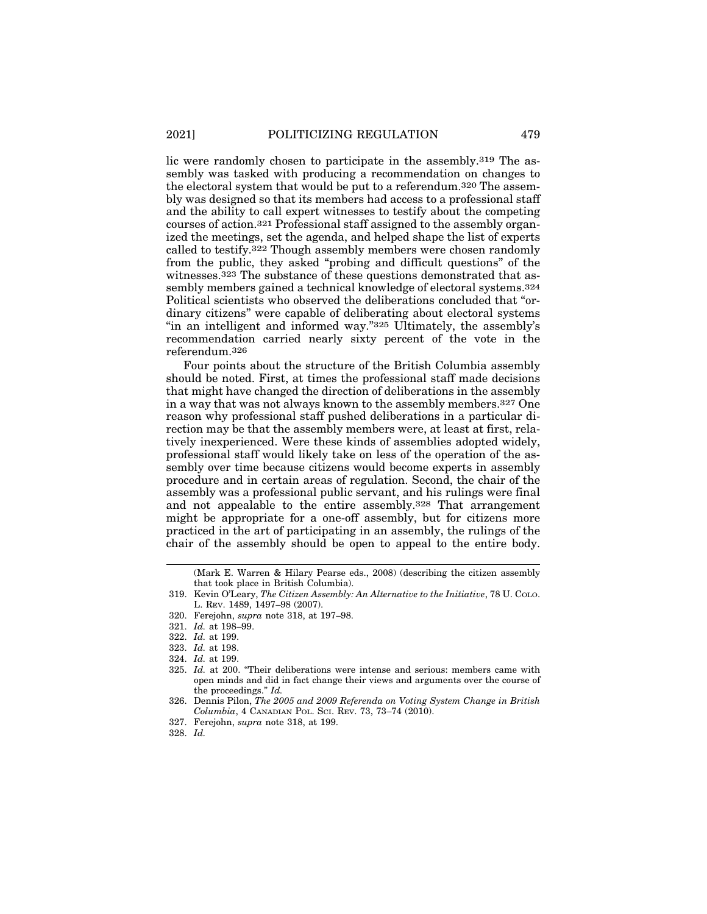lic were randomly chosen to participate in the assembly.319 The assembly was tasked with producing a recommendation on changes to the electoral system that would be put to a referendum.320 The assembly was designed so that its members had access to a professional staff and the ability to call expert witnesses to testify about the competing courses of action.321 Professional staff assigned to the assembly organized the meetings, set the agenda, and helped shape the list of experts called to testify.322 Though assembly members were chosen randomly from the public, they asked "probing and difficult questions" of the witnesses.323 The substance of these questions demonstrated that assembly members gained a technical knowledge of electoral systems.324 Political scientists who observed the deliberations concluded that "ordinary citizens" were capable of deliberating about electoral systems "in an intelligent and informed way."325 Ultimately, the assembly's recommendation carried nearly sixty percent of the vote in the referendum.326

Four points about the structure of the British Columbia assembly should be noted. First, at times the professional staff made decisions that might have changed the direction of deliberations in the assembly in a way that was not always known to the assembly members.327 One reason why professional staff pushed deliberations in a particular direction may be that the assembly members were, at least at first, relatively inexperienced. Were these kinds of assemblies adopted widely, professional staff would likely take on less of the operation of the assembly over time because citizens would become experts in assembly procedure and in certain areas of regulation. Second, the chair of the assembly was a professional public servant, and his rulings were final and not appealable to the entire assembly.328 That arrangement might be appropriate for a one-off assembly, but for citizens more practiced in the art of participating in an assembly, the rulings of the chair of the assembly should be open to appeal to the entire body.

<sup>(</sup>Mark E. Warren & Hilary Pearse eds., 2008) (describing the citizen assembly that took place in British Columbia).

<sup>319.</sup> Kevin O'Leary, *The Citizen Assembly: An Alternative to the Initiative*, 78 U. COLO. L. REV. 1489, 1497–98 (2007).

<sup>320.</sup> Ferejohn, *supra* note 318, at 197–98.

<sup>321.</sup> *Id.* at 198–99.

<sup>322.</sup> *Id.* at 199.

<sup>323.</sup> *Id.* at 198.

<sup>324.</sup> *Id.* at 199.

<sup>325.</sup> *Id.* at 200. "Their deliberations were intense and serious: members came with open minds and did in fact change their views and arguments over the course of the proceedings." *Id.*

<sup>326.</sup> Dennis Pilon, *The 2005 and 2009 Referenda on Voting System Change in British Columbia*, 4 CANADIAN POL. SCI. REV. 73, 73–74 (2010).

<sup>327.</sup> Ferejohn, *supra* note 318, at 199.

<sup>328.</sup> *Id.*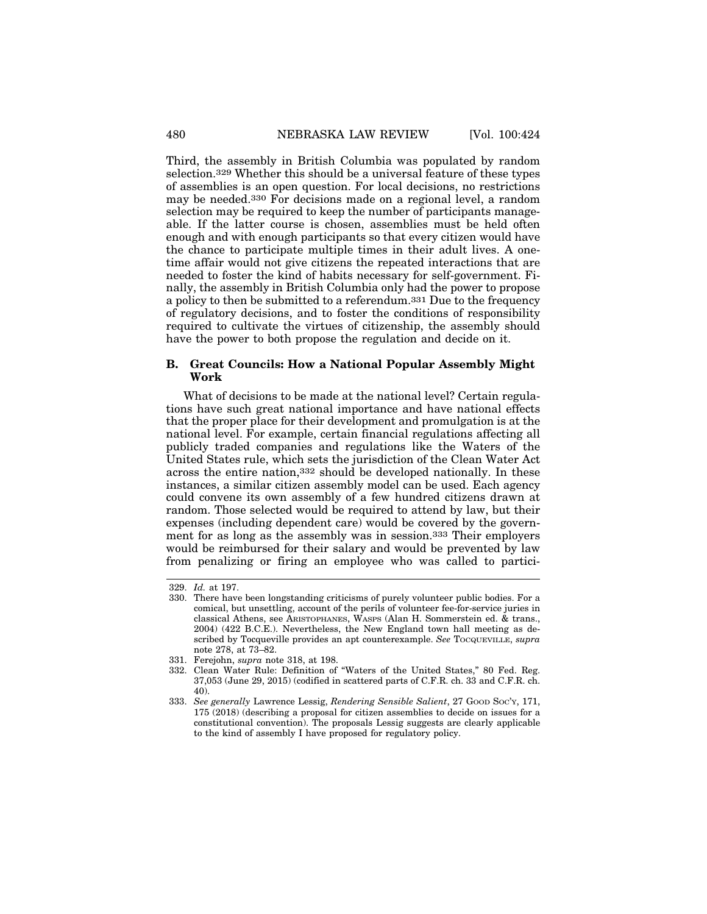Third, the assembly in British Columbia was populated by random selection.329 Whether this should be a universal feature of these types of assemblies is an open question. For local decisions, no restrictions may be needed.330 For decisions made on a regional level, a random selection may be required to keep the number of participants manageable. If the latter course is chosen, assemblies must be held often enough and with enough participants so that every citizen would have the chance to participate multiple times in their adult lives. A onetime affair would not give citizens the repeated interactions that are needed to foster the kind of habits necessary for self-government. Finally, the assembly in British Columbia only had the power to propose a policy to then be submitted to a referendum.331 Due to the frequency of regulatory decisions, and to foster the conditions of responsibility required to cultivate the virtues of citizenship, the assembly should

#### **B. Great Councils: How a National Popular Assembly Might Work**

have the power to both propose the regulation and decide on it.

What of decisions to be made at the national level? Certain regulations have such great national importance and have national effects that the proper place for their development and promulgation is at the national level. For example, certain financial regulations affecting all publicly traded companies and regulations like the Waters of the United States rule, which sets the jurisdiction of the Clean Water Act across the entire nation,332 should be developed nationally. In these instances, a similar citizen assembly model can be used. Each agency could convene its own assembly of a few hundred citizens drawn at random. Those selected would be required to attend by law, but their expenses (including dependent care) would be covered by the government for as long as the assembly was in session.333 Their employers would be reimbursed for their salary and would be prevented by law from penalizing or firing an employee who was called to partici-

<sup>329.</sup> *Id.* at 197.

<sup>330.</sup> There have been longstanding criticisms of purely volunteer public bodies. For a comical, but unsettling, account of the perils of volunteer fee-for-service juries in classical Athens, see ARISTOPHANES, WASPS (Alan H. Sommerstein ed. & trans., 2004) (422 B.C.E.). Nevertheless, the New England town hall meeting as described by Tocqueville provides an apt counterexample. *See* TOCQUEVILLE, *supra* note 278, at 73–82.

<sup>331.</sup> Ferejohn, *supra* note 318, at 198.

<sup>332.</sup> Clean Water Rule: Definition of "Waters of the United States," 80 Fed. Reg. 37,053 (June 29, 2015) (codified in scattered parts of C.F.R. ch. 33 and C.F.R. ch. 40).

<sup>333.</sup> *See generally* Lawrence Lessig, *Rendering Sensible Salient*, 27 GOOD SOC'Y, 171, 175 (2018) (describing a proposal for citizen assemblies to decide on issues for a constitutional convention). The proposals Lessig suggests are clearly applicable to the kind of assembly I have proposed for regulatory policy.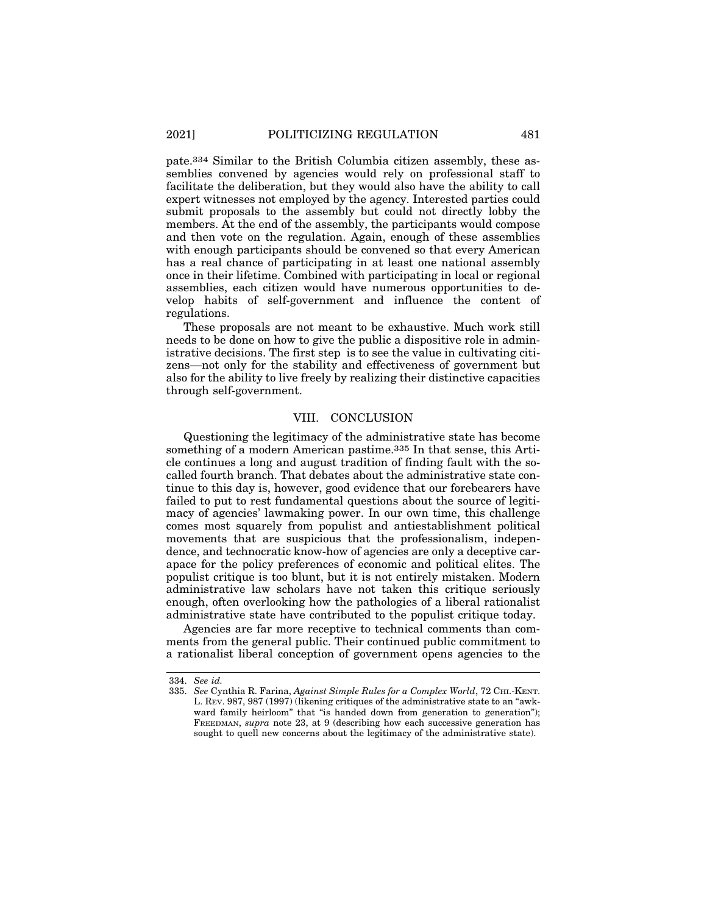pate.334 Similar to the British Columbia citizen assembly, these assemblies convened by agencies would rely on professional staff to facilitate the deliberation, but they would also have the ability to call expert witnesses not employed by the agency. Interested parties could submit proposals to the assembly but could not directly lobby the members. At the end of the assembly, the participants would compose and then vote on the regulation. Again, enough of these assemblies with enough participants should be convened so that every American has a real chance of participating in at least one national assembly once in their lifetime. Combined with participating in local or regional assemblies, each citizen would have numerous opportunities to develop habits of self-government and influence the content of regulations.

These proposals are not meant to be exhaustive. Much work still needs to be done on how to give the public a dispositive role in administrative decisions. The first step is to see the value in cultivating citizens—not only for the stability and effectiveness of government but also for the ability to live freely by realizing their distinctive capacities through self-government.

#### VIII. CONCLUSION

Questioning the legitimacy of the administrative state has become something of a modern American pastime.<sup>335</sup> In that sense, this Article continues a long and august tradition of finding fault with the socalled fourth branch. That debates about the administrative state continue to this day is, however, good evidence that our forebearers have failed to put to rest fundamental questions about the source of legitimacy of agencies' lawmaking power. In our own time, this challenge comes most squarely from populist and antiestablishment political movements that are suspicious that the professionalism, independence, and technocratic know-how of agencies are only a deceptive carapace for the policy preferences of economic and political elites. The populist critique is too blunt, but it is not entirely mistaken. Modern administrative law scholars have not taken this critique seriously enough, often overlooking how the pathologies of a liberal rationalist administrative state have contributed to the populist critique today.

Agencies are far more receptive to technical comments than comments from the general public. Their continued public commitment to a rationalist liberal conception of government opens agencies to the

<sup>334.</sup> *See id.*

<sup>335.</sup> *See* Cynthia R. Farina, *Against Simple Rules for a Complex World*, 72 CHI.-KENT. L. REV. 987, 987 (1997) (likening critiques of the administrative state to an "awkward family heirloom" that "is handed down from generation to generation"); FREEDMAN, *supra* note 23, at 9 (describing how each successive generation has sought to quell new concerns about the legitimacy of the administrative state).